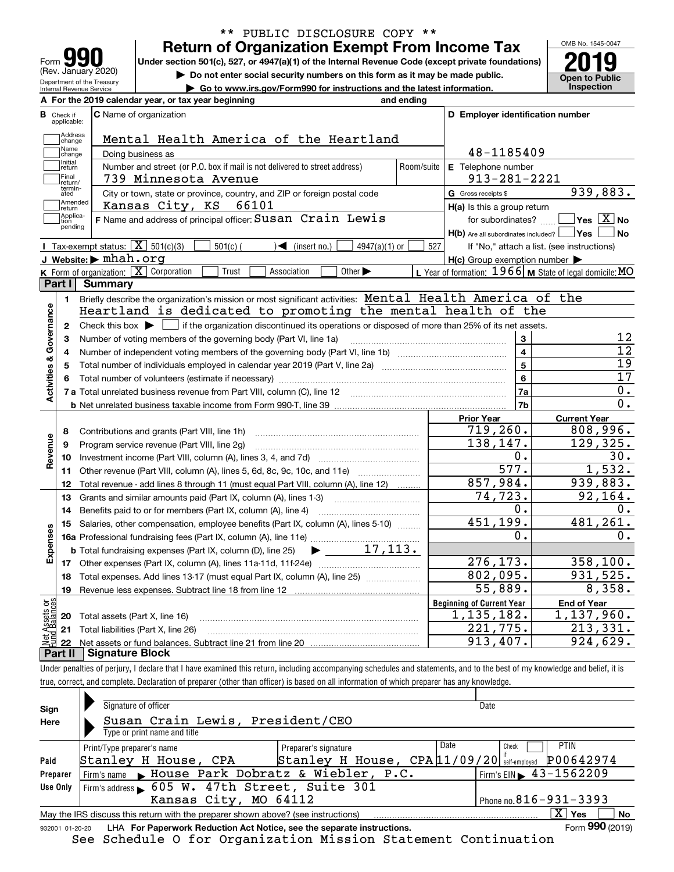| IQ<br>Form<br>(Rev. January 2020)                      |
|--------------------------------------------------------|
| Department of the Treasury<br>Internal Revenue Service |

Check if applicable: **Address**<br>Change Name<br>Change Initial<br>
return

## **Return of Organization Exempt From Income Tax** \*\* PUBLIC DISCLOSURE COPY \*\*

Under section 501(c), 527, or 4947(a)(1) of the Internal Revenue Code (except private foundations) **2019** 

**| Do not enter social security numbers on this form as it may be made public.**

**to Public**<br>pection

**E** Telephone number

OMB No. 1545-0047

| Department of the Treasury<br>Internal Revenue Service | Do not emer social security numbers on this form as it may be made public.<br>$\triangleright$ Go to www.irs.gov/Form990 for instructions and the latest information. |                                  | Open to Pub<br>Inspection |
|--------------------------------------------------------|-----------------------------------------------------------------------------------------------------------------------------------------------------------------------|----------------------------------|---------------------------|
|                                                        | A For the 2019 calendar year, or tax year beginning<br>and ending                                                                                                     |                                  |                           |
| <b>B</b> Check if<br>applicable:                       | <b>C</b> Name of organization                                                                                                                                         | D Employer identification number |                           |
| 1Address<br>Ichange                                    | Mental Health America of the Heartland                                                                                                                                |                                  |                           |
| Name<br> change                                        | Doing business as                                                                                                                                                     | 48-1185409                       |                           |

Number and street (or P.O. box if mail is not delivered to street address)  $\qquad \qquad \mid$  Room/suite  $\mid$  E Telephone number

|                         | Final<br>return/  | 739 Minnesota Avenue                                                                                                                                |     | $913 - 281 - 2221$                                  |                                                           |
|-------------------------|-------------------|-----------------------------------------------------------------------------------------------------------------------------------------------------|-----|-----------------------------------------------------|-----------------------------------------------------------|
|                         | termin-<br>ated   | City or town, state or province, country, and ZIP or foreign postal code                                                                            |     | G Gross receipts \$                                 | 939,883.                                                  |
|                         | Amended<br>return | Kansas City, KS 66101                                                                                                                               |     | H(a) Is this a group return                         |                                                           |
|                         | Applica-<br>tion  | F Name and address of principal officer: Susan Crain Lewis                                                                                          |     | for subordinates?                                   | $\overline{\ }$ Yes $\overline{\ \ X}$ No                 |
|                         | pending           |                                                                                                                                                     |     | $H(b)$ Are all subordinates included? $\Box$ Yes    | ∣No                                                       |
|                         |                   | <b>I</b> Tax-exempt status: $\boxed{\mathbf{X}}$ 501(c)(3)<br>$501(c)$ (<br>$\sqrt{\bullet}$ (insert no.)<br>$4947(a)(1)$ or                        | 527 |                                                     | If "No," attach a list. (see instructions)                |
|                         |                   | J Website: mhah.org                                                                                                                                 |     | $H(c)$ Group exemption number $\blacktriangleright$ |                                                           |
|                         |                   | K Form of organization: $X$ Corporation<br>Other $\blacktriangleright$<br>Trust<br>Association                                                      |     |                                                     | L Year of formation: $1966$ M State of legal domicile: MO |
|                         | Part I            | <b>Summary</b>                                                                                                                                      |     |                                                     |                                                           |
|                         | $\mathbf{1}$      | Briefly describe the organization's mission or most significant activities: Mental Health America of the                                            |     |                                                     |                                                           |
| Activities & Governance |                   | Heartland is dedicated to promoting the mental health of the                                                                                        |     |                                                     |                                                           |
|                         | $\mathbf{2}$      | Check this box $\blacktriangleright$ $\blacksquare$ if the organization discontinued its operations or disposed of more than 25% of its net assets. |     |                                                     |                                                           |
|                         | 3                 | Number of voting members of the governing body (Part VI, line 1a)                                                                                   |     | 3                                                   | 12                                                        |
|                         | 4                 |                                                                                                                                                     |     | $\overline{\mathbf{4}}$                             | $\overline{12}$                                           |
|                         | 5                 |                                                                                                                                                     |     | 5                                                   | $\overline{19}$                                           |
|                         | 6                 |                                                                                                                                                     |     | $6\phantom{a}$                                      | $\overline{17}$                                           |
|                         |                   |                                                                                                                                                     |     | 7a                                                  | $\overline{0}$ .                                          |
|                         |                   |                                                                                                                                                     |     | 7 <sub>b</sub>                                      | 0.                                                        |
|                         |                   |                                                                                                                                                     |     | <b>Prior Year</b>                                   | <b>Current Year</b>                                       |
|                         | 8                 | Contributions and grants (Part VIII, line 1h)                                                                                                       |     | 719, 260.                                           | 808,996.                                                  |
| Revenue                 | 9                 | Program service revenue (Part VIII, line 2g)                                                                                                        |     | 138,147.                                            | 129, 325.                                                 |
|                         | 10                |                                                                                                                                                     |     | 0.                                                  | 30.                                                       |
|                         | 11                | Other revenue (Part VIII, column (A), lines 5, 6d, 8c, 9c, 10c, and 11e)                                                                            |     | 577.                                                | 1,532.                                                    |
|                         | 12                | Total revenue - add lines 8 through 11 (must equal Part VIII, column (A), line 12)                                                                  |     | $\overline{857,984}$ .                              | 939,883.                                                  |
|                         | 13                | Grants and similar amounts paid (Part IX, column (A), lines 1-3)                                                                                    |     | 74,723.                                             | 92, 164.                                                  |
|                         | 14                | Benefits paid to or for members (Part IX, column (A), line 4)                                                                                       |     | 0.                                                  | 0.                                                        |
|                         | 15                | Salaries, other compensation, employee benefits (Part IX, column (A), lines 5-10)                                                                   |     | 451,199.                                            | 481, 261.                                                 |
| Expenses                |                   |                                                                                                                                                     |     | 0.                                                  | 0.                                                        |
|                         |                   | <b>b</b> Total fundraising expenses (Part IX, column (D), line 25) $\rightarrow$ __ 17, 113.                                                        |     |                                                     |                                                           |
|                         |                   |                                                                                                                                                     |     | 276, 173.                                           | 358, 100.                                                 |
|                         | 18                |                                                                                                                                                     |     | 802,095.                                            | 931,525.                                                  |
|                         | 19                |                                                                                                                                                     |     | 55,889.                                             | 8,358.                                                    |
| or<br>285               |                   |                                                                                                                                                     |     | <b>Beginning of Current Year</b>                    | <b>End of Year</b>                                        |
| <b>Ssets</b><br>Ralam   |                   | 20 Total assets (Part X, line 16)                                                                                                                   |     | 1, 135, 182.                                        | 1,137,960.                                                |
|                         |                   | 21 Total liabilities (Part X, line 26)                                                                                                              |     | 221,775.                                            | 213,331.                                                  |
|                         | 22                | Part II   Signature Block                                                                                                                           |     | $\overline{91}3,407.$                               | 924,629.                                                  |
|                         |                   |                                                                                                                                                     |     |                                                     |                                                           |

Under penalties of perjury, I declare that I have examined this return, including accompanying schedules and statements, and to the best of my knowledge and belief, it is true, correct, and complete. Declaration of preparer (other than officer) is based on all information of which preparer has any knowledge.

| Sign            | Signature of officer                                                              | Date                                        |
|-----------------|-----------------------------------------------------------------------------------|---------------------------------------------|
| Here            | Susan Crain Lewis, President/CEO                                                  |                                             |
|                 | Type or print name and title                                                      |                                             |
|                 | Print/Type preparer's name<br>Preparer's signature                                | Date<br><b>PTIN</b><br>Check                |
| Paid            | Stanley H House, CPA 11/09/20 self-employed<br>Stanley H House, CPA               | P00642974                                   |
| Preparer        | Firm's name > House Park Dobratz & Wiebler, P.C.                                  | Firm's EIN $\blacktriangleright$ 43-1562209 |
| Use Only        | Firm's address > 605 W. 47th Street, Suite 301                                    |                                             |
|                 | Kansas City, MO 64112                                                             | Phone no. $816 - 931 - 3393$                |
|                 | May the IRS discuss this return with the preparer shown above? (see instructions) | $\mathbf{X}$<br>No<br>Yes                   |
| 932001 01-20-20 | LHA For Paperwork Reduction Act Notice, see the separate instructions.            | Form 990 (2019)                             |

See Schedule O for Organization Mission Statement Continuation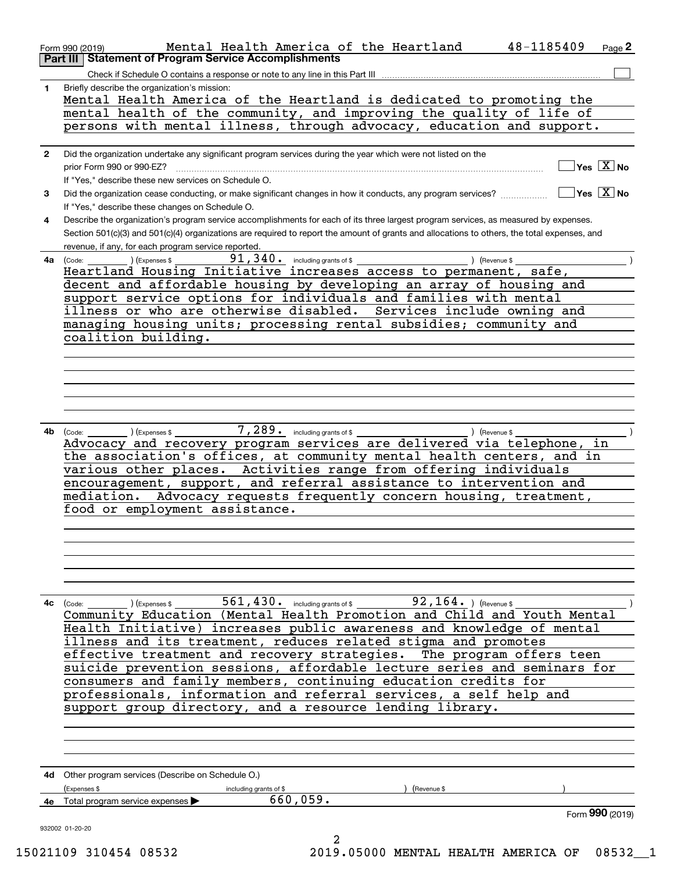| 1            | Check if Schedule O contains a response or note to any line in this Part III<br>Briefly describe the organization's mission:                                                       |
|--------------|------------------------------------------------------------------------------------------------------------------------------------------------------------------------------------|
|              | Mental Health America of the Heartland is dedicated to promoting the                                                                                                               |
|              | mental health of the community, and improving the quality of life of                                                                                                               |
|              | persons with mental illness, through advocacy, education and support.                                                                                                              |
| $\mathbf{2}$ | Did the organization undertake any significant program services during the year which were not listed on the                                                                       |
|              | $\sqrt{}$ Yes $\sqrt{X}$ No                                                                                                                                                        |
|              | If "Yes," describe these new services on Schedule O.                                                                                                                               |
| 3            | $\boxed{\phantom{1}}$ Yes $\boxed{\mathrm{X}}$ No<br>Did the organization cease conducting, or make significant changes in how it conducts, any program services?                  |
|              | If "Yes," describe these changes on Schedule O.                                                                                                                                    |
| 4            | Describe the organization's program service accomplishments for each of its three largest program services, as measured by expenses.                                               |
|              | Section 501(c)(3) and 501(c)(4) organizations are required to report the amount of grants and allocations to others, the total expenses, and                                       |
|              | revenue, if any, for each program service reported.<br>$\overline{91}$ , $\overline{340}$ . including grants of \$                                                                 |
|              | ) (Expenses \$<br><b>4a</b> (Code:<br>) (Revenue \$<br>Heartland Housing Initiative increases access to permanent, safe,                                                           |
|              | decent and affordable housing by developing an array of housing and                                                                                                                |
|              | support service options for individuals and families with mental                                                                                                                   |
|              | illness or who are otherwise disabled. Services include owning and                                                                                                                 |
|              | managing housing units; processing rental subsidies; community and                                                                                                                 |
|              | coalition building.                                                                                                                                                                |
|              |                                                                                                                                                                                    |
|              |                                                                                                                                                                                    |
|              |                                                                                                                                                                                    |
|              |                                                                                                                                                                                    |
|              |                                                                                                                                                                                    |
| 4b.          | 7, 289. including grants of \$<br>) (Expenses \$<br>) (Revenue \$<br>(Code:                                                                                                        |
|              | Advocacy and recovery program services are delivered via telephone, in                                                                                                             |
|              | the association's offices, at community mental health centers, and in                                                                                                              |
|              |                                                                                                                                                                                    |
|              |                                                                                                                                                                                    |
|              | various other places. Activities range from offering individuals<br>encouragement, support, and referral assistance to intervention and                                            |
|              | Advocacy requests frequently concern housing, treatment,<br>mediation.                                                                                                             |
|              | food or employment assistance.                                                                                                                                                     |
|              |                                                                                                                                                                                    |
|              |                                                                                                                                                                                    |
|              |                                                                                                                                                                                    |
|              |                                                                                                                                                                                    |
|              |                                                                                                                                                                                    |
| 4с           |                                                                                                                                                                                    |
|              | $\overline{92}$ , $164$ . ) (Revenue \$<br>561, 430. including grants of \$<br>) (Expenses \$<br>(Code:<br>Community Education (Mental Health Promotion and Child and Youth Mental |
|              | Health Initiative) increases public awareness and knowledge of mental                                                                                                              |
|              | illness and its treatment, reduces related stigma and promotes                                                                                                                     |
|              | effective treatment and recovery strategies. The program offers teen                                                                                                               |
|              | suicide prevention sessions, affordable lecture series and seminars for                                                                                                            |
|              | consumers and family members, continuing education credits for                                                                                                                     |
|              | professionals, information and referral services, a self help and                                                                                                                  |
|              | support group directory, and a resource lending library.                                                                                                                           |
|              |                                                                                                                                                                                    |
|              |                                                                                                                                                                                    |
|              |                                                                                                                                                                                    |
|              |                                                                                                                                                                                    |
|              | 4d Other program services (Describe on Schedule O.)<br>Expenses \$<br>(Revenue \$<br>including grants of \$                                                                        |
|              | 660,059.<br>Total program service expenses                                                                                                                                         |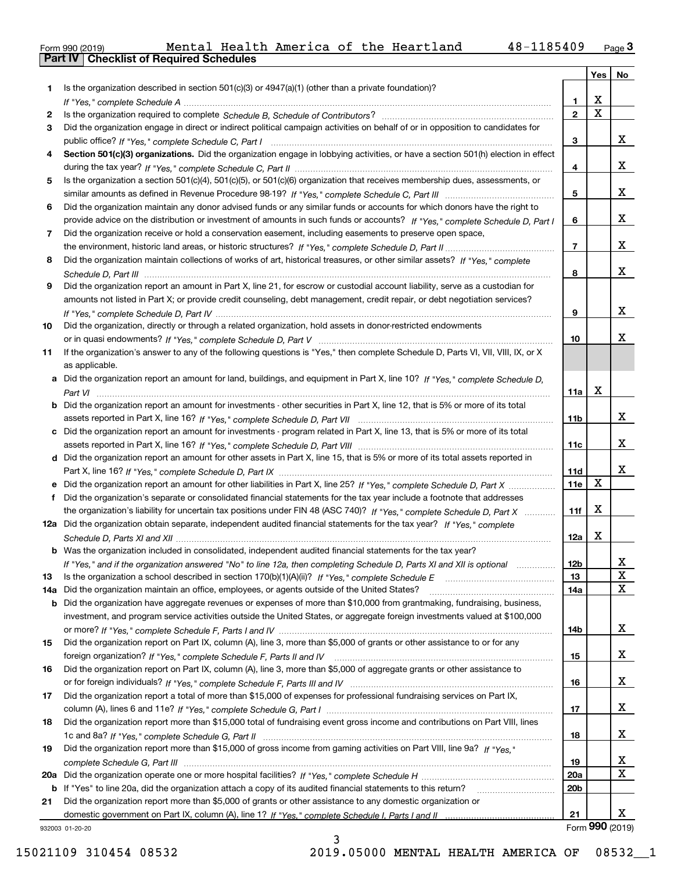|  | Form 990 (2019) |
|--|-----------------|

|     |                                                                                                                                       |                 | Yes $ $     | No            |
|-----|---------------------------------------------------------------------------------------------------------------------------------------|-----------------|-------------|---------------|
| 1   | Is the organization described in section 501(c)(3) or 4947(a)(1) (other than a private foundation)?                                   |                 |             |               |
|     |                                                                                                                                       | 1               | х           |               |
| 2   |                                                                                                                                       | $\mathbf{2}$    | $\mathbf X$ |               |
| 3   | Did the organization engage in direct or indirect political campaign activities on behalf of or in opposition to candidates for       |                 |             |               |
|     |                                                                                                                                       | 3               |             | X.            |
| 4   | Section 501(c)(3) organizations. Did the organization engage in lobbying activities, or have a section 501(h) election in effect      |                 |             |               |
|     |                                                                                                                                       | 4               |             | X.            |
| 5   | Is the organization a section 501(c)(4), 501(c)(5), or 501(c)(6) organization that receives membership dues, assessments, or          |                 |             |               |
|     |                                                                                                                                       | 5               |             | x             |
| 6   | Did the organization maintain any donor advised funds or any similar funds or accounts for which donors have the right to             |                 |             |               |
|     | provide advice on the distribution or investment of amounts in such funds or accounts? If "Yes," complete Schedule D, Part I          | 6               |             | X.            |
| 7   | Did the organization receive or hold a conservation easement, including easements to preserve open space,                             |                 |             |               |
|     |                                                                                                                                       | $\overline{7}$  |             | X.            |
| 8   | Did the organization maintain collections of works of art, historical treasures, or other similar assets? If "Yes," complete          |                 |             |               |
|     |                                                                                                                                       | 8               |             | X.            |
| 9   | Did the organization report an amount in Part X, line 21, for escrow or custodial account liability, serve as a custodian for         |                 |             |               |
|     | amounts not listed in Part X; or provide credit counseling, debt management, credit repair, or debt negotiation services?             |                 |             |               |
|     |                                                                                                                                       | 9               |             | x             |
| 10  | Did the organization, directly or through a related organization, hold assets in donor-restricted endowments                          |                 |             |               |
|     |                                                                                                                                       | 10              |             | х             |
| 11  | If the organization's answer to any of the following questions is "Yes," then complete Schedule D, Parts VI, VII, VIII, IX, or X      |                 |             |               |
|     | as applicable.                                                                                                                        |                 |             |               |
|     | a Did the organization report an amount for land, buildings, and equipment in Part X, line 10? If "Yes," complete Schedule D,         |                 |             |               |
|     |                                                                                                                                       | 11a             | x           |               |
|     | <b>b</b> Did the organization report an amount for investments - other securities in Part X, line 12, that is 5% or more of its total |                 |             |               |
|     |                                                                                                                                       | 11b             |             | X.            |
|     | c Did the organization report an amount for investments - program related in Part X, line 13, that is 5% or more of its total         |                 |             |               |
|     |                                                                                                                                       | 11c             |             | X.            |
|     | d Did the organization report an amount for other assets in Part X, line 15, that is 5% or more of its total assets reported in       |                 |             |               |
|     |                                                                                                                                       | 11d             |             | x             |
|     | Did the organization report an amount for other liabilities in Part X, line 25? If "Yes," complete Schedule D, Part X                 | 11e             | X           |               |
| f   | Did the organization's separate or consolidated financial statements for the tax year include a footnote that addresses               |                 |             |               |
|     | the organization's liability for uncertain tax positions under FIN 48 (ASC 740)? If "Yes," complete Schedule D, Part X                | 11f             | X           |               |
|     | 12a Did the organization obtain separate, independent audited financial statements for the tax year? If "Yes," complete               |                 |             |               |
|     |                                                                                                                                       | 12a             | X           |               |
|     | <b>b</b> Was the organization included in consolidated, independent audited financial statements for the tax year?                    |                 |             |               |
|     | If "Yes," and if the organization answered "No" to line 12a, then completing Schedule D, Parts XI and XII is optional                 | 12 <sub>b</sub> |             | <u>x</u><br>X |
| 13  | Is the organization a school described in section 170(b)(1)(A)(ii)? If "Yes," complete Schedule E                                     | 13              |             | x             |
| 14a | Did the organization maintain an office, employees, or agents outside of the United States?                                           | <b>14a</b>      |             |               |
| b   | Did the organization have aggregate revenues or expenses of more than \$10,000 from grantmaking, fundraising, business,               |                 |             |               |
|     | investment, and program service activities outside the United States, or aggregate foreign investments valued at \$100,000            | 14b             |             | X.            |
| 15  | Did the organization report on Part IX, column (A), line 3, more than \$5,000 of grants or other assistance to or for any             |                 |             |               |
|     |                                                                                                                                       | 15              |             | X.            |
| 16  | Did the organization report on Part IX, column (A), line 3, more than \$5,000 of aggregate grants or other assistance to              |                 |             |               |
|     |                                                                                                                                       | 16              |             | X,            |
| 17  | Did the organization report a total of more than \$15,000 of expenses for professional fundraising services on Part IX,               |                 |             |               |
|     |                                                                                                                                       | 17              |             | X.            |
| 18  | Did the organization report more than \$15,000 total of fundraising event gross income and contributions on Part VIII, lines          |                 |             |               |
|     |                                                                                                                                       | 18              |             | X.            |
| 19  | Did the organization report more than \$15,000 of gross income from gaming activities on Part VIII, line 9a? If "Yes."                |                 |             |               |
|     |                                                                                                                                       | 19              |             | X             |
| 20a |                                                                                                                                       | 20a             |             | X             |
|     | b If "Yes" to line 20a, did the organization attach a copy of its audited financial statements to this return?                        | 20 <sub>b</sub> |             |               |
| 21  | Did the organization report more than \$5,000 of grants or other assistance to any domestic organization or                           |                 |             |               |
|     |                                                                                                                                       | 21              |             | X.            |
|     |                                                                                                                                       |                 |             |               |

932003 01-20-20

15021109 310454 08532 2019.05000 MENTAL HEALTH AMERICA OF 08532\_\_1

3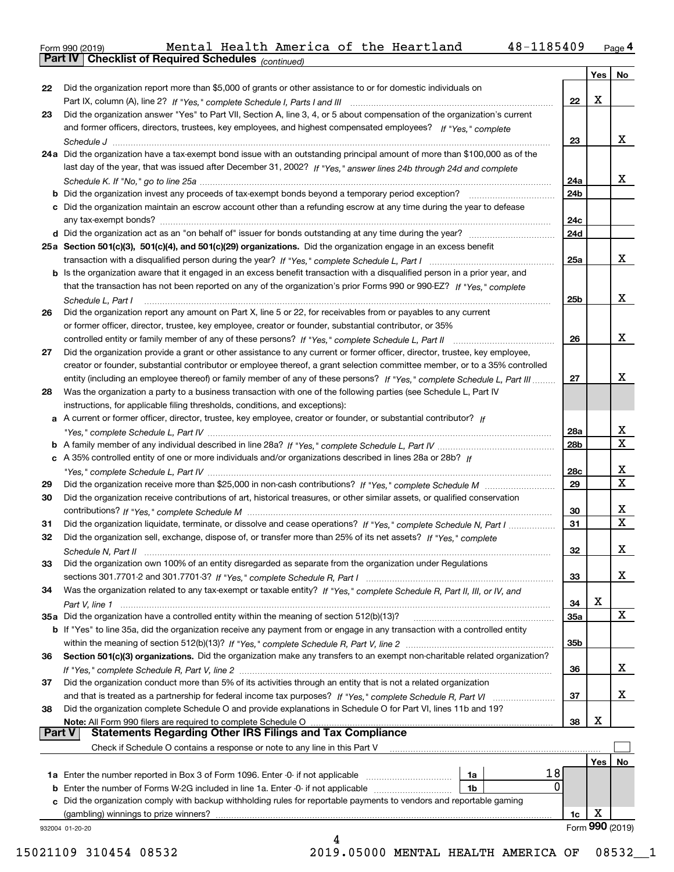|  | Form 990 (2019) |  |
|--|-----------------|--|
|  |                 |  |

*(continued)*

|               |                                                                                                                                                                                                                            |                 | Yes   No |                 |
|---------------|----------------------------------------------------------------------------------------------------------------------------------------------------------------------------------------------------------------------------|-----------------|----------|-----------------|
| 22            | Did the organization report more than \$5,000 of grants or other assistance to or for domestic individuals on                                                                                                              |                 |          |                 |
|               |                                                                                                                                                                                                                            | 22              | x        |                 |
| 23            | Did the organization answer "Yes" to Part VII, Section A, line 3, 4, or 5 about compensation of the organization's current                                                                                                 |                 |          |                 |
|               | and former officers, directors, trustees, key employees, and highest compensated employees? If "Yes," complete                                                                                                             | 23              |          | x               |
|               | 24a Did the organization have a tax-exempt bond issue with an outstanding principal amount of more than \$100,000 as of the                                                                                                |                 |          |                 |
|               | last day of the year, that was issued after December 31, 2002? If "Yes," answer lines 24b through 24d and complete                                                                                                         |                 |          |                 |
|               |                                                                                                                                                                                                                            | 24a             |          | x               |
|               | b Did the organization invest any proceeds of tax-exempt bonds beyond a temporary period exception?                                                                                                                        | 24b             |          |                 |
|               | c Did the organization maintain an escrow account other than a refunding escrow at any time during the year to defease                                                                                                     |                 |          |                 |
|               |                                                                                                                                                                                                                            | 24c             |          |                 |
|               |                                                                                                                                                                                                                            | 24d             |          |                 |
|               | 25a Section 501(c)(3), 501(c)(4), and 501(c)(29) organizations. Did the organization engage in an excess benefit                                                                                                           |                 |          |                 |
|               |                                                                                                                                                                                                                            | 25a             |          | х               |
|               | b Is the organization aware that it engaged in an excess benefit transaction with a disqualified person in a prior year, and                                                                                               |                 |          |                 |
|               | that the transaction has not been reported on any of the organization's prior Forms 990 or 990-EZ? If "Yes," complete                                                                                                      |                 |          |                 |
|               | Schedule L, Part I                                                                                                                                                                                                         | 25 <sub>b</sub> |          | х               |
| 26            | Did the organization report any amount on Part X, line 5 or 22, for receivables from or payables to any current                                                                                                            |                 |          |                 |
|               | or former officer, director, trustee, key employee, creator or founder, substantial contributor, or 35%                                                                                                                    |                 |          |                 |
|               |                                                                                                                                                                                                                            | 26              |          | х               |
| 27            | Did the organization provide a grant or other assistance to any current or former officer, director, trustee, key employee,                                                                                                |                 |          |                 |
|               | creator or founder, substantial contributor or employee thereof, a grant selection committee member, or to a 35% controlled                                                                                                |                 |          | х               |
| 28            | entity (including an employee thereof) or family member of any of these persons? If "Yes," complete Schedule L, Part III                                                                                                   | 27              |          |                 |
|               | Was the organization a party to a business transaction with one of the following parties (see Schedule L, Part IV<br>instructions, for applicable filing thresholds, conditions, and exceptions):                          |                 |          |                 |
|               | a A current or former officer, director, trustee, key employee, creator or founder, or substantial contributor? If                                                                                                         |                 |          |                 |
|               |                                                                                                                                                                                                                            | 28a             |          | x               |
|               |                                                                                                                                                                                                                            | 28b             |          | $\mathbf X$     |
|               | c A 35% controlled entity of one or more individuals and/or organizations described in lines 28a or 28b? If                                                                                                                |                 |          |                 |
|               |                                                                                                                                                                                                                            | 28c             |          | x               |
| 29            |                                                                                                                                                                                                                            | 29              |          | $\mathbf X$     |
| 30            | Did the organization receive contributions of art, historical treasures, or other similar assets, or qualified conservation                                                                                                |                 |          |                 |
|               |                                                                                                                                                                                                                            | 30              |          | x               |
| 31            | Did the organization liquidate, terminate, or dissolve and cease operations? If "Yes," complete Schedule N, Part I                                                                                                         | 31              |          | $\mathbf x$     |
| 32            | Did the organization sell, exchange, dispose of, or transfer more than 25% of its net assets? If "Yes," complete                                                                                                           |                 |          |                 |
|               | Schedule N, Part II                                                                                                                                                                                                        | 32              |          | x               |
| 33            | Did the organization own 100% of an entity disregarded as separate from the organization under Regulations                                                                                                                 |                 |          |                 |
|               |                                                                                                                                                                                                                            | 33              |          | х               |
| 34            | Was the organization related to any tax-exempt or taxable entity? If "Yes," complete Schedule R, Part II, III, or IV, and                                                                                                  |                 | X        |                 |
|               |                                                                                                                                                                                                                            | 34              |          | x               |
|               | 35a Did the organization have a controlled entity within the meaning of section 512(b)(13)?<br>b If "Yes" to line 35a, did the organization receive any payment from or engage in any transaction with a controlled entity | <b>35a</b>      |          |                 |
|               |                                                                                                                                                                                                                            | 35 <sub>b</sub> |          |                 |
| 36            | Section 501(c)(3) organizations. Did the organization make any transfers to an exempt non-charitable related organization?                                                                                                 |                 |          |                 |
|               |                                                                                                                                                                                                                            | 36              |          | X               |
| 37            | Did the organization conduct more than 5% of its activities through an entity that is not a related organization                                                                                                           |                 |          |                 |
|               | and that is treated as a partnership for federal income tax purposes? If "Yes," complete Schedule R, Part VI                                                                                                               | 37              |          | x               |
| 38            | Did the organization complete Schedule O and provide explanations in Schedule O for Part VI, lines 11b and 19?                                                                                                             |                 |          |                 |
|               | Note: All Form 990 filers are required to complete Schedule O                                                                                                                                                              | 38              | х        |                 |
| <b>Part V</b> | <b>Statements Regarding Other IRS Filings and Tax Compliance</b>                                                                                                                                                           |                 |          |                 |
|               | Check if Schedule O contains a response or note to any line in this Part V                                                                                                                                                 |                 |          |                 |
|               |                                                                                                                                                                                                                            |                 | Yes      | No              |
|               | 18<br><b>1a</b> Enter the number reported in Box 3 of Form 1096. Enter -0- if not applicable <i>manumumumum</i><br>1a<br>0                                                                                                 |                 |          |                 |
|               | 1b                                                                                                                                                                                                                         |                 |          |                 |
|               | c Did the organization comply with backup withholding rules for reportable payments to vendors and reportable gaming<br>(gambling) winnings to prize winners?                                                              | 1c              | х        |                 |
|               | 932004 01-20-20                                                                                                                                                                                                            |                 |          | Form 990 (2019) |
|               | 4                                                                                                                                                                                                                          |                 |          |                 |

15021109 310454 08532 2019.05000 MENTAL HEALTH AMERICA OF 08532\_\_1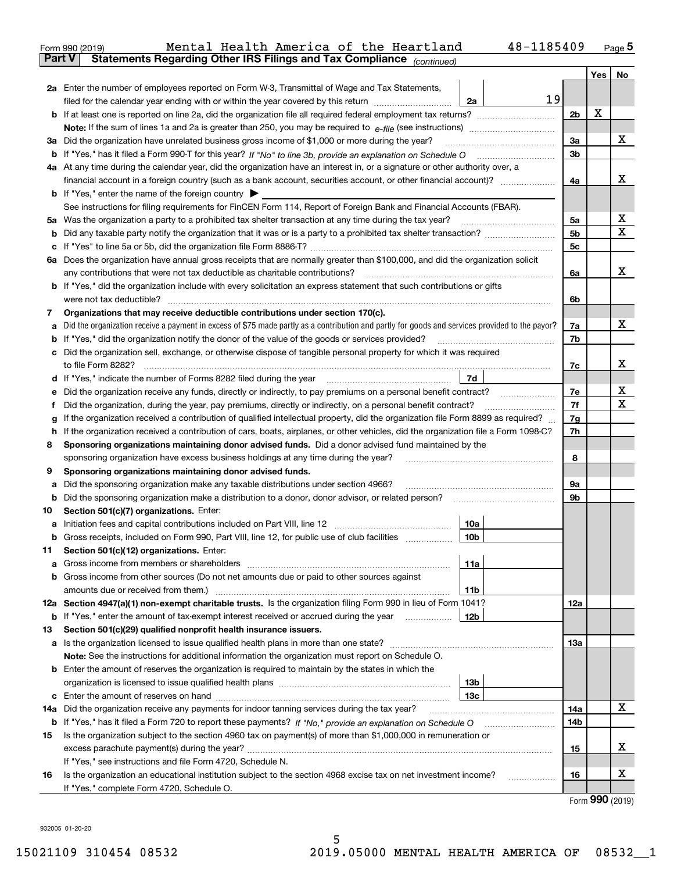|               | 48-1185409<br>Mental Health America of the Heartland<br>Form 990 (2019)                                                                         |                |     | Page $5$        |
|---------------|-------------------------------------------------------------------------------------------------------------------------------------------------|----------------|-----|-----------------|
| <b>Part V</b> | Statements Regarding Other IRS Filings and Tax Compliance (continued)                                                                           |                |     |                 |
|               |                                                                                                                                                 |                | Yes | No              |
|               | 2a Enter the number of employees reported on Form W-3, Transmittal of Wage and Tax Statements,                                                  |                |     |                 |
|               | 19<br>filed for the calendar year ending with or within the year covered by this return <i>manumumumum</i><br>2a                                |                |     |                 |
|               |                                                                                                                                                 | 2 <sub>b</sub> | X   |                 |
|               |                                                                                                                                                 |                |     |                 |
|               | 3a Did the organization have unrelated business gross income of \$1,000 or more during the year?                                                | 3a             |     | X               |
|               |                                                                                                                                                 | 3b             |     |                 |
|               | 4a At any time during the calendar year, did the organization have an interest in, or a signature or other authority over, a                    |                |     |                 |
|               | financial account in a foreign country (such as a bank account, securities account, or other financial account)?                                | 4a             |     | x               |
|               | <b>b</b> If "Yes," enter the name of the foreign country $\blacktriangleright$                                                                  |                |     |                 |
|               | See instructions for filing requirements for FinCEN Form 114, Report of Foreign Bank and Financial Accounts (FBAR).                             |                |     |                 |
| 5a            |                                                                                                                                                 | 5a             |     | X               |
| b             |                                                                                                                                                 | 5 <sub>b</sub> |     | х               |
| c             |                                                                                                                                                 | 5c             |     |                 |
|               | 6a Does the organization have annual gross receipts that are normally greater than \$100,000, and did the organization solicit                  |                |     |                 |
|               | any contributions that were not tax deductible as charitable contributions?                                                                     | 6a             |     | х               |
|               | <b>b</b> If "Yes," did the organization include with every solicitation an express statement that such contributions or gifts                   |                |     |                 |
|               | were not tax deductible?                                                                                                                        | 6b             |     |                 |
| 7             | Organizations that may receive deductible contributions under section 170(c).                                                                   |                |     |                 |
| a             | Did the organization receive a payment in excess of \$75 made partly as a contribution and partly for goods and services provided to the payor? | 7a             |     | x               |
| b             | If "Yes," did the organization notify the donor of the value of the goods or services provided?                                                 | 7b             |     |                 |
|               | c Did the organization sell, exchange, or otherwise dispose of tangible personal property for which it was required                             |                |     |                 |
|               |                                                                                                                                                 | 7c             |     | x               |
|               | 7d                                                                                                                                              |                |     |                 |
| е             | Did the organization receive any funds, directly or indirectly, to pay premiums on a personal benefit contract?                                 | 7e             |     | X               |
| f             | Did the organization, during the year, pay premiums, directly or indirectly, on a personal benefit contract?                                    | 7f             |     | х               |
| g             | If the organization received a contribution of qualified intellectual property, did the organization file Form 8899 as required?                | 7g             |     |                 |
| h             | If the organization received a contribution of cars, boats, airplanes, or other vehicles, did the organization file a Form 1098-C?              | 7h             |     |                 |
| 8             | Sponsoring organizations maintaining donor advised funds. Did a donor advised fund maintained by the                                            |                |     |                 |
|               | sponsoring organization have excess business holdings at any time during the year?                                                              | 8              |     |                 |
| 9             | Sponsoring organizations maintaining donor advised funds.                                                                                       |                |     |                 |
| а             | Did the sponsoring organization make any taxable distributions under section 4966?                                                              | 9а             |     |                 |
| b             | Did the sponsoring organization make a distribution to a donor, donor advisor, or related person? [[[[[[[[[[[                                   | 9b             |     |                 |
| 10            | Section 501(c)(7) organizations. Enter:                                                                                                         |                |     |                 |
|               | 10a                                                                                                                                             |                |     |                 |
|               | Gross receipts, included on Form 990, Part VIII, line 12, for public use of club facilities<br> 10 <sub>b</sub>                                 |                |     |                 |
| 11            | Section 501(c)(12) organizations. Enter:                                                                                                        |                |     |                 |
| a             | 11a                                                                                                                                             |                |     |                 |
|               | b Gross income from other sources (Do not net amounts due or paid to other sources against                                                      |                |     |                 |
|               | 11b                                                                                                                                             |                |     |                 |
|               | 12a Section 4947(a)(1) non-exempt charitable trusts. Is the organization filing Form 990 in lieu of Form 1041?                                  | 12a            |     |                 |
|               | 12 <sub>b</sub><br><b>b</b> If "Yes," enter the amount of tax-exempt interest received or accrued during the year <i>manument</i> of            |                |     |                 |
| 13            | Section 501(c)(29) qualified nonprofit health insurance issuers.                                                                                |                |     |                 |
|               | a Is the organization licensed to issue qualified health plans in more than one state?                                                          | 13a            |     |                 |
|               | Note: See the instructions for additional information the organization must report on Schedule O.                                               |                |     |                 |
|               | <b>b</b> Enter the amount of reserves the organization is required to maintain by the states in which the                                       |                |     |                 |
|               | 13 <sub>b</sub>                                                                                                                                 |                |     |                 |
|               | 13 <sub>c</sub>                                                                                                                                 |                |     |                 |
| 14a           | Did the organization receive any payments for indoor tanning services during the tax year?                                                      | 14a            |     | X               |
|               | <b>b</b> If "Yes," has it filed a Form 720 to report these payments? If "No," provide an explanation on Schedule O                              | 14b            |     |                 |
| 15            | Is the organization subject to the section 4960 tax on payment(s) of more than \$1,000,000 in remuneration or                                   |                |     |                 |
|               |                                                                                                                                                 | 15             |     | х               |
|               | If "Yes," see instructions and file Form 4720, Schedule N.                                                                                      |                |     |                 |
| 16            | Is the organization an educational institution subject to the section 4968 excise tax on net investment income?                                 | 16             |     | х               |
|               | If "Yes," complete Form 4720, Schedule O.                                                                                                       |                |     |                 |
|               |                                                                                                                                                 |                |     | Form 990 (2019) |

932005 01-20-20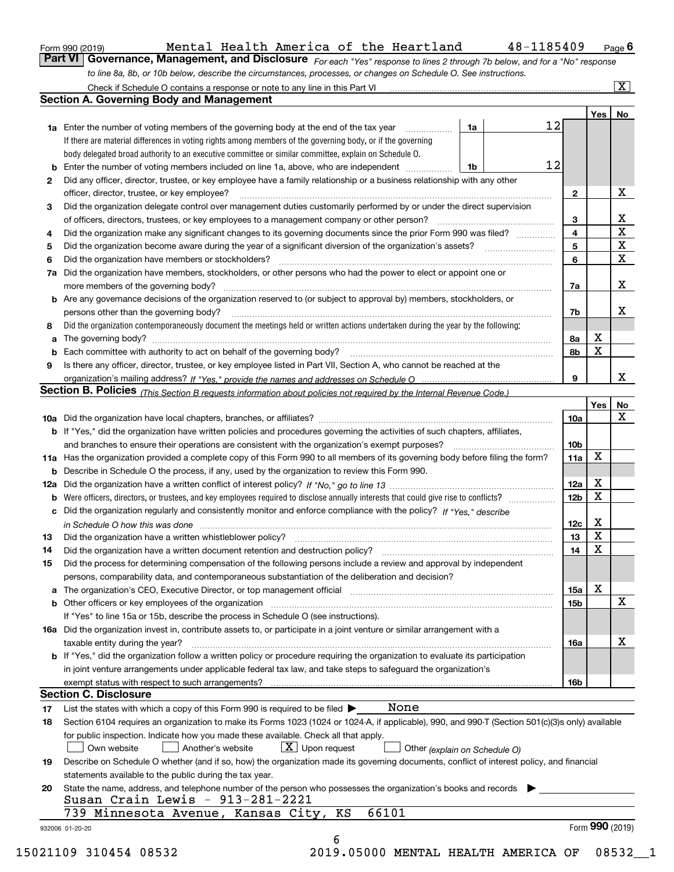| Form 990 (2019) |  |  |
|-----------------|--|--|
|                 |  |  |

*For each "Yes" response to lines 2 through 7b below, and for a "No" response to line 8a, 8b, or 10b below, describe the circumstances, processes, or changes on Schedule O. See instructions.* Form 990 (2019) Mental Health America of the Heartland 48-1185409 <sub>Page</sub> 6<br>**Part VI** Governance, Management, and Disclosure <sub>For each "Yes" response to lines 2 through 7b below, and for a "No" respo</sub>

|    |                                                                                                                                                                               |    |    |                 | Yes   No        |             |
|----|-------------------------------------------------------------------------------------------------------------------------------------------------------------------------------|----|----|-----------------|-----------------|-------------|
|    | <b>1a</b> Enter the number of voting members of the governing body at the end of the tax year <i>manumum</i>                                                                  | 1a | 12 |                 |                 |             |
|    | If there are material differences in voting rights among members of the governing body, or if the governing                                                                   |    |    |                 |                 |             |
|    | body delegated broad authority to an executive committee or similar committee, explain on Schedule O.                                                                         |    |    |                 |                 |             |
|    | <b>b</b> Enter the number of voting members included on line 1a, above, who are independent <i>manumum</i>                                                                    | 1b | 12 |                 |                 |             |
| 2  | Did any officer, director, trustee, or key employee have a family relationship or a business relationship with any other                                                      |    |    |                 |                 |             |
|    | officer, director, trustee, or key employee?                                                                                                                                  |    |    | $\mathbf{2}$    |                 | X           |
| 3  | Did the organization delegate control over management duties customarily performed by or under the direct supervision                                                         |    |    |                 |                 |             |
|    |                                                                                                                                                                               |    |    | 3               |                 | X           |
| 4  | Did the organization make any significant changes to its governing documents since the prior Form 990 was filed?                                                              |    |    | $\overline{4}$  |                 | $\mathbf X$ |
| 5  |                                                                                                                                                                               |    |    | 5               |                 | $\mathbf X$ |
| 6  |                                                                                                                                                                               |    |    | 6               |                 | $\mathbf X$ |
| 7a | Did the organization have members, stockholders, or other persons who had the power to elect or appoint one or                                                                |    |    |                 |                 |             |
|    |                                                                                                                                                                               |    |    | 7a              |                 | x           |
|    | <b>b</b> Are any governance decisions of the organization reserved to (or subject to approval by) members, stockholders, or                                                   |    |    |                 |                 |             |
|    | persons other than the governing body?                                                                                                                                        |    |    | 7b              |                 | х           |
| 8  | Did the organization contemporaneously document the meetings held or written actions undertaken during the year by the following:                                             |    |    |                 |                 |             |
| a  |                                                                                                                                                                               |    |    | 8a              | X               |             |
|    |                                                                                                                                                                               |    |    | 8b              | X               |             |
| 9  | Is there any officer, director, trustee, or key employee listed in Part VII, Section A, who cannot be reached at the                                                          |    |    |                 |                 |             |
|    |                                                                                                                                                                               |    |    | 9               |                 | x           |
|    | Section B. Policies (This Section B requests information about policies not required by the Internal Revenue Code.)                                                           |    |    |                 |                 |             |
|    |                                                                                                                                                                               |    |    |                 | Yes             | No          |
|    |                                                                                                                                                                               |    |    | 10a             |                 | X           |
|    | <b>b</b> If "Yes," did the organization have written policies and procedures governing the activities of such chapters, affiliates,                                           |    |    |                 |                 |             |
|    |                                                                                                                                                                               |    |    | 10 <sub>b</sub> |                 |             |
|    | 11a Has the organization provided a complete copy of this Form 990 to all members of its governing body before filing the form?                                               |    |    | 11a             | X               |             |
|    | <b>b</b> Describe in Schedule O the process, if any, used by the organization to review this Form 990.                                                                        |    |    |                 |                 |             |
|    |                                                                                                                                                                               |    |    | 12a             | X               |             |
|    |                                                                                                                                                                               |    |    | 12 <sub>b</sub> | X               |             |
| b  |                                                                                                                                                                               |    |    |                 |                 |             |
|    | c Did the organization regularly and consistently monitor and enforce compliance with the policy? If "Yes." describe                                                          |    |    |                 | X               |             |
|    | in Schedule O how this was done manufactured and continuum control of the Schedule O how this was done manufactured and continuum control of the Schedule O how this was done |    |    | 12c             | X               |             |
| 13 |                                                                                                                                                                               |    |    | 13              | X               |             |
| 14 | Did the organization have a written document retention and destruction policy? manufactured and the organization have a written document retention and destruction policy?    |    |    | 14              |                 |             |
| 15 | Did the process for determining compensation of the following persons include a review and approval by independent                                                            |    |    |                 |                 |             |
|    | persons, comparability data, and contemporaneous substantiation of the deliberation and decision?                                                                             |    |    |                 |                 |             |
|    |                                                                                                                                                                               |    |    | 15a             | X               |             |
|    |                                                                                                                                                                               |    |    | 15 <sub>b</sub> |                 | X           |
|    | If "Yes" to line 15a or 15b, describe the process in Schedule O (see instructions).                                                                                           |    |    |                 |                 |             |
|    | 16a Did the organization invest in, contribute assets to, or participate in a joint venture or similar arrangement with a                                                     |    |    |                 |                 |             |
|    | taxable entity during the year?                                                                                                                                               |    |    | 16a             |                 | х           |
|    | b If "Yes," did the organization follow a written policy or procedure requiring the organization to evaluate its participation                                                |    |    |                 |                 |             |
|    | in joint venture arrangements under applicable federal tax law, and take steps to safequard the organization's                                                                |    |    |                 |                 |             |
|    | exempt status with respect to such arrangements?                                                                                                                              |    |    | 16 <sub>b</sub> |                 |             |
|    | <b>Section C. Disclosure</b>                                                                                                                                                  |    |    |                 |                 |             |
| 17 | None<br>List the states with which a copy of this Form 990 is required to be filed $\blacktriangleright$                                                                      |    |    |                 |                 |             |
| 18 | Section 6104 requires an organization to make its Forms 1023 (1024 or 1024-A, if applicable), 990, and 990-T (Section 501(c)(3)s only) available                              |    |    |                 |                 |             |
|    | for public inspection. Indicate how you made these available. Check all that apply.                                                                                           |    |    |                 |                 |             |
|    | $X$ Upon request<br>Own website<br>Another's website<br>Other (explain on Schedule O)                                                                                         |    |    |                 |                 |             |
| 19 | Describe on Schedule O whether (and if so, how) the organization made its governing documents, conflict of interest policy, and financial                                     |    |    |                 |                 |             |
|    | statements available to the public during the tax year.                                                                                                                       |    |    |                 |                 |             |
| 20 | State the name, address, and telephone number of the person who possesses the organization's books and records                                                                |    |    |                 |                 |             |
|    | Susan Crain Lewis - 913-281-2221                                                                                                                                              |    |    |                 |                 |             |
|    | 66101<br>739 Minnesota Avenue, Kansas City, KS                                                                                                                                |    |    |                 |                 |             |
|    |                                                                                                                                                                               |    |    |                 | Form 990 (2019) |             |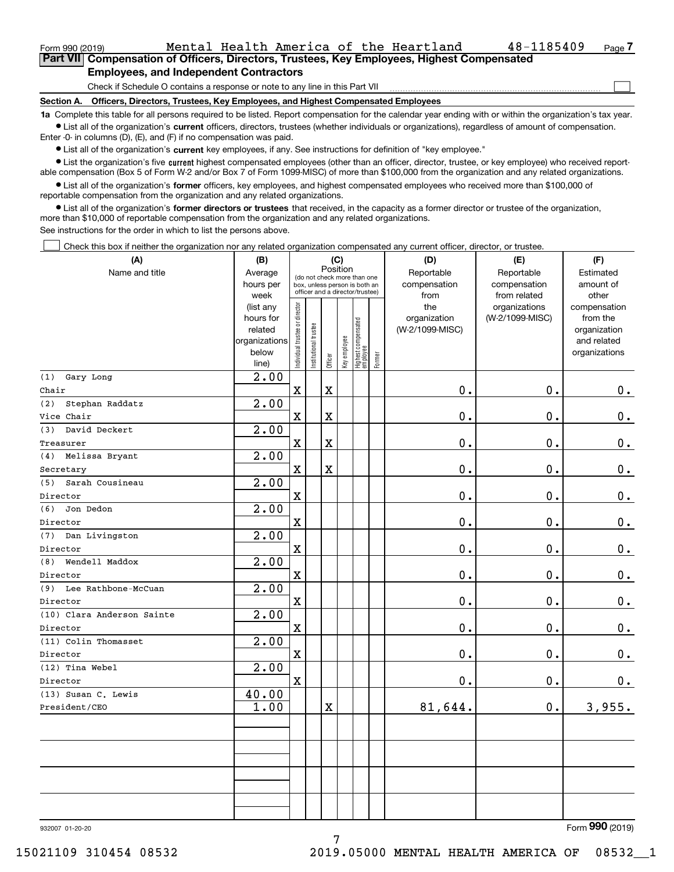$\mathcal{L}^{\text{max}}$ 

## **Employees, and Independent Contractors**

Check if Schedule O contains a response or note to any line in this Part VII

**Section A. Officers, Directors, Trustees, Key Employees, and Highest Compensated Employees**

**1a**  Complete this table for all persons required to be listed. Report compensation for the calendar year ending with or within the organization's tax year. **•** List all of the organization's current officers, directors, trustees (whether individuals or organizations), regardless of amount of compensation.

Enter -0- in columns (D), (E), and (F) if no compensation was paid.

 $\bullet$  List all of the organization's  $\,$ current key employees, if any. See instructions for definition of "key employee."

**•** List the organization's five current highest compensated employees (other than an officer, director, trustee, or key employee) who received reportable compensation (Box 5 of Form W-2 and/or Box 7 of Form 1099-MISC) of more than \$100,000 from the organization and any related organizations.

**•** List all of the organization's former officers, key employees, and highest compensated employees who received more than \$100,000 of reportable compensation from the organization and any related organizations.

**former directors or trustees**  ¥ List all of the organization's that received, in the capacity as a former director or trustee of the organization, more than \$10,000 of reportable compensation from the organization and any related organizations.

See instructions for the order in which to list the persons above.

Check this box if neither the organization nor any related organization compensated any current officer, director, or trustee.  $\mathcal{L}^{\text{max}}$ 

| (A)                        | (B)                    | (C)                           |                                         | (D)         | (E)          | (F)                                                              |           |                     |                                  |                          |
|----------------------------|------------------------|-------------------------------|-----------------------------------------|-------------|--------------|------------------------------------------------------------------|-----------|---------------------|----------------------------------|--------------------------|
| Name and title             | Average                |                               | Position<br>(do not check more than one |             | Reportable   | Reportable                                                       | Estimated |                     |                                  |                          |
|                            | hours per              |                               |                                         |             |              | box, unless person is both an<br>officer and a director/trustee) |           | compensation        | compensation                     | amount of                |
|                            | week                   |                               |                                         |             |              |                                                                  |           | from                | from related                     | other                    |
|                            | (list any<br>hours for |                               |                                         |             |              |                                                                  |           | the<br>organization | organizations<br>(W-2/1099-MISC) | compensation<br>from the |
|                            | related                |                               |                                         |             |              |                                                                  |           | (W-2/1099-MISC)     |                                  | organization             |
|                            | organizations          |                               |                                         |             |              |                                                                  |           |                     |                                  | and related              |
|                            | below                  | ndividual trustee or director | Institutional trustee                   |             | Key employee |                                                                  |           |                     |                                  | organizations            |
|                            | line)                  |                               |                                         | Officer     |              | Highest compensated<br> employee                                 | Former    |                     |                                  |                          |
| Gary Long<br>(1)           | 2.00                   |                               |                                         |             |              |                                                                  |           |                     |                                  |                          |
| Chair                      |                        | $\mathbf X$                   |                                         | $\mathbf X$ |              |                                                                  |           | 0.                  | 0.                               | $0_{.}$                  |
| (2)<br>Stephan Raddatz     | 2.00                   |                               |                                         |             |              |                                                                  |           |                     |                                  |                          |
| Vice Chair                 |                        | $\mathbf X$                   |                                         | X           |              |                                                                  |           | 0.                  | 0.                               | 0.                       |
| (3)<br>David Deckert       | 2.00                   |                               |                                         |             |              |                                                                  |           |                     |                                  |                          |
| Treasurer                  |                        | $\mathbf x$                   |                                         | X           |              |                                                                  |           | 0.                  | 0.                               | $\mathbf 0$ .            |
| (4)<br>Melissa Bryant      | $\overline{2.00}$      |                               |                                         |             |              |                                                                  |           |                     |                                  |                          |
| Secretary                  |                        | $\mathbf X$                   |                                         | X           |              |                                                                  |           | 0.                  | 0.                               | 0.                       |
| Sarah Cousineau<br>(5)     | 2.00                   |                               |                                         |             |              |                                                                  |           |                     |                                  |                          |
| Director                   |                        | $\mathbf x$                   |                                         |             |              |                                                                  |           | 0.                  | 0.                               | $\mathbf 0$ .            |
| (6)<br>Jon Dedon           | 2.00                   |                               |                                         |             |              |                                                                  |           |                     |                                  |                          |
| Director                   |                        | $\mathbf X$                   |                                         |             |              |                                                                  |           | 0.                  | 0.                               | $\mathbf 0$ .            |
| Dan Livingston<br>(7)      | 2.00                   |                               |                                         |             |              |                                                                  |           |                     |                                  |                          |
| Director                   |                        | $\mathbf x$                   |                                         |             |              |                                                                  |           | 0.                  | 0.                               | $\mathbf 0$ .            |
| Wendell Maddox<br>(8)      | 2.00                   |                               |                                         |             |              |                                                                  |           |                     |                                  |                          |
| Director                   |                        | $\mathbf X$                   |                                         |             |              |                                                                  |           | 0.                  | 0.                               | 0.                       |
| (9) Lee Rathbone-McCuan    | 2.00                   |                               |                                         |             |              |                                                                  |           |                     |                                  |                          |
| Director                   |                        | $\mathbf x$                   |                                         |             |              |                                                                  |           | 0.                  | 0.                               | $\mathbf 0$ .            |
| (10) Clara Anderson Sainte | 2.00                   |                               |                                         |             |              |                                                                  |           |                     |                                  |                          |
| Director                   |                        | $\mathbf X$                   |                                         |             |              |                                                                  |           | $\mathbf 0$ .       | 0.                               | $\mathbf 0$ .            |
| (11) Colin Thomasset       | 2.00                   |                               |                                         |             |              |                                                                  |           |                     |                                  |                          |
| Director                   |                        | $\mathbf x$                   |                                         |             |              |                                                                  |           | 0.                  | 0.                               | $0_{.}$                  |
| (12) Tina Webel            | 2.00                   |                               |                                         |             |              |                                                                  |           |                     |                                  |                          |
| Director                   |                        | $\mathbf x$                   |                                         |             |              |                                                                  |           | 0.                  | 0.                               | 0.                       |
| (13) Susan C. Lewis        | 40.00                  |                               |                                         |             |              |                                                                  |           |                     |                                  |                          |
| President/CEO              | 1.00                   |                               |                                         | $\mathbf X$ |              |                                                                  |           | 81,644.             | 0.                               | 3,955.                   |
|                            |                        |                               |                                         |             |              |                                                                  |           |                     |                                  |                          |
|                            |                        |                               |                                         |             |              |                                                                  |           |                     |                                  |                          |
|                            |                        |                               |                                         |             |              |                                                                  |           |                     |                                  |                          |
|                            |                        |                               |                                         |             |              |                                                                  |           |                     |                                  |                          |
|                            |                        |                               |                                         |             |              |                                                                  |           |                     |                                  |                          |
|                            |                        |                               |                                         |             |              |                                                                  |           |                     |                                  |                          |
|                            |                        |                               |                                         |             |              |                                                                  |           |                     |                                  |                          |
|                            |                        |                               |                                         |             |              |                                                                  |           |                     |                                  |                          |

932007 01-20-20

Form (2019) **990**

7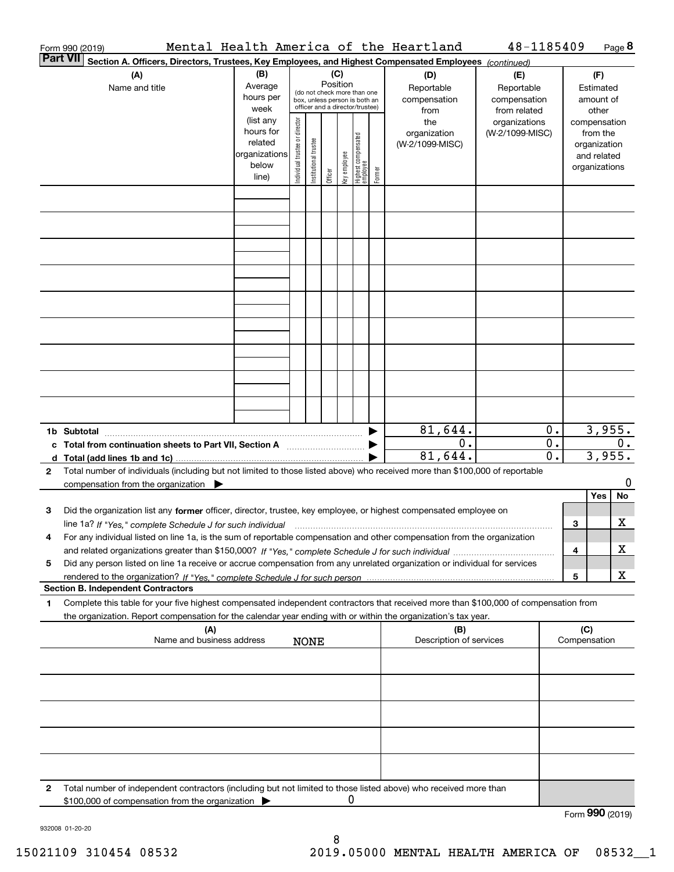|                 | Form 990 (2019) |                                                                                                                                                 |     |                        |  |                                |                       |          |              |                                  |        | Mental Health America of the Heartland | 48-1185409      |       |     |                          | Page 8 |
|-----------------|-----------------|-------------------------------------------------------------------------------------------------------------------------------------------------|-----|------------------------|--|--------------------------------|-----------------------|----------|--------------|----------------------------------|--------|----------------------------------------|-----------------|-------|-----|--------------------------|--------|
| <b>Part VII</b> |                 | Section A. Officers, Directors, Trustees, Key Employees, and Highest Compensated Employees (continued)                                          |     |                        |  |                                |                       |          |              |                                  |        |                                        |                 |       |     |                          |        |
|                 |                 | (A)                                                                                                                                             |     | (B)                    |  |                                |                       | (C)      |              |                                  |        | (D)                                    | (E)             |       |     | (F)                      |        |
|                 |                 | Name and title                                                                                                                                  |     | Average                |  |                                |                       | Position |              | (do not check more than one      |        | Reportable                             | Reportable      |       |     | Estimated                |        |
|                 |                 |                                                                                                                                                 |     | hours per              |  |                                |                       |          |              | box, unless person is both an    |        | compensation                           | compensation    |       |     | amount of                |        |
|                 |                 |                                                                                                                                                 |     | week                   |  |                                |                       |          |              | officer and a director/trustee)  |        | from                                   | from related    |       |     | other                    |        |
|                 |                 |                                                                                                                                                 |     | (list any<br>hours for |  |                                |                       |          |              |                                  |        | the                                    | organizations   |       |     | compensation             |        |
|                 |                 |                                                                                                                                                 |     | related                |  | Individual trustee or director |                       |          |              |                                  |        | organization<br>(W-2/1099-MISC)        | (W-2/1099-MISC) |       |     | from the<br>organization |        |
|                 |                 |                                                                                                                                                 |     | organizations          |  |                                | Institutional trustee |          |              |                                  |        |                                        |                 |       |     | and related              |        |
|                 |                 |                                                                                                                                                 |     | below                  |  |                                |                       |          | Key employee |                                  |        |                                        |                 |       |     | organizations            |        |
|                 |                 |                                                                                                                                                 |     | line)                  |  |                                |                       | Officer  |              | Highest compensated<br> employee | Former |                                        |                 |       |     |                          |        |
|                 |                 |                                                                                                                                                 |     |                        |  |                                |                       |          |              |                                  |        |                                        |                 |       |     |                          |        |
|                 |                 |                                                                                                                                                 |     |                        |  |                                |                       |          |              |                                  |        |                                        |                 |       |     |                          |        |
|                 |                 |                                                                                                                                                 |     |                        |  |                                |                       |          |              |                                  |        |                                        |                 |       |     |                          |        |
|                 |                 |                                                                                                                                                 |     |                        |  |                                |                       |          |              |                                  |        |                                        |                 |       |     |                          |        |
|                 |                 |                                                                                                                                                 |     |                        |  |                                |                       |          |              |                                  |        |                                        |                 |       |     |                          |        |
|                 |                 |                                                                                                                                                 |     |                        |  |                                |                       |          |              |                                  |        |                                        |                 |       |     |                          |        |
|                 |                 |                                                                                                                                                 |     |                        |  |                                |                       |          |              |                                  |        |                                        |                 |       |     |                          |        |
|                 |                 |                                                                                                                                                 |     |                        |  |                                |                       |          |              |                                  |        |                                        |                 |       |     |                          |        |
|                 |                 |                                                                                                                                                 |     |                        |  |                                |                       |          |              |                                  |        |                                        |                 |       |     |                          |        |
|                 |                 |                                                                                                                                                 |     |                        |  |                                |                       |          |              |                                  |        |                                        |                 |       |     |                          |        |
|                 |                 |                                                                                                                                                 |     |                        |  |                                |                       |          |              |                                  |        |                                        |                 |       |     |                          |        |
|                 |                 |                                                                                                                                                 |     |                        |  |                                |                       |          |              |                                  |        |                                        |                 |       |     |                          |        |
|                 |                 |                                                                                                                                                 |     |                        |  |                                |                       |          |              |                                  |        |                                        |                 |       |     |                          |        |
|                 |                 |                                                                                                                                                 |     |                        |  |                                |                       |          |              |                                  |        |                                        |                 |       |     |                          |        |
|                 |                 |                                                                                                                                                 |     |                        |  |                                |                       |          |              |                                  |        |                                        |                 |       |     |                          |        |
|                 |                 |                                                                                                                                                 |     |                        |  |                                |                       |          |              |                                  |        |                                        |                 |       |     |                          |        |
|                 |                 |                                                                                                                                                 |     |                        |  |                                |                       |          |              |                                  |        |                                        |                 |       |     |                          |        |
|                 |                 |                                                                                                                                                 |     |                        |  |                                |                       |          |              |                                  |        |                                        |                 |       |     |                          |        |
|                 |                 |                                                                                                                                                 |     |                        |  |                                |                       |          |              |                                  |        | 81,644.                                |                 | 0.    |     | 3,955.                   |        |
|                 |                 | c Total from continuation sheets to Part VII, Section A                                                                                         |     |                        |  |                                |                       |          |              |                                  |        | 0.                                     |                 | $0$ . |     |                          | 0.     |
|                 |                 |                                                                                                                                                 |     |                        |  |                                |                       |          |              |                                  |        | 81,644.                                |                 | 0.    |     | 3,955.                   |        |
| $\mathbf{2}$    |                 | Total number of individuals (including but not limited to those listed above) who received more than \$100,000 of reportable                    |     |                        |  |                                |                       |          |              |                                  |        |                                        |                 |       |     |                          | 0      |
|                 |                 | compensation from the organization $\blacktriangleright$                                                                                        |     |                        |  |                                |                       |          |              |                                  |        |                                        |                 |       |     | Yes                      | No     |
|                 |                 |                                                                                                                                                 |     |                        |  |                                |                       |          |              |                                  |        |                                        |                 |       |     |                          |        |
| 3               |                 | Did the organization list any former officer, director, trustee, key employee, or highest compensated employee on                               |     |                        |  |                                |                       |          |              |                                  |        |                                        |                 |       |     |                          | х      |
|                 |                 | line 1a? If "Yes," complete Schedule J for such individual manufactured contained and the 1a? If "Yes," complete Schedule J for such individual |     |                        |  |                                |                       |          |              |                                  |        |                                        |                 |       | 3   |                          |        |
|                 |                 | For any individual listed on line 1a, is the sum of reportable compensation and other compensation from the organization                        |     |                        |  |                                |                       |          |              |                                  |        |                                        |                 |       |     |                          | х      |
| 5               |                 | Did any person listed on line 1a receive or accrue compensation from any unrelated organization or individual for services                      |     |                        |  |                                |                       |          |              |                                  |        |                                        |                 |       | 4   |                          |        |
|                 |                 |                                                                                                                                                 |     |                        |  |                                |                       |          |              |                                  |        |                                        |                 |       | 5   |                          | х      |
|                 |                 | <b>Section B. Independent Contractors</b>                                                                                                       |     |                        |  |                                |                       |          |              |                                  |        |                                        |                 |       |     |                          |        |
| 1               |                 | Complete this table for your five highest compensated independent contractors that received more than \$100,000 of compensation from            |     |                        |  |                                |                       |          |              |                                  |        |                                        |                 |       |     |                          |        |
|                 |                 | the organization. Report compensation for the calendar year ending with or within the organization's tax year.                                  |     |                        |  |                                |                       |          |              |                                  |        |                                        |                 |       |     |                          |        |
|                 |                 |                                                                                                                                                 | (A) |                        |  |                                |                       |          |              |                                  |        | (B)                                    |                 |       | (C) |                          |        |
|                 |                 | Name and business address                                                                                                                       |     |                        |  |                                | <b>NONE</b>           |          |              |                                  |        | Description of services                |                 |       |     | Compensation             |        |
|                 |                 |                                                                                                                                                 |     |                        |  |                                |                       |          |              |                                  |        |                                        |                 |       |     |                          |        |
|                 |                 |                                                                                                                                                 |     |                        |  |                                |                       |          |              |                                  |        |                                        |                 |       |     |                          |        |
|                 |                 |                                                                                                                                                 |     |                        |  |                                |                       |          |              |                                  |        |                                        |                 |       |     |                          |        |
|                 |                 |                                                                                                                                                 |     |                        |  |                                |                       |          |              |                                  |        |                                        |                 |       |     |                          |        |
|                 |                 |                                                                                                                                                 |     |                        |  |                                |                       |          |              |                                  |        |                                        |                 |       |     |                          |        |
|                 |                 |                                                                                                                                                 |     |                        |  |                                |                       |          |              |                                  |        |                                        |                 |       |     |                          |        |
|                 |                 |                                                                                                                                                 |     |                        |  |                                |                       |          |              |                                  |        |                                        |                 |       |     |                          |        |
|                 |                 |                                                                                                                                                 |     |                        |  |                                |                       |          |              |                                  |        |                                        |                 |       |     |                          |        |
|                 |                 |                                                                                                                                                 |     |                        |  |                                |                       |          |              |                                  |        |                                        |                 |       |     |                          |        |
|                 |                 |                                                                                                                                                 |     |                        |  |                                |                       |          |              |                                  |        |                                        |                 |       |     |                          |        |
| 2               |                 | Total number of independent contractors (including but not limited to those listed above) who received more than                                |     |                        |  |                                |                       |          |              |                                  |        |                                        |                 |       |     |                          |        |
|                 |                 | \$100,000 of compensation from the organization                                                                                                 |     |                        |  |                                |                       |          | 0            |                                  |        |                                        |                 |       |     |                          |        |
|                 |                 |                                                                                                                                                 |     |                        |  |                                |                       |          |              |                                  |        |                                        |                 |       |     | Form 990 (2019)          |        |

932008 01-20-20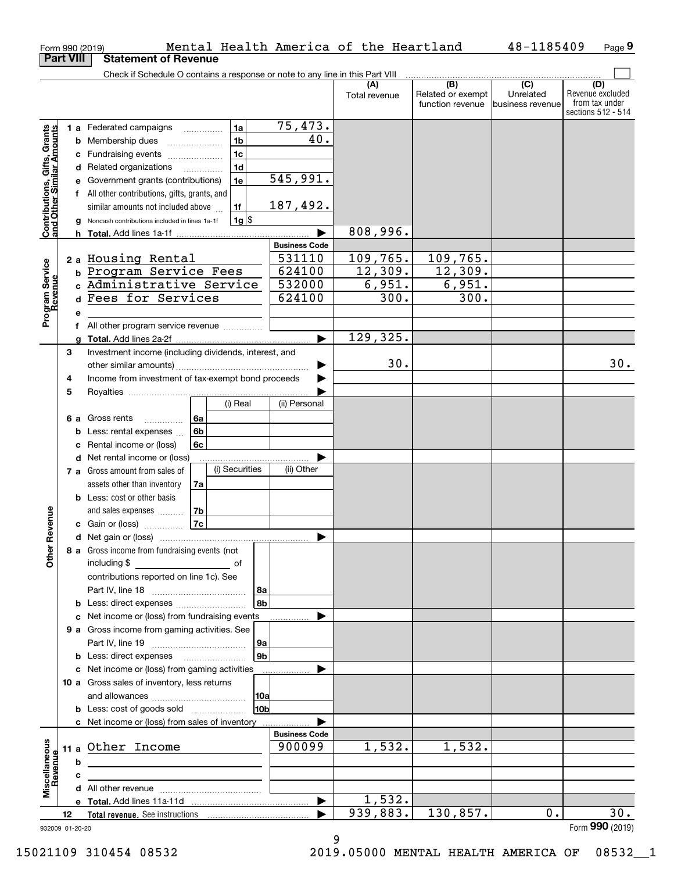|                                                           |                  |        | Form 990 (2019)                                                               |    |                    |                       | Mental Health America of the Heartland |                                              | 48-1185409                                         | Page 9                                                          |
|-----------------------------------------------------------|------------------|--------|-------------------------------------------------------------------------------|----|--------------------|-----------------------|----------------------------------------|----------------------------------------------|----------------------------------------------------|-----------------------------------------------------------------|
|                                                           | <b>Part VIII</b> |        | <b>Statement of Revenue</b>                                                   |    |                    |                       |                                        |                                              |                                                    |                                                                 |
|                                                           |                  |        | Check if Schedule O contains a response or note to any line in this Part VIII |    |                    |                       |                                        |                                              |                                                    |                                                                 |
|                                                           |                  |        |                                                                               |    |                    |                       | (A)<br>Total revenue                   | (B)<br>Related or exempt<br>function revenue | $\overline{(C)}$<br>Unrelated<br> business revenue | (D)<br>Revenue excluded<br>from tax under<br>sections 512 - 514 |
|                                                           |                  |        | 1 a Federated campaigns                                                       |    | 1a                 | 75,473.               |                                        |                                              |                                                    |                                                                 |
| Contributions, Gifts, Grants<br>and Other Similar Amounts |                  |        | <b>b</b> Membership dues                                                      |    | 1 <sub>b</sub>     | 40.                   |                                        |                                              |                                                    |                                                                 |
|                                                           |                  |        | c Fundraising events                                                          |    | 1c                 |                       |                                        |                                              |                                                    |                                                                 |
|                                                           |                  |        | d Related organizations                                                       |    | 1 <sub>d</sub>     |                       |                                        |                                              |                                                    |                                                                 |
|                                                           |                  |        | e Government grants (contributions)                                           |    | 1e                 | 545,991.              |                                        |                                              |                                                    |                                                                 |
|                                                           |                  |        | f All other contributions, gifts, grants, and                                 |    |                    |                       |                                        |                                              |                                                    |                                                                 |
|                                                           |                  |        | similar amounts not included above                                            |    | 1f                 | 187,492.              |                                        |                                              |                                                    |                                                                 |
|                                                           |                  |        | Noncash contributions included in lines 1a-1f                                 |    | $1g$ $\frac{1}{3}$ |                       |                                        |                                              |                                                    |                                                                 |
|                                                           |                  |        |                                                                               |    |                    |                       | 808,996.                               |                                              |                                                    |                                                                 |
|                                                           |                  |        |                                                                               |    |                    | <b>Business Code</b>  |                                        |                                              |                                                    |                                                                 |
|                                                           |                  |        | 2a Housing Rental                                                             |    |                    | 531110                | 109,765.                               | 109,765.                                     |                                                    |                                                                 |
| Program Service<br>Revenue                                |                  |        | b Program Service Fees                                                        |    |                    | 624100                | 12,309.<br>6,951.                      | 12,309.<br>6,951.                            |                                                    |                                                                 |
|                                                           |                  |        | c Administrative Service<br>d Fees for Services                               |    |                    | 532000<br>624100      | 300.                                   | 300.                                         |                                                    |                                                                 |
|                                                           |                  |        |                                                                               |    |                    |                       |                                        |                                              |                                                    |                                                                 |
|                                                           |                  | е<br>f | All other program service revenue                                             |    |                    |                       |                                        |                                              |                                                    |                                                                 |
|                                                           |                  | a      |                                                                               |    |                    |                       | 129, 325.                              |                                              |                                                    |                                                                 |
|                                                           | З                |        | Investment income (including dividends, interest, and                         |    |                    |                       |                                        |                                              |                                                    |                                                                 |
|                                                           |                  |        |                                                                               |    |                    |                       | 30.                                    |                                              |                                                    | 30.                                                             |
|                                                           | 4                |        | Income from investment of tax-exempt bond proceeds                            |    |                    |                       |                                        |                                              |                                                    |                                                                 |
|                                                           | 5                |        |                                                                               |    |                    |                       |                                        |                                              |                                                    |                                                                 |
|                                                           |                  |        |                                                                               |    | (i) Real           | (ii) Personal         |                                        |                                              |                                                    |                                                                 |
|                                                           |                  |        | 6 a Gross rents<br>.                                                          | 6а |                    |                       |                                        |                                              |                                                    |                                                                 |
|                                                           |                  |        | <b>b</b> Less: rental expenses $\ldots$                                       | 6b |                    |                       |                                        |                                              |                                                    |                                                                 |
|                                                           |                  |        | c Rental income or (loss)                                                     | 6с |                    |                       |                                        |                                              |                                                    |                                                                 |
|                                                           |                  |        | <b>d</b> Net rental income or (loss)                                          |    |                    |                       |                                        |                                              |                                                    |                                                                 |
|                                                           |                  |        | 7 a Gross amount from sales of                                                |    | (i) Securities     | (ii) Other            |                                        |                                              |                                                    |                                                                 |
|                                                           |                  |        | assets other than inventory                                                   | 7a |                    |                       |                                        |                                              |                                                    |                                                                 |
|                                                           |                  |        | <b>b</b> Less: cost or other basis                                            |    |                    |                       |                                        |                                              |                                                    |                                                                 |
| evenue                                                    |                  |        | and sales expenses                                                            | 7b |                    |                       |                                        |                                              |                                                    |                                                                 |
|                                                           |                  |        | c Gain or (loss)                                                              | 7c |                    |                       |                                        |                                              |                                                    |                                                                 |
|                                                           |                  |        |                                                                               |    |                    |                       |                                        |                                              |                                                    |                                                                 |
| Other R                                                   |                  |        | 8 a Gross income from fundraising events (not<br>including \$                 |    |                    |                       |                                        |                                              |                                                    |                                                                 |
|                                                           |                  |        | contributions reported on line 1c). See                                       |    |                    |                       |                                        |                                              |                                                    |                                                                 |
|                                                           |                  |        |                                                                               |    | 8a                 |                       |                                        |                                              |                                                    |                                                                 |
|                                                           |                  |        | <b>b</b> Less: direct expenses <i>manually contained</i>                      |    | 8b                 |                       |                                        |                                              |                                                    |                                                                 |
|                                                           |                  |        | c Net income or (loss) from fundraising events                                |    |                    |                       |                                        |                                              |                                                    |                                                                 |
|                                                           |                  |        | 9 a Gross income from gaming activities. See                                  |    |                    |                       |                                        |                                              |                                                    |                                                                 |
|                                                           |                  |        |                                                                               |    | 9a                 |                       |                                        |                                              |                                                    |                                                                 |
|                                                           |                  |        | <b>b</b> Less: direct expenses <b>manually</b>                                |    | 9 <sub>b</sub>     |                       |                                        |                                              |                                                    |                                                                 |
|                                                           |                  |        | c Net income or (loss) from gaming activities                                 |    |                    |                       |                                        |                                              |                                                    |                                                                 |
|                                                           |                  |        | 10 a Gross sales of inventory, less returns                                   |    | 10a                |                       |                                        |                                              |                                                    |                                                                 |
|                                                           |                  |        |                                                                               |    | 10 <sub>b</sub>    |                       |                                        |                                              |                                                    |                                                                 |
|                                                           |                  |        | c Net income or (loss) from sales of inventory                                |    |                    |                       |                                        |                                              |                                                    |                                                                 |
|                                                           |                  |        |                                                                               |    |                    | <b>Business Code</b>  |                                        |                                              |                                                    |                                                                 |
|                                                           |                  |        | 11 a Other Income                                                             |    |                    | 900099                | 1,532.                                 | 1,532.                                       |                                                    |                                                                 |
| Revenue                                                   |                  | b      | <u> 1989 - Jan Stein Stein, fransk politik (d. 1989)</u>                      |    |                    |                       |                                        |                                              |                                                    |                                                                 |
|                                                           |                  | c      |                                                                               |    |                    |                       |                                        |                                              |                                                    |                                                                 |
| Miscellaneous                                             |                  |        |                                                                               |    |                    |                       |                                        |                                              |                                                    |                                                                 |
|                                                           |                  |        |                                                                               |    |                    | $\blacktriangleright$ | 1,532.                                 |                                              |                                                    |                                                                 |
|                                                           | 12               |        | Total revenue. See instructions [                                             |    |                    |                       | 939,883.                               | 130,857.                                     | $0$ .                                              | $\overline{30}$ .                                               |
| 932009 01-20-20                                           |                  |        |                                                                               |    |                    |                       |                                        |                                              |                                                    | Form 990 (2019)                                                 |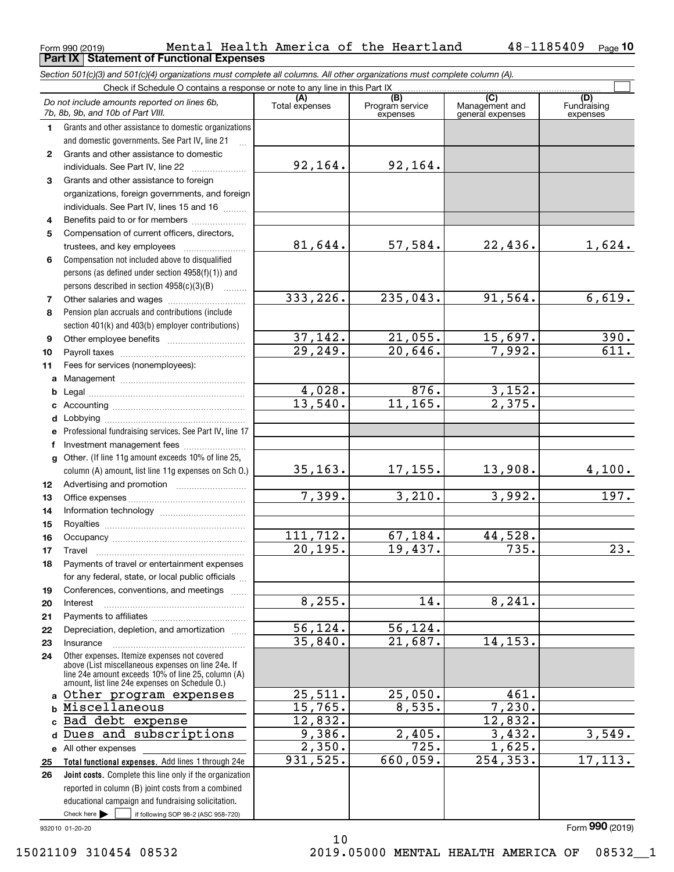$_{\rm Form}$   $_{990}$   $_{(2019)}$   $_{\rm Mental}$  Health America of the Heartland  $_{\rm 48-1185409}$   $_{\rm Page}$ 

|              | ורווח שפט (כו חזט)<br>mentar nearen maerrea<br>Part IX   Statement of Functional Expenses                                                                                                                  |                       | 110ar - 110ar                      |                                           | エエいシェップ<br>raye <b>I</b>       |
|--------------|------------------------------------------------------------------------------------------------------------------------------------------------------------------------------------------------------------|-----------------------|------------------------------------|-------------------------------------------|--------------------------------|
|              | Section 501(c)(3) and 501(c)(4) organizations must complete all columns. All other organizations must complete column (A).                                                                                 |                       |                                    |                                           |                                |
|              | Check if Schedule O contains a response or note to any line in this Part IX                                                                                                                                |                       |                                    |                                           |                                |
|              | Do not include amounts reported on lines 6b,<br>7b, 8b, 9b, and 10b of Part VIII.                                                                                                                          | (A)<br>Total expenses | (B)<br>Program service<br>expenses | (C)<br>Management and<br>general expenses | (D)<br>Fundraising<br>expenses |
| $\mathbf 1$  | Grants and other assistance to domestic organizations                                                                                                                                                      |                       |                                    |                                           |                                |
|              | and domestic governments. See Part IV, line 21                                                                                                                                                             |                       |                                    |                                           |                                |
| $\mathbf{2}$ | Grants and other assistance to domestic                                                                                                                                                                    |                       |                                    |                                           |                                |
|              | individuals. See Part IV, line 22                                                                                                                                                                          | 92,164.               | 92,164.                            |                                           |                                |
| 3            | Grants and other assistance to foreign                                                                                                                                                                     |                       |                                    |                                           |                                |
|              | organizations, foreign governments, and foreign                                                                                                                                                            |                       |                                    |                                           |                                |
|              | individuals. See Part IV, lines 15 and 16                                                                                                                                                                  |                       |                                    |                                           |                                |
| 4            | Benefits paid to or for members                                                                                                                                                                            |                       |                                    |                                           |                                |
| 5            | Compensation of current officers, directors,                                                                                                                                                               |                       |                                    |                                           |                                |
|              |                                                                                                                                                                                                            | 81,644.               | 57,584.                            | 22,436.                                   | 1,624.                         |
| 6            | Compensation not included above to disqualified                                                                                                                                                            |                       |                                    |                                           |                                |
|              | persons (as defined under section 4958(f)(1)) and                                                                                                                                                          |                       |                                    |                                           |                                |
| 7            | persons described in section 4958(c)(3)(B)                                                                                                                                                                 | 333,226.              | 235,043.                           | 91,564.                                   | 6,619.                         |
| 8            | Pension plan accruals and contributions (include                                                                                                                                                           |                       |                                    |                                           |                                |
|              | section 401(k) and 403(b) employer contributions)                                                                                                                                                          |                       |                                    |                                           |                                |
| 9            |                                                                                                                                                                                                            | 37,142.               | 21,055.                            | 15,697.                                   | 390.                           |
| 10           |                                                                                                                                                                                                            | 29,249.               | 20,646.                            | 7,992.                                    | 611.                           |
| 11           | Fees for services (nonemployees):                                                                                                                                                                          |                       |                                    |                                           |                                |
|              |                                                                                                                                                                                                            |                       |                                    |                                           |                                |
| b            |                                                                                                                                                                                                            | 4,028.                | 876.                               | 3,152.                                    |                                |
|              |                                                                                                                                                                                                            | 13,540.               | 11, 165.                           | 2,375.                                    |                                |
| d            |                                                                                                                                                                                                            |                       |                                    |                                           |                                |
| е            | Professional fundraising services. See Part IV, line 17                                                                                                                                                    |                       |                                    |                                           |                                |
| f            | Investment management fees                                                                                                                                                                                 |                       |                                    |                                           |                                |
| q            | Other. (If line 11g amount exceeds 10% of line 25,                                                                                                                                                         |                       |                                    |                                           |                                |
|              | column (A) amount, list line 11g expenses on Sch O.)                                                                                                                                                       | 35, 163.              | 17,155.                            | 13,908.                                   | 4,100.                         |
| 12           |                                                                                                                                                                                                            | 7,399.                | 3,210.                             | 3,992.                                    | 197.                           |
| 13           |                                                                                                                                                                                                            |                       |                                    |                                           |                                |
| 14<br>15     |                                                                                                                                                                                                            |                       |                                    |                                           |                                |
| 16           |                                                                                                                                                                                                            | 111, 712.             | 67,184.                            | 44,528.                                   |                                |
| 17           | Travel                                                                                                                                                                                                     | 20, 195.              | 19,437.                            | 735.                                      | $\overline{23}$ .              |
| 18           | Payments of travel or entertainment expenses                                                                                                                                                               |                       |                                    |                                           |                                |
|              | for any federal, state, or local public officials                                                                                                                                                          |                       |                                    |                                           |                                |
| 19           | Conferences, conventions, and meetings                                                                                                                                                                     |                       |                                    |                                           |                                |
| 20           | Interest                                                                                                                                                                                                   | 8, 255.               | $\overline{14}$ .                  | 8, 241.                                   |                                |
| 21           |                                                                                                                                                                                                            |                       |                                    |                                           |                                |
| 22           | Depreciation, depletion, and amortization                                                                                                                                                                  | 56,124.               | 56,124.                            |                                           |                                |
| 23           | Insurance                                                                                                                                                                                                  | 35,840.               | 21,687.                            | 14, 153.                                  |                                |
| 24           | Other expenses. Itemize expenses not covered<br>above (List miscellaneous expenses on line 24e. If<br>line 24e amount exceeds 10% of line 25, column (A)<br>amount, list line 24e expenses on Schedule O.) |                       |                                    |                                           |                                |
|              | Other program expenses                                                                                                                                                                                     | 25,511.               | 25,050.                            | 461.                                      |                                |
| b            | Miscellaneous                                                                                                                                                                                              | 15,765.               | 8,535.                             | 7,230.                                    |                                |
|              | Bad debt expense                                                                                                                                                                                           | 12,832.               |                                    | 12,832.                                   |                                |
| d            | Dues and subscriptions                                                                                                                                                                                     | 9,386.                | 2,405.                             | 3,432.                                    | 3,549.                         |
|              | e All other expenses                                                                                                                                                                                       | 2,350.                | 725.                               | 1,625.                                    |                                |
| 25           | Total functional expenses. Add lines 1 through 24e                                                                                                                                                         | 931,525.              | 660,059.                           | 254,353.                                  | 17, 113.                       |
| 26           | Joint costs. Complete this line only if the organization                                                                                                                                                   |                       |                                    |                                           |                                |
|              | reported in column (B) joint costs from a combined                                                                                                                                                         |                       |                                    |                                           |                                |
|              | educational campaign and fundraising solicitation.                                                                                                                                                         |                       |                                    |                                           |                                |

10

932010 01-20-20

Form (2019) **990**

 $\blacktriangleright$   $\Box$ 

 $\frac{1}{2}$  if following SOP 98-2 (ASC 958-720)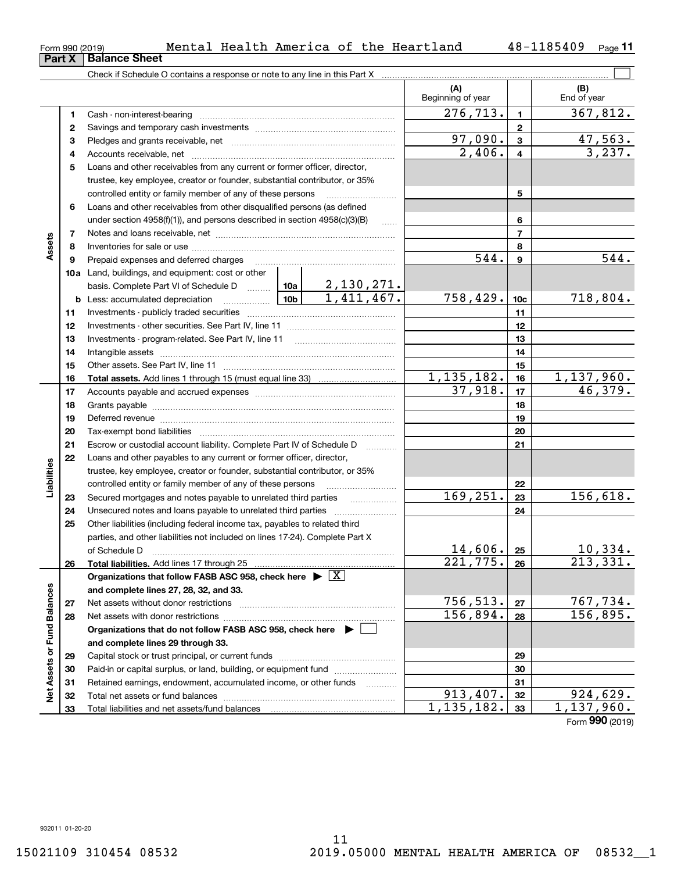|                             |    |                                                                                                                                                                                                                                |                    |              | (A)<br>Beginning of year |                         | (B)<br>End of year          |
|-----------------------------|----|--------------------------------------------------------------------------------------------------------------------------------------------------------------------------------------------------------------------------------|--------------------|--------------|--------------------------|-------------------------|-----------------------------|
|                             | 1. |                                                                                                                                                                                                                                |                    |              | 276, 713.                | $\blacksquare$          | 367,812.                    |
|                             | 2  |                                                                                                                                                                                                                                |                    |              |                          | $\mathbf{2}$            |                             |
|                             | 3  |                                                                                                                                                                                                                                |                    |              | 97,090.                  | $\mathbf{3}$            | 47,563.                     |
|                             | 4  |                                                                                                                                                                                                                                |                    |              | 2,406.                   | $\overline{\mathbf{4}}$ | 3,237.                      |
|                             | 5  | Loans and other receivables from any current or former officer, director,                                                                                                                                                      |                    |              |                          |                         |                             |
|                             |    | trustee, key employee, creator or founder, substantial contributor, or 35%                                                                                                                                                     |                    |              |                          |                         |                             |
|                             |    | controlled entity or family member of any of these persons                                                                                                                                                                     |                    |              |                          | 5                       |                             |
|                             | 6  | Loans and other receivables from other disqualified persons (as defined                                                                                                                                                        |                    |              |                          |                         |                             |
|                             |    | under section $4958(f)(1)$ , and persons described in section $4958(c)(3)(B)$                                                                                                                                                  |                    | $\sim$       |                          | 6                       |                             |
|                             | 7  |                                                                                                                                                                                                                                |                    |              |                          | $\overline{7}$          |                             |
| Assets                      | 8  |                                                                                                                                                                                                                                |                    |              |                          | 8                       |                             |
|                             | 9  | Prepaid expenses and deferred charges                                                                                                                                                                                          | $\overline{544}$ . | $\mathbf{9}$ | 544.                     |                         |                             |
|                             |    | <b>10a</b> Land, buildings, and equipment: cost or other                                                                                                                                                                       |                    |              |                          |                         |                             |
|                             |    |                                                                                                                                                                                                                                |                    |              |                          |                         |                             |
|                             |    | <b>b</b> Less: accumulated depreciation                                                                                                                                                                                        |                    |              | 758,429.                 | 10 <sub>c</sub>         | 718,804.                    |
|                             | 11 |                                                                                                                                                                                                                                |                    |              |                          | 11                      |                             |
|                             | 12 |                                                                                                                                                                                                                                |                    |              | 12                       |                         |                             |
|                             | 13 |                                                                                                                                                                                                                                |                    |              | 13                       |                         |                             |
|                             | 14 |                                                                                                                                                                                                                                |                    |              | 14                       |                         |                             |
|                             | 15 |                                                                                                                                                                                                                                |                    |              |                          | 15                      |                             |
|                             | 16 |                                                                                                                                                                                                                                |                    |              | 1, 135, 182.             | 16                      | 1,137,960.                  |
|                             | 17 |                                                                                                                                                                                                                                |                    |              | 37,918.                  | 17                      | 46,379.                     |
|                             | 18 |                                                                                                                                                                                                                                |                    |              |                          | 18                      |                             |
|                             | 19 | Deferred revenue manual contracts and contracts are all the contracts and contracts are contracted and contracts are contracted and contract are contracted and contract are contracted and contract are contracted and contra |                    |              | 19                       |                         |                             |
|                             | 20 |                                                                                                                                                                                                                                |                    | 20           |                          |                         |                             |
|                             | 21 | Escrow or custodial account liability. Complete Part IV of Schedule D                                                                                                                                                          |                    | 21           |                          |                         |                             |
|                             | 22 | Loans and other payables to any current or former officer, director,                                                                                                                                                           |                    |              |                          |                         |                             |
| Liabilities                 |    | trustee, key employee, creator or founder, substantial contributor, or 35%                                                                                                                                                     |                    |              |                          |                         |                             |
|                             |    | controlled entity or family member of any of these persons                                                                                                                                                                     |                    |              |                          | 22                      |                             |
|                             | 23 | Secured mortgages and notes payable to unrelated third parties                                                                                                                                                                 |                    |              | 169,251.                 | 23                      | 156,618.                    |
|                             | 24 | Unsecured notes and loans payable to unrelated third parties                                                                                                                                                                   |                    |              |                          | 24                      |                             |
|                             | 25 | Other liabilities (including federal income tax, payables to related third                                                                                                                                                     |                    |              |                          |                         |                             |
|                             |    | parties, and other liabilities not included on lines 17-24). Complete Part X                                                                                                                                                   |                    |              |                          |                         |                             |
|                             |    | of Schedule D                                                                                                                                                                                                                  |                    |              | 14,606.                  | 25                      | 10,334.                     |
|                             | 26 |                                                                                                                                                                                                                                |                    |              | $\overline{221,775}$ .   | 26                      | $\overline{213,331}$        |
|                             |    | Organizations that follow FASB ASC 958, check here $\blacktriangleright \boxed{\text{X}}$                                                                                                                                      |                    |              |                          |                         |                             |
|                             |    | and complete lines 27, 28, 32, and 33.                                                                                                                                                                                         |                    |              |                          |                         |                             |
|                             | 27 | Net assets without donor restrictions                                                                                                                                                                                          |                    |              | 756,513.<br>156,894.     | 27                      | <u>767,734.</u><br>156,895. |
|                             | 28 |                                                                                                                                                                                                                                |                    |              |                          | 28                      |                             |
|                             |    | Organizations that do not follow FASB ASC 958, check here $\blacktriangleright$                                                                                                                                                |                    |              |                          |                         |                             |
|                             |    | and complete lines 29 through 33.                                                                                                                                                                                              |                    |              |                          |                         |                             |
|                             | 29 |                                                                                                                                                                                                                                |                    | 29           |                          |                         |                             |
|                             | 30 | Paid-in or capital surplus, or land, building, or equipment fund                                                                                                                                                               |                    |              | 30                       |                         |                             |
| Net Assets or Fund Balances | 31 | Retained earnings, endowment, accumulated income, or other funds                                                                                                                                                               |                    |              | 913,407.                 | 31                      | 924,629.                    |
|                             | 32 | Total net assets or fund balances                                                                                                                                                                                              |                    |              | 1,135,182.               | 32<br>33                | 1,137,960.                  |
|                             | 33 |                                                                                                                                                                                                                                |                    |              |                          |                         | Form 990 (2019)             |

 $_{\rm Form}$   $_{990}$   $_{(2019)}$   $_{\rm Mental}$  Health America of the Heartland  $_{\rm 48-1185409}$   $_{\rm Page}$ 

Check if Schedule O contains a response or note to any line in this Part X

**11**

 $\mathcal{L}^{\text{max}}$ 

| Form 990 (2019)               |  |  |
|-------------------------------|--|--|
| <b>Part X   Balance Sheet</b> |  |  |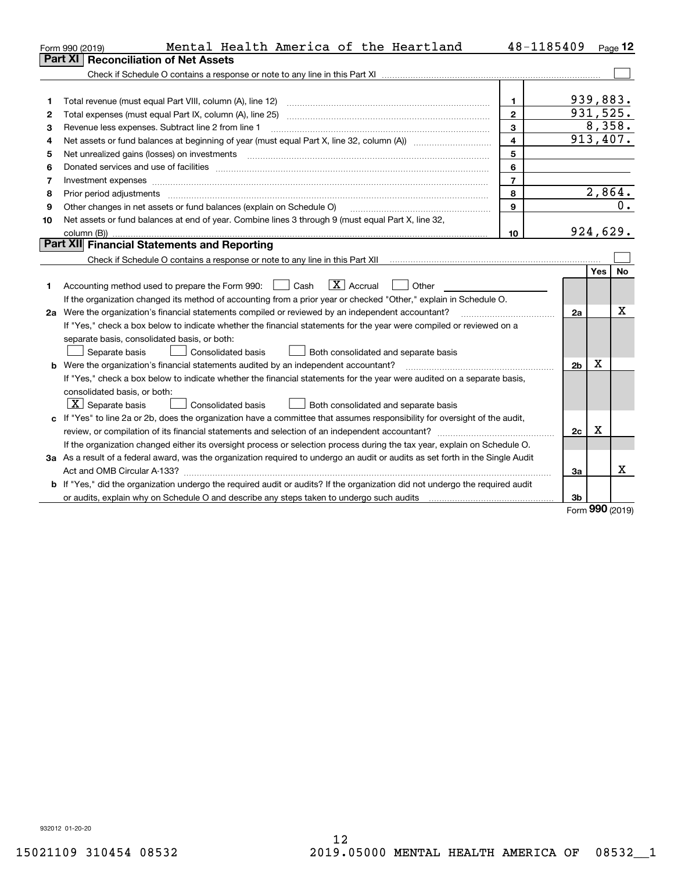|    | Mental Health America of the Heartland<br>Form 990 (2019)                                                                       |                | 48-1185409     |            | Page $12$ |  |  |
|----|---------------------------------------------------------------------------------------------------------------------------------|----------------|----------------|------------|-----------|--|--|
|    | <b>Reconciliation of Net Assets</b><br>Part XI                                                                                  |                |                |            |           |  |  |
|    |                                                                                                                                 |                |                |            |           |  |  |
|    |                                                                                                                                 |                |                |            |           |  |  |
| 1  | Total revenue (must equal Part VIII, column (A), line 12)                                                                       | $\mathbf{1}$   | 939,883.       |            |           |  |  |
| 2  |                                                                                                                                 | $\overline{2}$ | 931,525.       |            |           |  |  |
| з  | Revenue less expenses. Subtract line 2 from line 1                                                                              | 3              |                |            | 8,358.    |  |  |
| 4  |                                                                                                                                 | 4              | 913,407.       |            |           |  |  |
| 5  | Net unrealized gains (losses) on investments with an annumerous contract and a set of the set of the set of the                 | 5              |                |            |           |  |  |
| 6  |                                                                                                                                 | 6              |                |            |           |  |  |
| 7  | Investment expenses www.communication.com/www.communication.com/www.communication.com/www.com                                   | $\overline{7}$ |                |            |           |  |  |
| 8  | Prior period adjustments                                                                                                        | 8              |                |            | 2,864.    |  |  |
| 9  | Other changes in net assets or fund balances (explain on Schedule O)                                                            | 9              |                |            | 0.        |  |  |
| 10 | Net assets or fund balances at end of year. Combine lines 3 through 9 (must equal Part X, line 32,                              |                |                |            |           |  |  |
|    | column (B))                                                                                                                     | 10             | 924,629.       |            |           |  |  |
|    | Part XII Financial Statements and Reporting                                                                                     |                |                |            |           |  |  |
|    |                                                                                                                                 |                |                |            |           |  |  |
|    |                                                                                                                                 |                |                | <b>Yes</b> | <b>No</b> |  |  |
| 1  | $ X $ Accrual<br>Accounting method used to prepare the Form 990: <u>June</u> Cash<br>Other                                      |                |                |            |           |  |  |
|    | If the organization changed its method of accounting from a prior year or checked "Other," explain in Schedule O.               |                |                |            |           |  |  |
|    | 2a Were the organization's financial statements compiled or reviewed by an independent accountant?                              |                |                |            |           |  |  |
|    | If "Yes," check a box below to indicate whether the financial statements for the year were compiled or reviewed on a            |                |                |            |           |  |  |
|    | separate basis, consolidated basis, or both:                                                                                    |                |                |            |           |  |  |
|    | Separate basis<br><b>Consolidated basis</b><br>Both consolidated and separate basis                                             |                |                |            |           |  |  |
|    | <b>b</b> Were the organization's financial statements audited by an independent accountant?                                     |                | 2 <sub>b</sub> | х          |           |  |  |
|    | If "Yes," check a box below to indicate whether the financial statements for the year were audited on a separate basis,         |                |                |            |           |  |  |
|    | consolidated basis, or both:                                                                                                    |                |                |            |           |  |  |
|    | $ \mathbf{X} $ Separate basis<br><b>Consolidated basis</b><br>Both consolidated and separate basis                              |                |                |            |           |  |  |
|    | c If "Yes" to line 2a or 2b, does the organization have a committee that assumes responsibility for oversight of the audit,     |                |                |            |           |  |  |
|    |                                                                                                                                 |                | 2c             | x          |           |  |  |
|    | If the organization changed either its oversight process or selection process during the tax year, explain on Schedule O.       |                |                |            |           |  |  |
|    | 3a As a result of a federal award, was the organization required to undergo an audit or audits as set forth in the Single Audit |                |                |            |           |  |  |
|    |                                                                                                                                 |                | За             |            | x         |  |  |
|    | b If "Yes," did the organization undergo the required audit or audits? If the organization did not undergo the required audit   |                |                |            |           |  |  |
|    | or audits, explain why on Schedule O and describe any steps taken to undergo such audits                                        |                | 3b             |            |           |  |  |

Form (2019) **990**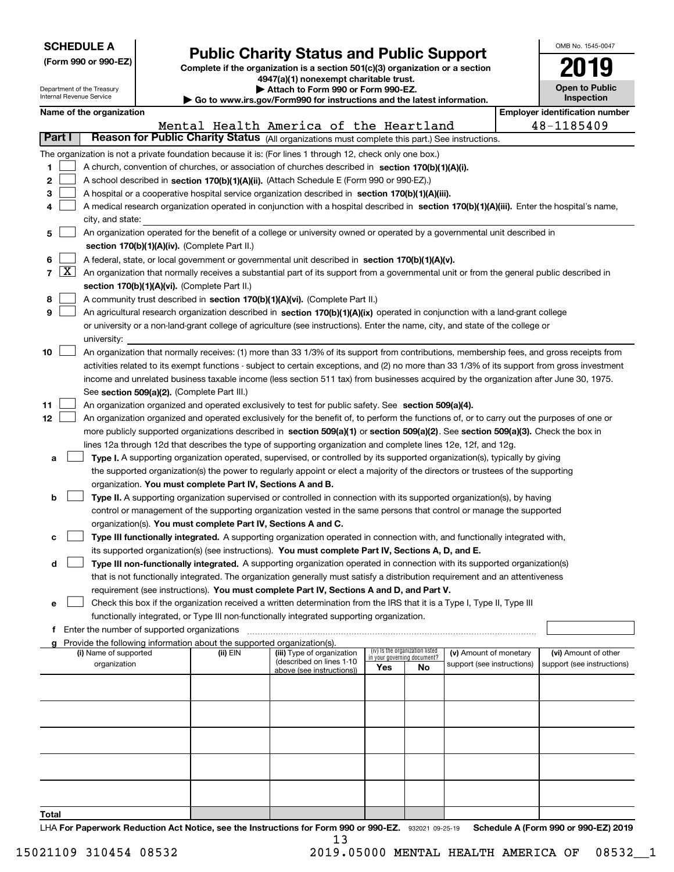| <b>SCHEDULE A</b> |
|-------------------|
|-------------------|

|  |  | (Form 990 or 990-EZ) |
|--|--|----------------------|
|  |  |                      |

# **Public Charity Status and Public Support**

**Complete if the organization is a section 501(c)(3) organization or a section 4947(a)(1) nonexempt charitable trust.**

| OMB No. 1545-0047                 |
|-----------------------------------|
| 2019                              |
| <b>Open to Public</b><br>anaatian |

|        |       | Department of the Treasury<br>Internal Revenue Service                                                                      |  |                                                                        | Attach to Form 990 or Form 990-EZ.                                                                                                                                                                                                            |     |                                                                |                            |  | <b>Open to Public</b><br>Inspection   |
|--------|-------|-----------------------------------------------------------------------------------------------------------------------------|--|------------------------------------------------------------------------|-----------------------------------------------------------------------------------------------------------------------------------------------------------------------------------------------------------------------------------------------|-----|----------------------------------------------------------------|----------------------------|--|---------------------------------------|
|        |       |                                                                                                                             |  |                                                                        | Go to www.irs.gov/Form990 for instructions and the latest information.                                                                                                                                                                        |     |                                                                |                            |  |                                       |
|        |       | Name of the organization                                                                                                    |  |                                                                        |                                                                                                                                                                                                                                               |     |                                                                |                            |  | <b>Employer identification number</b> |
| Part I |       |                                                                                                                             |  |                                                                        | Mental Health America of the Heartland<br>Reason for Public Charity Status (All organizations must complete this part.) See instructions.                                                                                                     |     |                                                                |                            |  | 48-1185409                            |
|        |       |                                                                                                                             |  |                                                                        |                                                                                                                                                                                                                                               |     |                                                                |                            |  |                                       |
|        |       |                                                                                                                             |  |                                                                        | The organization is not a private foundation because it is: (For lines 1 through 12, check only one box.)                                                                                                                                     |     |                                                                |                            |  |                                       |
| 1      |       |                                                                                                                             |  |                                                                        | A church, convention of churches, or association of churches described in section 170(b)(1)(A)(i).                                                                                                                                            |     |                                                                |                            |  |                                       |
| 2      |       |                                                                                                                             |  |                                                                        | A school described in section 170(b)(1)(A)(ii). (Attach Schedule E (Form 990 or 990-EZ).)                                                                                                                                                     |     |                                                                |                            |  |                                       |
| 3      |       |                                                                                                                             |  |                                                                        | A hospital or a cooperative hospital service organization described in section 170(b)(1)(A)(iii).                                                                                                                                             |     |                                                                |                            |  |                                       |
| 4      |       |                                                                                                                             |  |                                                                        | A medical research organization operated in conjunction with a hospital described in section 170(b)(1)(A)(iii). Enter the hospital's name,                                                                                                    |     |                                                                |                            |  |                                       |
|        |       | city, and state:                                                                                                            |  |                                                                        |                                                                                                                                                                                                                                               |     |                                                                |                            |  |                                       |
| 5      |       |                                                                                                                             |  | section 170(b)(1)(A)(iv). (Complete Part II.)                          | An organization operated for the benefit of a college or university owned or operated by a governmental unit described in                                                                                                                     |     |                                                                |                            |  |                                       |
| 6      |       |                                                                                                                             |  |                                                                        |                                                                                                                                                                                                                                               |     |                                                                |                            |  |                                       |
|        | 7   X |                                                                                                                             |  |                                                                        | A federal, state, or local government or governmental unit described in section 170(b)(1)(A)(v).<br>An organization that normally receives a substantial part of its support from a governmental unit or from the general public described in |     |                                                                |                            |  |                                       |
|        |       |                                                                                                                             |  | section 170(b)(1)(A)(vi). (Complete Part II.)                          |                                                                                                                                                                                                                                               |     |                                                                |                            |  |                                       |
| 8      |       |                                                                                                                             |  |                                                                        | A community trust described in section 170(b)(1)(A)(vi). (Complete Part II.)                                                                                                                                                                  |     |                                                                |                            |  |                                       |
| 9      |       |                                                                                                                             |  |                                                                        | An agricultural research organization described in section 170(b)(1)(A)(ix) operated in conjunction with a land-grant college                                                                                                                 |     |                                                                |                            |  |                                       |
|        |       |                                                                                                                             |  |                                                                        | or university or a non-land-grant college of agriculture (see instructions). Enter the name, city, and state of the college or                                                                                                                |     |                                                                |                            |  |                                       |
|        |       | university:                                                                                                                 |  |                                                                        |                                                                                                                                                                                                                                               |     |                                                                |                            |  |                                       |
| 10     |       |                                                                                                                             |  |                                                                        | An organization that normally receives: (1) more than 33 1/3% of its support from contributions, membership fees, and gross receipts from                                                                                                     |     |                                                                |                            |  |                                       |
|        |       |                                                                                                                             |  |                                                                        | activities related to its exempt functions - subject to certain exceptions, and (2) no more than 33 1/3% of its support from gross investment                                                                                                 |     |                                                                |                            |  |                                       |
|        |       |                                                                                                                             |  |                                                                        | income and unrelated business taxable income (less section 511 tax) from businesses acquired by the organization after June 30, 1975.                                                                                                         |     |                                                                |                            |  |                                       |
|        |       |                                                                                                                             |  | See section 509(a)(2). (Complete Part III.)                            |                                                                                                                                                                                                                                               |     |                                                                |                            |  |                                       |
| 11     |       |                                                                                                                             |  |                                                                        | An organization organized and operated exclusively to test for public safety. See section 509(a)(4).                                                                                                                                          |     |                                                                |                            |  |                                       |
| 12     |       |                                                                                                                             |  |                                                                        | An organization organized and operated exclusively for the benefit of, to perform the functions of, or to carry out the purposes of one or                                                                                                    |     |                                                                |                            |  |                                       |
|        |       |                                                                                                                             |  |                                                                        | more publicly supported organizations described in section 509(a)(1) or section 509(a)(2). See section 509(a)(3). Check the box in                                                                                                            |     |                                                                |                            |  |                                       |
|        |       |                                                                                                                             |  |                                                                        | lines 12a through 12d that describes the type of supporting organization and complete lines 12e, 12f, and 12g.                                                                                                                                |     |                                                                |                            |  |                                       |
| а      |       | Type I. A supporting organization operated, supervised, or controlled by its supported organization(s), typically by giving |  |                                                                        |                                                                                                                                                                                                                                               |     |                                                                |                            |  |                                       |
|        |       |                                                                                                                             |  |                                                                        | the supported organization(s) the power to regularly appoint or elect a majority of the directors or trustees of the supporting                                                                                                               |     |                                                                |                            |  |                                       |
|        |       |                                                                                                                             |  | organization. You must complete Part IV, Sections A and B.             |                                                                                                                                                                                                                                               |     |                                                                |                            |  |                                       |
| b      |       |                                                                                                                             |  |                                                                        | Type II. A supporting organization supervised or controlled in connection with its supported organization(s), by having                                                                                                                       |     |                                                                |                            |  |                                       |
|        |       |                                                                                                                             |  |                                                                        | control or management of the supporting organization vested in the same persons that control or manage the supported                                                                                                                          |     |                                                                |                            |  |                                       |
|        |       |                                                                                                                             |  |                                                                        | organization(s). You must complete Part IV, Sections A and C.                                                                                                                                                                                 |     |                                                                |                            |  |                                       |
| с      |       |                                                                                                                             |  |                                                                        | Type III functionally integrated. A supporting organization operated in connection with, and functionally integrated with,                                                                                                                    |     |                                                                |                            |  |                                       |
|        |       |                                                                                                                             |  |                                                                        | its supported organization(s) (see instructions). You must complete Part IV, Sections A, D, and E.                                                                                                                                            |     |                                                                |                            |  |                                       |
| d      |       |                                                                                                                             |  |                                                                        | Type III non-functionally integrated. A supporting organization operated in connection with its supported organization(s)                                                                                                                     |     |                                                                |                            |  |                                       |
|        |       |                                                                                                                             |  |                                                                        | that is not functionally integrated. The organization generally must satisfy a distribution requirement and an attentiveness                                                                                                                  |     |                                                                |                            |  |                                       |
|        |       |                                                                                                                             |  |                                                                        | requirement (see instructions). You must complete Part IV, Sections A and D, and Part V.                                                                                                                                                      |     |                                                                |                            |  |                                       |
| е      |       |                                                                                                                             |  |                                                                        | Check this box if the organization received a written determination from the IRS that it is a Type I, Type II, Type III                                                                                                                       |     |                                                                |                            |  |                                       |
|        |       |                                                                                                                             |  |                                                                        | functionally integrated, or Type III non-functionally integrated supporting organization.                                                                                                                                                     |     |                                                                |                            |  |                                       |
|        |       | <b>f</b> Enter the number of supported organizations                                                                        |  | Provide the following information about the supported organization(s). |                                                                                                                                                                                                                                               |     |                                                                |                            |  |                                       |
|        |       | (i) Name of supported                                                                                                       |  | (ii) EIN                                                               | (iii) Type of organization                                                                                                                                                                                                                    |     | (iv) Is the organization listed<br>in your governing document? | (v) Amount of monetary     |  | (vi) Amount of other                  |
|        |       | organization                                                                                                                |  |                                                                        | (described on lines 1-10<br>above (see instructions))                                                                                                                                                                                         | Yes | No                                                             | support (see instructions) |  | support (see instructions)            |
|        |       |                                                                                                                             |  |                                                                        |                                                                                                                                                                                                                                               |     |                                                                |                            |  |                                       |
|        |       |                                                                                                                             |  |                                                                        |                                                                                                                                                                                                                                               |     |                                                                |                            |  |                                       |
|        |       |                                                                                                                             |  |                                                                        |                                                                                                                                                                                                                                               |     |                                                                |                            |  |                                       |
|        |       |                                                                                                                             |  |                                                                        |                                                                                                                                                                                                                                               |     |                                                                |                            |  |                                       |
|        |       |                                                                                                                             |  |                                                                        |                                                                                                                                                                                                                                               |     |                                                                |                            |  |                                       |
|        |       |                                                                                                                             |  |                                                                        |                                                                                                                                                                                                                                               |     |                                                                |                            |  |                                       |
|        |       |                                                                                                                             |  |                                                                        |                                                                                                                                                                                                                                               |     |                                                                |                            |  |                                       |
|        |       |                                                                                                                             |  |                                                                        |                                                                                                                                                                                                                                               |     |                                                                |                            |  |                                       |
|        |       |                                                                                                                             |  |                                                                        |                                                                                                                                                                                                                                               |     |                                                                |                            |  |                                       |
|        |       |                                                                                                                             |  |                                                                        |                                                                                                                                                                                                                                               |     |                                                                |                            |  |                                       |

**Total**

LHA For Paperwork Reduction Act Notice, see the Instructions for Form 990 or 990-EZ. 932021 09-25-19 Schedule A (Form 990 or 990-EZ) 2019 13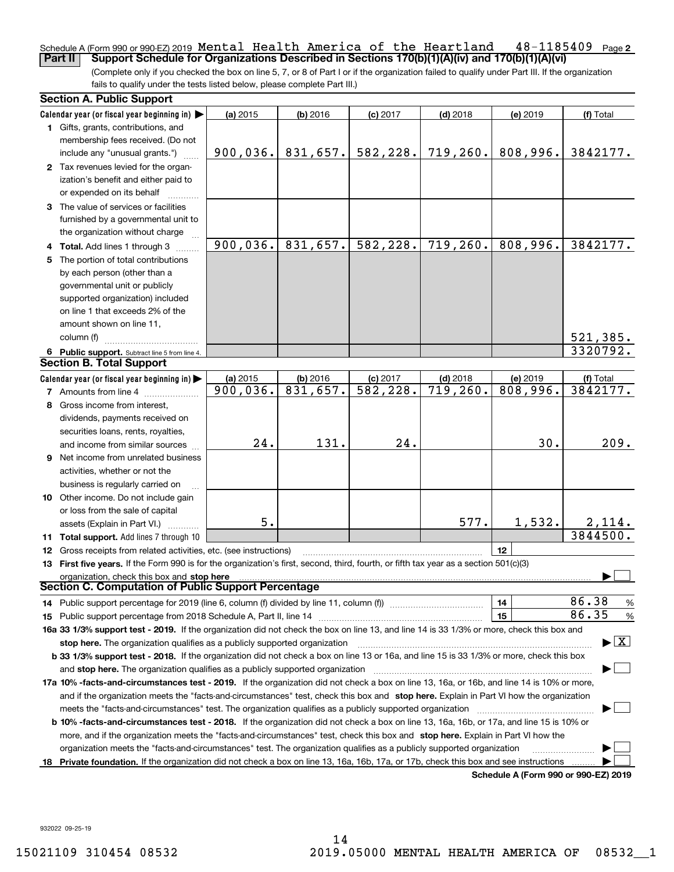#### **2** Schedule A (Form 990 or 990-EZ) 2019 <code>Mental Health America of the Heartland 48-1185409</code> Page **Part II Support Schedule for Organizations Described in Sections 170(b)(1)(A)(iv) and 170(b)(1)(A)(vi)** Mental Health America of the Heartland 48-1185409

(Complete only if you checked the box on line 5, 7, or 8 of Part I or if the organization failed to qualify under Part III. If the organization fails to qualify under the tests listed below, please complete Part III.)

|    | <b>Section A. Public Support</b>                                                                                                           |          |            |                         |            |                                      |                                          |  |  |  |
|----|--------------------------------------------------------------------------------------------------------------------------------------------|----------|------------|-------------------------|------------|--------------------------------------|------------------------------------------|--|--|--|
|    | Calendar year (or fiscal year beginning in) $\blacktriangleright$                                                                          | (a) 2015 | $(b)$ 2016 | $(c)$ 2017              | $(d)$ 2018 | (e) 2019                             | (f) Total                                |  |  |  |
|    | <b>1</b> Gifts, grants, contributions, and                                                                                                 |          |            |                         |            |                                      |                                          |  |  |  |
|    | membership fees received. (Do not                                                                                                          |          |            |                         |            |                                      |                                          |  |  |  |
|    | include any "unusual grants.")                                                                                                             | 900,036. | 831,657.   | 582,228.                | 719,260.   | 808,996.                             | 3842177.                                 |  |  |  |
|    | 2 Tax revenues levied for the organ-                                                                                                       |          |            |                         |            |                                      |                                          |  |  |  |
|    | ization's benefit and either paid to                                                                                                       |          |            |                         |            |                                      |                                          |  |  |  |
|    | or expended on its behalf                                                                                                                  |          |            |                         |            |                                      |                                          |  |  |  |
|    | 3 The value of services or facilities                                                                                                      |          |            |                         |            |                                      |                                          |  |  |  |
|    | furnished by a governmental unit to                                                                                                        |          |            |                         |            |                                      |                                          |  |  |  |
|    | the organization without charge                                                                                                            |          |            |                         |            |                                      |                                          |  |  |  |
|    | 4 Total. Add lines 1 through 3                                                                                                             | 900,036. | 831,657.   | 582,228.                | 719,260.   | 808,996.                             | 3842177.                                 |  |  |  |
| 5. | The portion of total contributions                                                                                                         |          |            |                         |            |                                      |                                          |  |  |  |
|    | by each person (other than a                                                                                                               |          |            |                         |            |                                      |                                          |  |  |  |
|    | governmental unit or publicly                                                                                                              |          |            |                         |            |                                      |                                          |  |  |  |
|    | supported organization) included                                                                                                           |          |            |                         |            |                                      |                                          |  |  |  |
|    | on line 1 that exceeds 2% of the                                                                                                           |          |            |                         |            |                                      |                                          |  |  |  |
|    | amount shown on line 11,                                                                                                                   |          |            |                         |            |                                      |                                          |  |  |  |
|    | column (f)                                                                                                                                 |          |            |                         |            |                                      | 521, 385.                                |  |  |  |
|    | 6 Public support. Subtract line 5 from line 4.                                                                                             |          |            |                         |            |                                      | 3320792.                                 |  |  |  |
|    | <b>Section B. Total Support</b>                                                                                                            |          |            |                         |            |                                      |                                          |  |  |  |
|    | Calendar year (or fiscal year beginning in) $\blacktriangleright$                                                                          | (a) 2015 | $(b)$ 2016 | $(c)$ 2017              | $(d)$ 2018 | (e) 2019                             | (f) Total                                |  |  |  |
|    | <b>7</b> Amounts from line 4                                                                                                               | 900,036. | 831,657.   | $\overline{582}$ , 228. | 719,260.   | 808,996.                             | 3842177.                                 |  |  |  |
|    | 8 Gross income from interest,                                                                                                              |          |            |                         |            |                                      |                                          |  |  |  |
|    | dividends, payments received on                                                                                                            |          |            |                         |            |                                      |                                          |  |  |  |
|    | securities loans, rents, royalties,                                                                                                        |          |            |                         |            |                                      |                                          |  |  |  |
|    | and income from similar sources                                                                                                            | 24.      | 131.       | 24.                     |            | 30.                                  | 209.                                     |  |  |  |
|    | 9 Net income from unrelated business                                                                                                       |          |            |                         |            |                                      |                                          |  |  |  |
|    | activities, whether or not the                                                                                                             |          |            |                         |            |                                      |                                          |  |  |  |
|    | business is regularly carried on                                                                                                           |          |            |                         |            |                                      |                                          |  |  |  |
|    | <b>10</b> Other income. Do not include gain                                                                                                |          |            |                         |            |                                      |                                          |  |  |  |
|    | or loss from the sale of capital                                                                                                           |          |            |                         |            |                                      |                                          |  |  |  |
|    | assets (Explain in Part VI.)                                                                                                               | 5.       |            |                         | 577.       | 1,532.                               | 2,114.                                   |  |  |  |
|    | 11 Total support. Add lines 7 through 10                                                                                                   |          |            |                         |            |                                      | 3844500.                                 |  |  |  |
|    | <b>12</b> Gross receipts from related activities, etc. (see instructions)                                                                  |          |            |                         |            | 12                                   |                                          |  |  |  |
|    | 13 First five years. If the Form 990 is for the organization's first, second, third, fourth, or fifth tax year as a section 501(c)(3)      |          |            |                         |            |                                      |                                          |  |  |  |
|    | organization, check this box and stop here                                                                                                 |          |            |                         |            |                                      |                                          |  |  |  |
|    | <b>Section C. Computation of Public Support Percentage</b>                                                                                 |          |            |                         |            |                                      |                                          |  |  |  |
|    | 14 Public support percentage for 2019 (line 6, column (f) divided by line 11, column (f) <i>mummumumum</i>                                 |          |            |                         |            | 14                                   | 86.38<br>%                               |  |  |  |
|    |                                                                                                                                            |          |            |                         |            | 15                                   | 86.35<br>$\%$                            |  |  |  |
|    | 16a 33 1/3% support test - 2019. If the organization did not check the box on line 13, and line 14 is 33 1/3% or more, check this box and  |          |            |                         |            |                                      |                                          |  |  |  |
|    | stop here. The organization qualifies as a publicly supported organization                                                                 |          |            |                         |            |                                      | $\blacktriangleright$ $\boxed{\text{X}}$ |  |  |  |
|    | b 33 1/3% support test - 2018. If the organization did not check a box on line 13 or 16a, and line 15 is 33 1/3% or more, check this box   |          |            |                         |            |                                      |                                          |  |  |  |
|    | and stop here. The organization qualifies as a publicly supported organization                                                             |          |            |                         |            |                                      |                                          |  |  |  |
|    | 17a 10% -facts-and-circumstances test - 2019. If the organization did not check a box on line 13, 16a, or 16b, and line 14 is 10% or more, |          |            |                         |            |                                      |                                          |  |  |  |
|    | and if the organization meets the "facts-and-circumstances" test, check this box and stop here. Explain in Part VI how the organization    |          |            |                         |            |                                      |                                          |  |  |  |
|    | meets the "facts-and-circumstances" test. The organization qualifies as a publicly supported organization <i>manumumumumumum</i>           |          |            |                         |            |                                      |                                          |  |  |  |
|    | b 10% -facts-and-circumstances test - 2018. If the organization did not check a box on line 13, 16a, 16b, or 17a, and line 15 is 10% or    |          |            |                         |            |                                      |                                          |  |  |  |
|    | more, and if the organization meets the "facts-and-circumstances" test, check this box and stop here. Explain in Part VI how the           |          |            |                         |            |                                      |                                          |  |  |  |
|    | organization meets the "facts-and-circumstances" test. The organization qualifies as a publicly supported organization                     |          |            |                         |            |                                      |                                          |  |  |  |
|    | 18 Private foundation. If the organization did not check a box on line 13, 16a, 16b, 17a, or 17b, check this box and see instructions      |          |            |                         |            |                                      |                                          |  |  |  |
|    |                                                                                                                                            |          |            |                         |            | Schedule A (Form 990 or 990-F7) 2019 |                                          |  |  |  |

**Schedule A (Form 990 or 990-EZ) 2019**

932022 09-25-19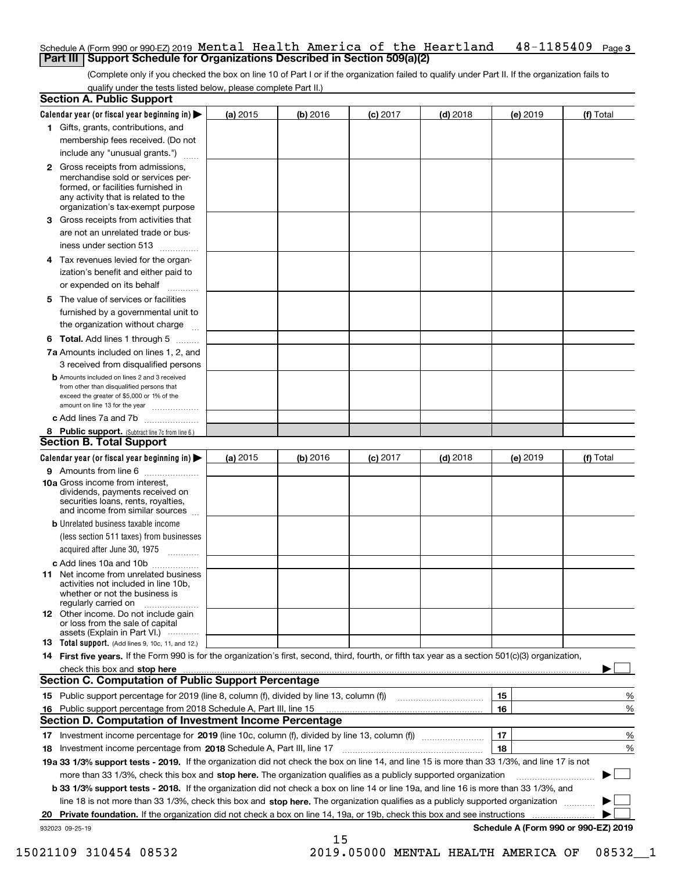#### Schedule A (Form 990 or 990-EZ) 2019 <code>Mental Health America of the Heartland 48-1185409</code> Page 3 **Part III | Support Schedule for Organizations Described in Section 509(a)(2)**

(Complete only if you checked the box on line 10 of Part I or if the organization failed to qualify under Part II. If the organization fails to qualify under the tests listed below, please complete Part II.)

|    | <b>Section A. Public Support</b>                                                                                                                                                         |          |            |            |            |          |                                      |
|----|------------------------------------------------------------------------------------------------------------------------------------------------------------------------------------------|----------|------------|------------|------------|----------|--------------------------------------|
|    | Calendar year (or fiscal year beginning in) $\blacktriangleright$                                                                                                                        | (a) 2015 | $(b)$ 2016 | $(c)$ 2017 | $(d)$ 2018 | (e) 2019 | (f) Total                            |
|    | 1 Gifts, grants, contributions, and                                                                                                                                                      |          |            |            |            |          |                                      |
|    | membership fees received. (Do not                                                                                                                                                        |          |            |            |            |          |                                      |
|    | include any "unusual grants.")                                                                                                                                                           |          |            |            |            |          |                                      |
|    | 2 Gross receipts from admissions,<br>merchandise sold or services per-<br>formed, or facilities furnished in<br>any activity that is related to the<br>organization's tax-exempt purpose |          |            |            |            |          |                                      |
|    | 3 Gross receipts from activities that                                                                                                                                                    |          |            |            |            |          |                                      |
|    | are not an unrelated trade or bus-                                                                                                                                                       |          |            |            |            |          |                                      |
|    | iness under section 513                                                                                                                                                                  |          |            |            |            |          |                                      |
|    | 4 Tax revenues levied for the organ-                                                                                                                                                     |          |            |            |            |          |                                      |
|    | ization's benefit and either paid to                                                                                                                                                     |          |            |            |            |          |                                      |
|    | or expended on its behalf<br>.                                                                                                                                                           |          |            |            |            |          |                                      |
|    | 5 The value of services or facilities<br>furnished by a governmental unit to                                                                                                             |          |            |            |            |          |                                      |
|    | the organization without charge                                                                                                                                                          |          |            |            |            |          |                                      |
|    | <b>6 Total.</b> Add lines 1 through 5                                                                                                                                                    |          |            |            |            |          |                                      |
|    | 7a Amounts included on lines 1, 2, and                                                                                                                                                   |          |            |            |            |          |                                      |
|    | 3 received from disqualified persons                                                                                                                                                     |          |            |            |            |          |                                      |
|    | <b>b</b> Amounts included on lines 2 and 3 received<br>from other than disqualified persons that<br>exceed the greater of \$5,000 or 1% of the<br>amount on line 13 for the year         |          |            |            |            |          |                                      |
|    | c Add lines 7a and 7b                                                                                                                                                                    |          |            |            |            |          |                                      |
|    | 8 Public support. (Subtract line 7c from line 6.)<br><b>Section B. Total Support</b>                                                                                                     |          |            |            |            |          |                                      |
|    | Calendar year (or fiscal year beginning in) $\blacktriangleright$                                                                                                                        | (a) 2015 | (b) 2016   | $(c)$ 2017 | $(d)$ 2018 | (e) 2019 | (f) Total                            |
|    | 9 Amounts from line 6                                                                                                                                                                    |          |            |            |            |          |                                      |
|    | 10a Gross income from interest,<br>dividends, payments received on<br>securities loans, rents, royalties,<br>and income from similar sources                                             |          |            |            |            |          |                                      |
|    | <b>b</b> Unrelated business taxable income                                                                                                                                               |          |            |            |            |          |                                      |
|    | (less section 511 taxes) from businesses                                                                                                                                                 |          |            |            |            |          |                                      |
|    | acquired after June 30, 1975                                                                                                                                                             |          |            |            |            |          |                                      |
|    | c Add lines 10a and 10b                                                                                                                                                                  |          |            |            |            |          |                                      |
|    | 11 Net income from unrelated business<br>activities not included in line 10b,<br>whether or not the business is<br>regularly carried on                                                  |          |            |            |            |          |                                      |
|    | 12 Other income. Do not include gain<br>or loss from the sale of capital<br>assets (Explain in Part VI.)                                                                                 |          |            |            |            |          |                                      |
|    | <b>13</b> Total support. (Add lines 9, 10c, 11, and 12.)                                                                                                                                 |          |            |            |            |          |                                      |
|    | 14 First five years. If the Form 990 is for the organization's first, second, third, fourth, or fifth tax year as a section 501(c)(3) organization,                                      |          |            |            |            |          |                                      |
|    | check this box and stop here measurements are constructed as the state of the state of the state of the state o                                                                          |          |            |            |            |          |                                      |
|    | Section C. Computation of Public Support Percentage                                                                                                                                      |          |            |            |            |          |                                      |
|    | 15 Public support percentage for 2019 (line 8, column (f), divided by line 13, column (f))                                                                                               |          |            |            |            | 15       | %                                    |
|    | 16 Public support percentage from 2018 Schedule A, Part III, line 15                                                                                                                     |          |            |            |            | 16       | %                                    |
|    | <b>Section D. Computation of Investment Income Percentage</b>                                                                                                                            |          |            |            |            |          |                                      |
|    | 17 Investment income percentage for 2019 (line 10c, column (f), divided by line 13, column (f))                                                                                          |          |            |            |            | 17       | %                                    |
|    | <b>18</b> Investment income percentage from <b>2018</b> Schedule A, Part III, line 17                                                                                                    |          |            |            |            | 18       | %                                    |
|    | 19a 33 1/3% support tests - 2019. If the organization did not check the box on line 14, and line 15 is more than 33 1/3%, and line 17 is not                                             |          |            |            |            |          |                                      |
|    | more than 33 1/3%, check this box and stop here. The organization qualifies as a publicly supported organization                                                                         |          |            |            |            |          | ▶                                    |
|    | b 33 1/3% support tests - 2018. If the organization did not check a box on line 14 or line 19a, and line 16 is more than 33 1/3%, and                                                    |          |            |            |            |          |                                      |
|    | line 18 is not more than 33 1/3%, check this box and stop here. The organization qualifies as a publicly supported organization                                                          |          |            |            |            |          |                                      |
| 20 | Private foundation. If the organization did not check a box on line 14, 19a, or 19b, check this box and see instructions                                                                 |          |            |            |            |          |                                      |
|    | 932023 09-25-19                                                                                                                                                                          |          | 15         |            |            |          | Schedule A (Form 990 or 990-EZ) 2019 |

 <sup>15021109 310454 08532 2019.05000</sup> MENTAL HEALTH AMERICA OF 08532\_\_1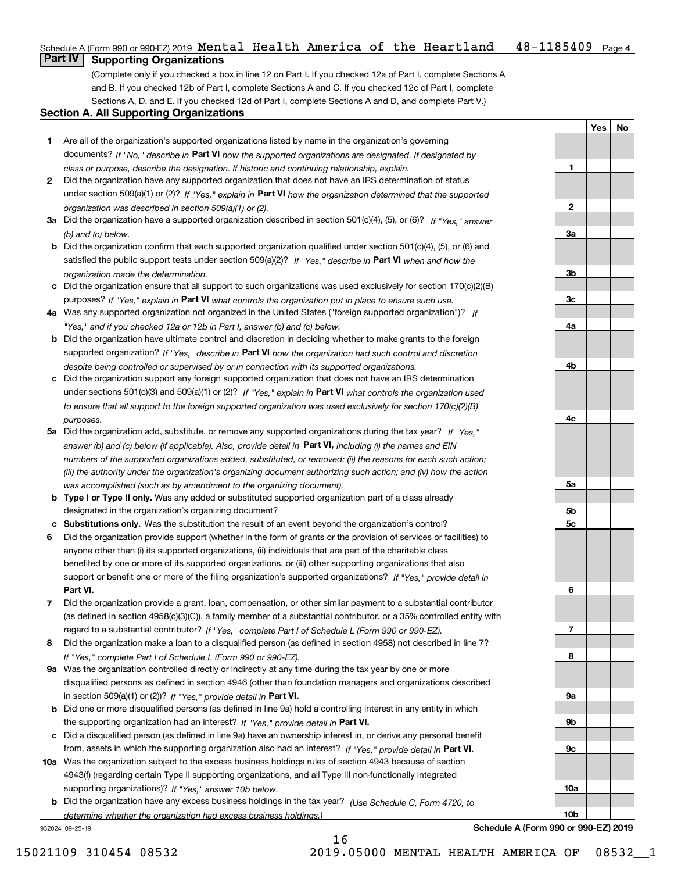#### Schedule A (Form 990 or 990-EZ) 2019 <code>Mental Health America of the Heartland 48-1185409 Page 4</code> **Part IV Supporting Organizations**

(Complete only if you checked a box in line 12 on Part I. If you checked 12a of Part I, complete Sections A and B. If you checked 12b of Part I, complete Sections A and C. If you checked 12c of Part I, complete Sections A, D, and E. If you checked 12d of Part I, complete Sections A and D, and complete Part V.)

#### **Section A. All Supporting Organizations**

- **1** Are all of the organization's supported organizations listed by name in the organization's governing documents? If "No," describe in **Part VI** how the supported organizations are designated. If designated by *class or purpose, describe the designation. If historic and continuing relationship, explain.*
- **2** Did the organization have any supported organization that does not have an IRS determination of status under section 509(a)(1) or (2)? If "Yes," explain in Part VI how the organization determined that the supported *organization was described in section 509(a)(1) or (2).*
- **3a** Did the organization have a supported organization described in section 501(c)(4), (5), or (6)? If "Yes," answer *(b) and (c) below.*
- **b** Did the organization confirm that each supported organization qualified under section 501(c)(4), (5), or (6) and satisfied the public support tests under section 509(a)(2)? If "Yes," describe in **Part VI** when and how the *organization made the determination.*
- **c**Did the organization ensure that all support to such organizations was used exclusively for section 170(c)(2)(B) purposes? If "Yes," explain in **Part VI** what controls the organization put in place to ensure such use.
- **4a***If* Was any supported organization not organized in the United States ("foreign supported organization")? *"Yes," and if you checked 12a or 12b in Part I, answer (b) and (c) below.*
- **b** Did the organization have ultimate control and discretion in deciding whether to make grants to the foreign supported organization? If "Yes," describe in **Part VI** how the organization had such control and discretion *despite being controlled or supervised by or in connection with its supported organizations.*
- **c** Did the organization support any foreign supported organization that does not have an IRS determination under sections 501(c)(3) and 509(a)(1) or (2)? If "Yes," explain in **Part VI** what controls the organization used *to ensure that all support to the foreign supported organization was used exclusively for section 170(c)(2)(B) purposes.*
- **5a** Did the organization add, substitute, or remove any supported organizations during the tax year? If "Yes," answer (b) and (c) below (if applicable). Also, provide detail in **Part VI,** including (i) the names and EIN *numbers of the supported organizations added, substituted, or removed; (ii) the reasons for each such action; (iii) the authority under the organization's organizing document authorizing such action; and (iv) how the action was accomplished (such as by amendment to the organizing document).*
- **b** Type I or Type II only. Was any added or substituted supported organization part of a class already designated in the organization's organizing document?
- **cSubstitutions only.**  Was the substitution the result of an event beyond the organization's control?
- **6** Did the organization provide support (whether in the form of grants or the provision of services or facilities) to **Part VI.** *If "Yes," provide detail in* support or benefit one or more of the filing organization's supported organizations? anyone other than (i) its supported organizations, (ii) individuals that are part of the charitable class benefited by one or more of its supported organizations, or (iii) other supporting organizations that also
- **7**Did the organization provide a grant, loan, compensation, or other similar payment to a substantial contributor *If "Yes," complete Part I of Schedule L (Form 990 or 990-EZ).* regard to a substantial contributor? (as defined in section 4958(c)(3)(C)), a family member of a substantial contributor, or a 35% controlled entity with
- **8** Did the organization make a loan to a disqualified person (as defined in section 4958) not described in line 7? *If "Yes," complete Part I of Schedule L (Form 990 or 990-EZ).*
- **9a** Was the organization controlled directly or indirectly at any time during the tax year by one or more in section 509(a)(1) or (2))? If "Yes," *provide detail in* <code>Part VI.</code> disqualified persons as defined in section 4946 (other than foundation managers and organizations described
- **b** Did one or more disqualified persons (as defined in line 9a) hold a controlling interest in any entity in which the supporting organization had an interest? If "Yes," provide detail in P**art VI**.
- **c**Did a disqualified person (as defined in line 9a) have an ownership interest in, or derive any personal benefit from, assets in which the supporting organization also had an interest? If "Yes," provide detail in P**art VI.**
- **10a** Was the organization subject to the excess business holdings rules of section 4943 because of section supporting organizations)? If "Yes," answer 10b below. 4943(f) (regarding certain Type II supporting organizations, and all Type III non-functionally integrated
- **b** Did the organization have any excess business holdings in the tax year? (Use Schedule C, Form 4720, to *determine whether the organization had excess business holdings.)*

16

932024 09-25-19

**123a3b3c4a4b4c5a 5b5c6789a 9b9c10a**

**YesNo**

**Schedule A (Form 990 or 990-EZ) 2019**

**10b**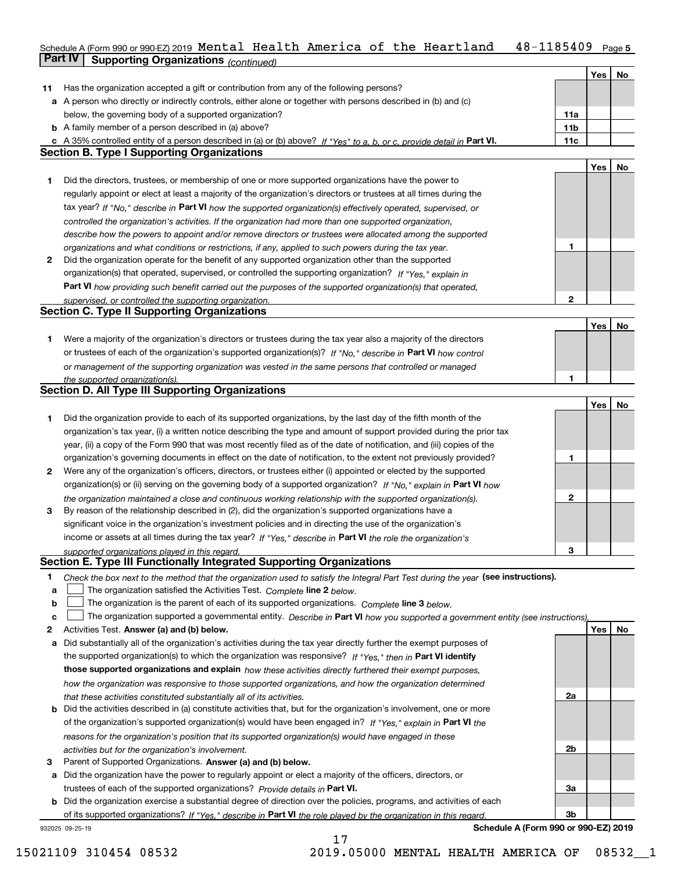## Schedule A (Form 990 or 990-EZ) 2019 <code>Mental Health America of the Heartland 48-1185409</code> Page 5 **Part IV Supporting Organizations** *(continued)*

|    |                                                                                                                                   |                 | Yes | No |
|----|-----------------------------------------------------------------------------------------------------------------------------------|-----------------|-----|----|
| 11 | Has the organization accepted a gift or contribution from any of the following persons?                                           |                 |     |    |
|    | a A person who directly or indirectly controls, either alone or together with persons described in (b) and (c)                    |                 |     |    |
|    | below, the governing body of a supported organization?                                                                            | 11a             |     |    |
|    | <b>b</b> A family member of a person described in (a) above?                                                                      | 11 <sub>b</sub> |     |    |
|    | c A 35% controlled entity of a person described in (a) or (b) above? If "Yes" to a, b, or c, provide detail in Part VI.           | 11c             |     |    |
|    | Section B. Type I Supporting Organizations                                                                                        |                 |     |    |
|    |                                                                                                                                   |                 | Yes | No |
| 1  | Did the directors, trustees, or membership of one or more supported organizations have the power to                               |                 |     |    |
|    | regularly appoint or elect at least a majority of the organization's directors or trustees at all times during the                |                 |     |    |
|    | tax year? If "No," describe in Part VI how the supported organization(s) effectively operated, supervised, or                     |                 |     |    |
|    | controlled the organization's activities. If the organization had more than one supported organization,                           |                 |     |    |
|    | describe how the powers to appoint and/or remove directors or trustees were allocated among the supported                         |                 |     |    |
|    | organizations and what conditions or restrictions, if any, applied to such powers during the tax year.                            | 1               |     |    |
| 2  | Did the organization operate for the benefit of any supported organization other than the supported                               |                 |     |    |
|    | organization(s) that operated, supervised, or controlled the supporting organization? If "Yes," explain in                        |                 |     |    |
|    | Part VI how providing such benefit carried out the purposes of the supported organization(s) that operated,                       |                 |     |    |
|    | supervised, or controlled the supporting organization.                                                                            | $\mathbf{2}$    |     |    |
|    | <b>Section C. Type II Supporting Organizations</b>                                                                                |                 |     |    |
|    |                                                                                                                                   |                 | Yes | No |
| 1  | Were a majority of the organization's directors or trustees during the tax year also a majority of the directors                  |                 |     |    |
|    | or trustees of each of the organization's supported organization(s)? If "No," describe in Part VI how control                     |                 |     |    |
|    | or management of the supporting organization was vested in the same persons that controlled or managed                            |                 |     |    |
|    | the supported organization(s).                                                                                                    | 1               |     |    |
|    | <b>Section D. All Type III Supporting Organizations</b>                                                                           |                 |     |    |
|    |                                                                                                                                   |                 | Yes | No |
| 1  | Did the organization provide to each of its supported organizations, by the last day of the fifth month of the                    |                 |     |    |
|    | organization's tax year, (i) a written notice describing the type and amount of support provided during the prior tax             |                 |     |    |
|    | year, (ii) a copy of the Form 990 that was most recently filed as of the date of notification, and (iii) copies of the            |                 |     |    |
|    | organization's governing documents in effect on the date of notification, to the extent not previously provided?                  | 1               |     |    |
| 2  | Were any of the organization's officers, directors, or trustees either (i) appointed or elected by the supported                  |                 |     |    |
|    | organization(s) or (ii) serving on the governing body of a supported organization? If "No," explain in Part VI how                |                 |     |    |
|    | the organization maintained a close and continuous working relationship with the supported organization(s).                       | $\mathbf{2}$    |     |    |
| 3  | By reason of the relationship described in (2), did the organization's supported organizations have a                             |                 |     |    |
|    | significant voice in the organization's investment policies and in directing the use of the organization's                        |                 |     |    |
|    | income or assets at all times during the tax year? If "Yes," describe in Part VI the role the organization's                      |                 |     |    |
|    | supported organizations played in this regard.                                                                                    | 3               |     |    |
|    | Section E. Type III Functionally Integrated Supporting Organizations                                                              |                 |     |    |
| 1  | Check the box next to the method that the organization used to satisfy the Integral Part Test during the year (see instructions). |                 |     |    |
| a  | The organization satisfied the Activities Test. Complete line 2 below.                                                            |                 |     |    |
| b  | The organization is the parent of each of its supported organizations. Complete line 3 below.                                     |                 |     |    |
| c  | The organization supported a governmental entity. Describe in Part VI how you supported a government entity (see instructions),   |                 |     |    |
| 2  | Activities Test. Answer (a) and (b) below.                                                                                        |                 | Yes | No |
| а  | Did substantially all of the organization's activities during the tax year directly further the exempt purposes of                |                 |     |    |
|    | the supported organization(s) to which the organization was responsive? If "Yes," then in Part VI identify                        |                 |     |    |
|    | those supported organizations and explain how these activities directly furthered their exempt purposes,                          |                 |     |    |
|    | how the organization was responsive to those supported organizations, and how the organization determined                         |                 |     |    |
|    | that these activities constituted substantially all of its activities.                                                            | 2a              |     |    |
|    | <b>b</b> Did the activities described in (a) constitute activities that, but for the organization's involvement, one or more      |                 |     |    |
|    | of the organization's supported organization(s) would have been engaged in? If "Yes," explain in Part VI the                      |                 |     |    |
|    | reasons for the organization's position that its supported organization(s) would have engaged in these                            |                 |     |    |
|    | activities but for the organization's involvement.                                                                                | 2b              |     |    |
| з  | Parent of Supported Organizations. Answer (a) and (b) below.                                                                      |                 |     |    |
|    | a Did the organization have the power to regularly appoint or elect a majority of the officers, directors, or                     |                 |     |    |
|    | trustees of each of the supported organizations? Provide details in Part VI.                                                      | За              |     |    |
|    | <b>b</b> Did the organization exercise a substantial degree of direction over the policies, programs, and activities of each      |                 |     |    |
|    | of its supported organizations? If "Yes," describe in Part VI the role played by the organization in this regard                  | 3b              |     |    |
|    | Schedule A (Form 990 or 990-EZ) 2019<br>932025 09-25-19                                                                           |                 |     |    |

17

15021109 310454 08532 2019.05000 MENTAL HEALTH AMERICA OF 08532\_\_1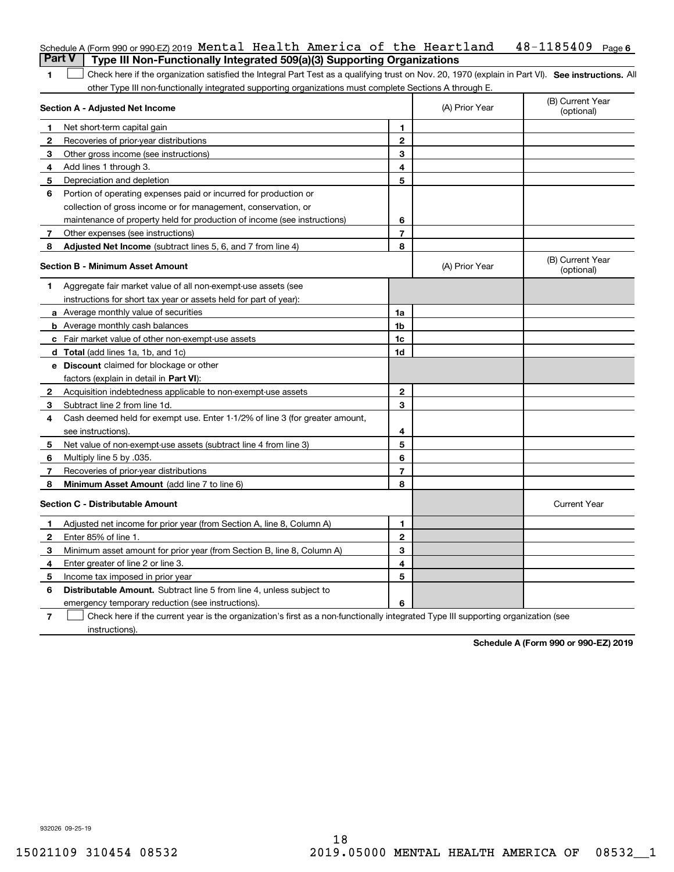|                | Schedule A (Form 990 or 990-EZ) 2019 Mental Health America of the Heartland                                                                       |                |                | 48-1185409<br>Page 6           |
|----------------|---------------------------------------------------------------------------------------------------------------------------------------------------|----------------|----------------|--------------------------------|
| <b>Part V</b>  | Type III Non-Functionally Integrated 509(a)(3) Supporting Organizations                                                                           |                |                |                                |
| 1              | Check here if the organization satisfied the Integral Part Test as a qualifying trust on Nov. 20, 1970 (explain in Part VI). See instructions. Al |                |                |                                |
|                | other Type III non-functionally integrated supporting organizations must complete Sections A through E.<br>Section A - Adjusted Net Income        |                | (A) Prior Year | (B) Current Year<br>(optional) |
| 1              | Net short-term capital gain                                                                                                                       | 1              |                |                                |
| 2              | Recoveries of prior-year distributions                                                                                                            | $\mathbf{2}$   |                |                                |
| з              | Other gross income (see instructions)                                                                                                             | 3              |                |                                |
| 4              | Add lines 1 through 3.                                                                                                                            | 4              |                |                                |
| 5              | Depreciation and depletion                                                                                                                        | 5              |                |                                |
| 6              | Portion of operating expenses paid or incurred for production or                                                                                  |                |                |                                |
|                | collection of gross income or for management, conservation, or                                                                                    |                |                |                                |
|                | maintenance of property held for production of income (see instructions)                                                                          | 6              |                |                                |
| 7              | Other expenses (see instructions)                                                                                                                 | $\overline{7}$ |                |                                |
| 8              | Adjusted Net Income (subtract lines 5, 6, and 7 from line 4)                                                                                      | 8              |                |                                |
|                | <b>Section B - Minimum Asset Amount</b>                                                                                                           |                | (A) Prior Year | (B) Current Year<br>(optional) |
| 1              | Aggregate fair market value of all non-exempt-use assets (see                                                                                     |                |                |                                |
|                | instructions for short tax year or assets held for part of year):                                                                                 |                |                |                                |
|                | <b>a</b> Average monthly value of securities                                                                                                      | 1a             |                |                                |
|                | <b>b</b> Average monthly cash balances                                                                                                            | 1b             |                |                                |
|                | c Fair market value of other non-exempt-use assets                                                                                                | 1c             |                |                                |
|                | d Total (add lines 1a, 1b, and 1c)                                                                                                                | 1d             |                |                                |
|                | <b>e</b> Discount claimed for blockage or other                                                                                                   |                |                |                                |
|                | factors (explain in detail in Part VI):                                                                                                           |                |                |                                |
| 2              | Acquisition indebtedness applicable to non-exempt-use assets                                                                                      | $\mathbf{2}$   |                |                                |
| 3              | Subtract line 2 from line 1d.                                                                                                                     | 3              |                |                                |
| 4              | Cash deemed held for exempt use. Enter 1-1/2% of line 3 (for greater amount,                                                                      |                |                |                                |
|                | see instructions).                                                                                                                                | 4              |                |                                |
| 5              | Net value of non-exempt-use assets (subtract line 4 from line 3)                                                                                  | 5              |                |                                |
| 6              | Multiply line 5 by .035.                                                                                                                          | 6              |                |                                |
| 7              | Recoveries of prior-year distributions                                                                                                            | $\overline{7}$ |                |                                |
| 8              | Minimum Asset Amount (add line 7 to line 6)                                                                                                       | 8              |                |                                |
|                | <b>Section C - Distributable Amount</b>                                                                                                           |                |                | <b>Current Year</b>            |
|                | Adjusted net income for prior year (from Section A, line 8, Column A)                                                                             | 1              |                |                                |
| 2              | Enter 85% of line 1.                                                                                                                              | 2              |                |                                |
| 3              | Minimum asset amount for prior year (from Section B, line 8, Column A)                                                                            | 3              |                |                                |
| 4              | Enter greater of line 2 or line 3.                                                                                                                | 4              |                |                                |
| 5              | Income tax imposed in prior year                                                                                                                  | 5              |                |                                |
| 6              | Distributable Amount. Subtract line 5 from line 4, unless subject to                                                                              |                |                |                                |
|                | emergency temporary reduction (see instructions).                                                                                                 | 6              |                |                                |
| $\overline{7}$ | Check here if the current year is the organization's first as a non-functionally integrated Type III supporting organization (see                 |                |                |                                |

instructions).

**Schedule A (Form 990 or 990-EZ) 2019**

932026 09-25-19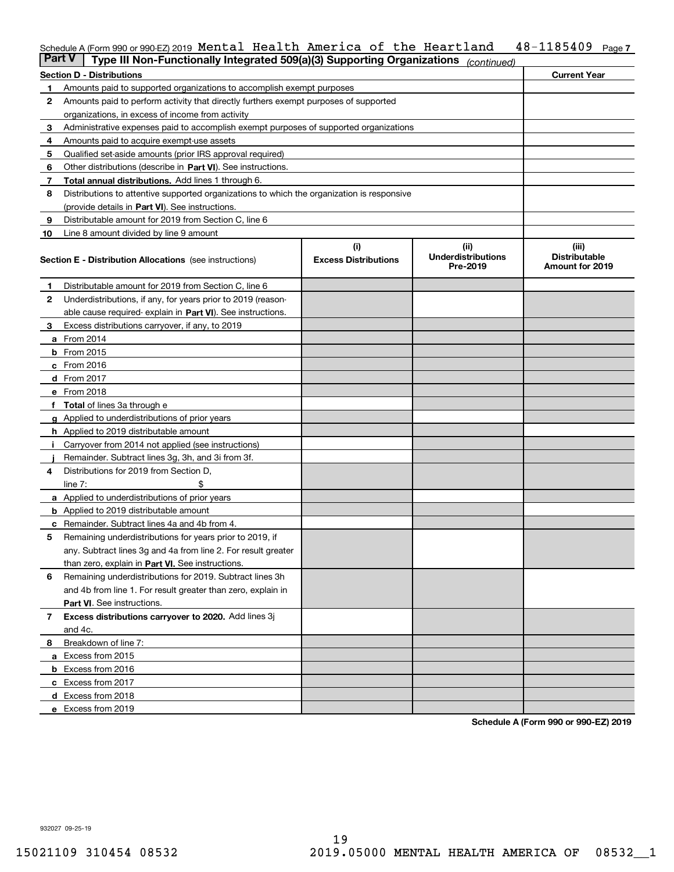#### Schedule A (Form 990 or 990-EZ) 2019 <code>Mental Health America of the Heartland 48-1185409 Page 7</code>

| <b>Part V</b> | Type III Non-Functionally Integrated 509(a)(3) Supporting Organizations                    |                                    | (continued)                                   |                                                         |
|---------------|--------------------------------------------------------------------------------------------|------------------------------------|-----------------------------------------------|---------------------------------------------------------|
|               | <b>Section D - Distributions</b>                                                           |                                    |                                               | <b>Current Year</b>                                     |
| 1.            | Amounts paid to supported organizations to accomplish exempt purposes                      |                                    |                                               |                                                         |
| 2             | Amounts paid to perform activity that directly furthers exempt purposes of supported       |                                    |                                               |                                                         |
|               | organizations, in excess of income from activity                                           |                                    |                                               |                                                         |
| 3             | Administrative expenses paid to accomplish exempt purposes of supported organizations      |                                    |                                               |                                                         |
| 4             | Amounts paid to acquire exempt-use assets                                                  |                                    |                                               |                                                         |
| 5             | Qualified set-aside amounts (prior IRS approval required)                                  |                                    |                                               |                                                         |
| 6             | Other distributions (describe in Part VI). See instructions.                               |                                    |                                               |                                                         |
| 7             | <b>Total annual distributions.</b> Add lines 1 through 6.                                  |                                    |                                               |                                                         |
| 8             | Distributions to attentive supported organizations to which the organization is responsive |                                    |                                               |                                                         |
|               | (provide details in Part VI). See instructions.                                            |                                    |                                               |                                                         |
| 9             | Distributable amount for 2019 from Section C, line 6                                       |                                    |                                               |                                                         |
| 10            | Line 8 amount divided by line 9 amount                                                     |                                    |                                               |                                                         |
|               | <b>Section E - Distribution Allocations</b> (see instructions)                             | (i)<br><b>Excess Distributions</b> | (ii)<br><b>Underdistributions</b><br>Pre-2019 | (iii)<br><b>Distributable</b><br><b>Amount for 2019</b> |
| 1.            | Distributable amount for 2019 from Section C, line 6                                       |                                    |                                               |                                                         |
| 2             | Underdistributions, if any, for years prior to 2019 (reason-                               |                                    |                                               |                                                         |
|               | able cause required-explain in Part VI). See instructions.                                 |                                    |                                               |                                                         |
| З             | Excess distributions carryover, if any, to 2019                                            |                                    |                                               |                                                         |
|               | <b>a</b> From 2014                                                                         |                                    |                                               |                                                         |
|               | <b>b</b> From $2015$                                                                       |                                    |                                               |                                                         |
|               | $c$ From 2016                                                                              |                                    |                                               |                                                         |
|               | <b>d</b> From 2017                                                                         |                                    |                                               |                                                         |
|               | e From 2018                                                                                |                                    |                                               |                                                         |
|               | Total of lines 3a through e                                                                |                                    |                                               |                                                         |
|               | <b>g</b> Applied to underdistributions of prior years                                      |                                    |                                               |                                                         |
|               | <b>h</b> Applied to 2019 distributable amount                                              |                                    |                                               |                                                         |
|               | Carryover from 2014 not applied (see instructions)                                         |                                    |                                               |                                                         |
|               | Remainder. Subtract lines 3g, 3h, and 3i from 3f.                                          |                                    |                                               |                                                         |
| 4             | Distributions for 2019 from Section D,                                                     |                                    |                                               |                                                         |
|               | line $7:$                                                                                  |                                    |                                               |                                                         |
|               | <b>a</b> Applied to underdistributions of prior years                                      |                                    |                                               |                                                         |
|               | <b>b</b> Applied to 2019 distributable amount                                              |                                    |                                               |                                                         |
| c             | Remainder. Subtract lines 4a and 4b from 4.                                                |                                    |                                               |                                                         |
| 5             | Remaining underdistributions for years prior to 2019, if                                   |                                    |                                               |                                                         |
|               | any. Subtract lines 3g and 4a from line 2. For result greater                              |                                    |                                               |                                                         |
|               | than zero, explain in Part VI. See instructions.                                           |                                    |                                               |                                                         |
| 6             | Remaining underdistributions for 2019. Subtract lines 3h                                   |                                    |                                               |                                                         |
|               | and 4b from line 1. For result greater than zero, explain in                               |                                    |                                               |                                                         |
|               | Part VI. See instructions.                                                                 |                                    |                                               |                                                         |
| 7             | Excess distributions carryover to 2020. Add lines 3j                                       |                                    |                                               |                                                         |
|               | and 4c.                                                                                    |                                    |                                               |                                                         |
| 8             | Breakdown of line 7:                                                                       |                                    |                                               |                                                         |
|               | a Excess from 2015                                                                         |                                    |                                               |                                                         |
|               | <b>b</b> Excess from 2016                                                                  |                                    |                                               |                                                         |
|               | c Excess from 2017                                                                         |                                    |                                               |                                                         |
|               | d Excess from 2018                                                                         |                                    |                                               |                                                         |
|               | e Excess from 2019                                                                         |                                    |                                               |                                                         |

**Schedule A (Form 990 or 990-EZ) 2019**

932027 09-25-19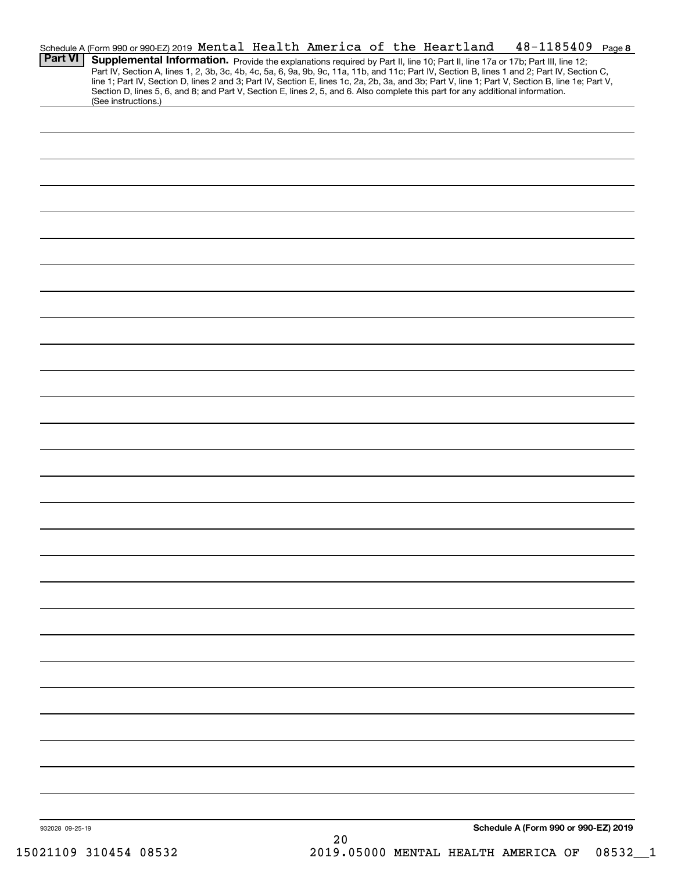|                 |                     |  |     | Schedule A (Form 990 or 990-EZ) 2019 Mental Health America of the Heartland                                                                                                                                                                                      | 48-1185409 Page 8                                                                                                                                                                                                                                                                                |
|-----------------|---------------------|--|-----|------------------------------------------------------------------------------------------------------------------------------------------------------------------------------------------------------------------------------------------------------------------|--------------------------------------------------------------------------------------------------------------------------------------------------------------------------------------------------------------------------------------------------------------------------------------------------|
| <b>Part VI</b>  |                     |  |     | Supplemental Information. Provide the explanations required by Part II, line 10; Part II, line 17a or 17b; Part III, line 12;<br>Section D, lines 5, 6, and 8; and Part V, Section E, lines 2, 5, and 6. Also complete this part for any additional information. | Part IV, Section A, lines 1, 2, 3b, 3c, 4b, 4c, 5a, 6, 9a, 9b, 9c, 11a, 11b, and 11c; Part IV, Section B, lines 1 and 2; Part IV, Section C,<br>line 1; Part IV, Section D, lines 2 and 3; Part IV, Section E, lines 1c, 2a, 2b, 3a, and 3b; Part V, line 1; Part V, Section B, line 1e; Part V, |
|                 | (See instructions.) |  |     |                                                                                                                                                                                                                                                                  |                                                                                                                                                                                                                                                                                                  |
|                 |                     |  |     |                                                                                                                                                                                                                                                                  |                                                                                                                                                                                                                                                                                                  |
|                 |                     |  |     |                                                                                                                                                                                                                                                                  |                                                                                                                                                                                                                                                                                                  |
|                 |                     |  |     |                                                                                                                                                                                                                                                                  |                                                                                                                                                                                                                                                                                                  |
|                 |                     |  |     |                                                                                                                                                                                                                                                                  |                                                                                                                                                                                                                                                                                                  |
|                 |                     |  |     |                                                                                                                                                                                                                                                                  |                                                                                                                                                                                                                                                                                                  |
|                 |                     |  |     |                                                                                                                                                                                                                                                                  |                                                                                                                                                                                                                                                                                                  |
|                 |                     |  |     |                                                                                                                                                                                                                                                                  |                                                                                                                                                                                                                                                                                                  |
|                 |                     |  |     |                                                                                                                                                                                                                                                                  |                                                                                                                                                                                                                                                                                                  |
|                 |                     |  |     |                                                                                                                                                                                                                                                                  |                                                                                                                                                                                                                                                                                                  |
|                 |                     |  |     |                                                                                                                                                                                                                                                                  |                                                                                                                                                                                                                                                                                                  |
|                 |                     |  |     |                                                                                                                                                                                                                                                                  |                                                                                                                                                                                                                                                                                                  |
|                 |                     |  |     |                                                                                                                                                                                                                                                                  |                                                                                                                                                                                                                                                                                                  |
|                 |                     |  |     |                                                                                                                                                                                                                                                                  |                                                                                                                                                                                                                                                                                                  |
|                 |                     |  |     |                                                                                                                                                                                                                                                                  |                                                                                                                                                                                                                                                                                                  |
|                 |                     |  |     |                                                                                                                                                                                                                                                                  |                                                                                                                                                                                                                                                                                                  |
|                 |                     |  |     |                                                                                                                                                                                                                                                                  |                                                                                                                                                                                                                                                                                                  |
|                 |                     |  |     |                                                                                                                                                                                                                                                                  |                                                                                                                                                                                                                                                                                                  |
|                 |                     |  |     |                                                                                                                                                                                                                                                                  |                                                                                                                                                                                                                                                                                                  |
|                 |                     |  |     |                                                                                                                                                                                                                                                                  |                                                                                                                                                                                                                                                                                                  |
|                 |                     |  |     |                                                                                                                                                                                                                                                                  |                                                                                                                                                                                                                                                                                                  |
|                 |                     |  |     |                                                                                                                                                                                                                                                                  |                                                                                                                                                                                                                                                                                                  |
|                 |                     |  |     |                                                                                                                                                                                                                                                                  |                                                                                                                                                                                                                                                                                                  |
|                 |                     |  |     |                                                                                                                                                                                                                                                                  |                                                                                                                                                                                                                                                                                                  |
|                 |                     |  |     |                                                                                                                                                                                                                                                                  |                                                                                                                                                                                                                                                                                                  |
|                 |                     |  |     |                                                                                                                                                                                                                                                                  |                                                                                                                                                                                                                                                                                                  |
|                 |                     |  |     |                                                                                                                                                                                                                                                                  |                                                                                                                                                                                                                                                                                                  |
|                 |                     |  |     |                                                                                                                                                                                                                                                                  |                                                                                                                                                                                                                                                                                                  |
|                 |                     |  |     |                                                                                                                                                                                                                                                                  |                                                                                                                                                                                                                                                                                                  |
|                 |                     |  |     |                                                                                                                                                                                                                                                                  |                                                                                                                                                                                                                                                                                                  |
|                 |                     |  |     |                                                                                                                                                                                                                                                                  |                                                                                                                                                                                                                                                                                                  |
|                 |                     |  |     |                                                                                                                                                                                                                                                                  |                                                                                                                                                                                                                                                                                                  |
|                 |                     |  |     |                                                                                                                                                                                                                                                                  |                                                                                                                                                                                                                                                                                                  |
|                 |                     |  |     |                                                                                                                                                                                                                                                                  |                                                                                                                                                                                                                                                                                                  |
| 932028 09-25-19 |                     |  | n n |                                                                                                                                                                                                                                                                  | Schedule A (Form 990 or 990-EZ) 2019                                                                                                                                                                                                                                                             |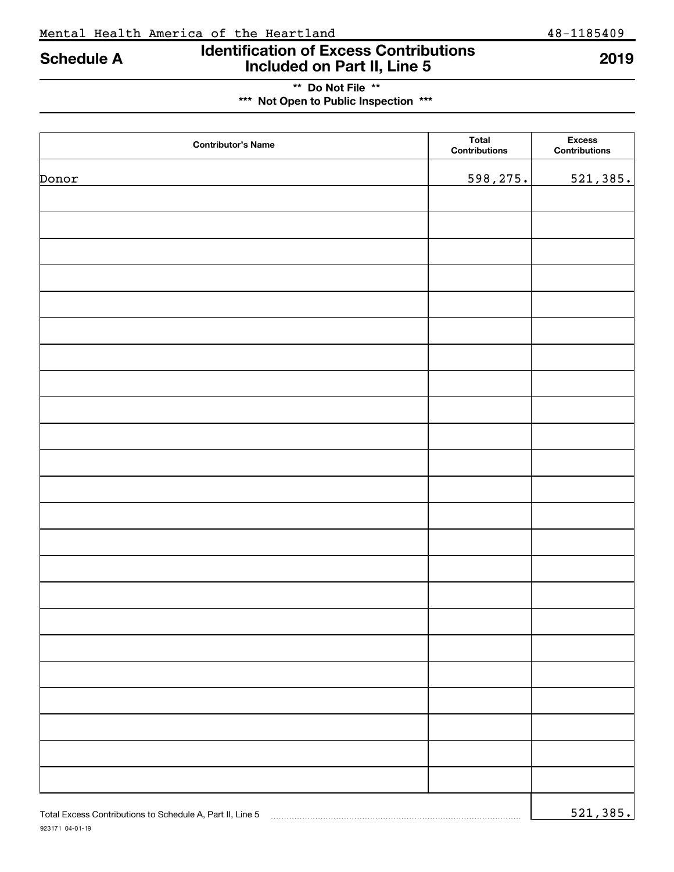923171 04-01-19

# **Identification of Excess Contributions Included on Part II, Line 5 Schedule A 2019**

# **\*\* Do Not File \*\* \*\*\* Not Open to Public Inspection \*\*\***

| <b>Contributor's Name</b>                                 | <b>Total</b><br>Contributions | <b>Excess</b><br><b>Contributions</b> |
|-----------------------------------------------------------|-------------------------------|---------------------------------------|
| Donor                                                     | 598,275.                      | 521,385.                              |
|                                                           |                               |                                       |
|                                                           |                               |                                       |
|                                                           |                               |                                       |
|                                                           |                               |                                       |
|                                                           |                               |                                       |
|                                                           |                               |                                       |
|                                                           |                               |                                       |
|                                                           |                               |                                       |
|                                                           |                               |                                       |
|                                                           |                               |                                       |
|                                                           |                               |                                       |
|                                                           |                               |                                       |
|                                                           |                               |                                       |
|                                                           |                               |                                       |
|                                                           |                               |                                       |
|                                                           |                               |                                       |
|                                                           |                               |                                       |
|                                                           |                               |                                       |
|                                                           |                               |                                       |
|                                                           |                               |                                       |
|                                                           |                               |                                       |
|                                                           |                               |                                       |
|                                                           |                               |                                       |
| Total Excess Contributions to Schedule A, Part II, Line 5 |                               | 521, 385.                             |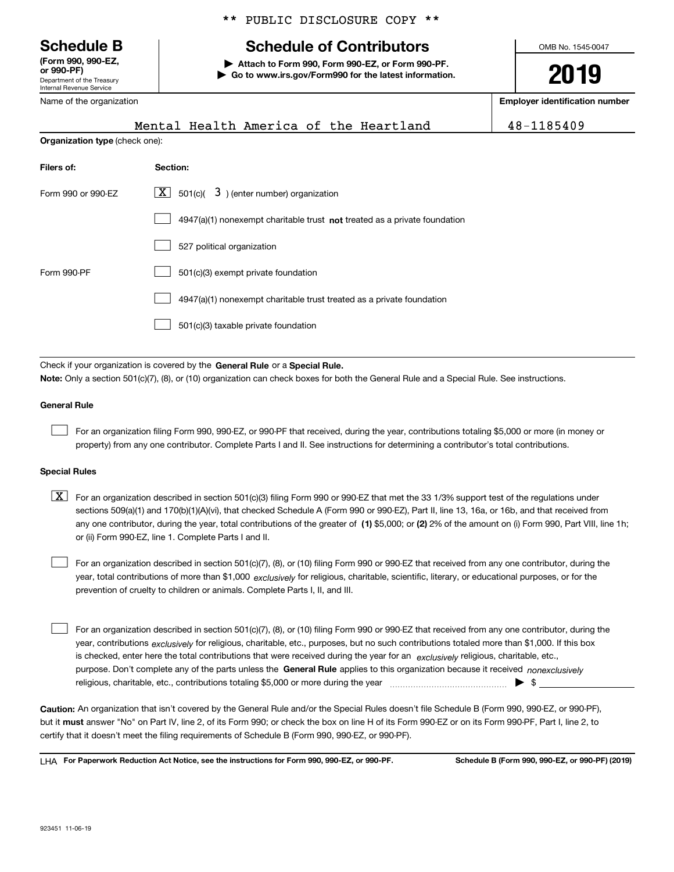Department of the Treasury Internal Revenue Service **(Form 990, 990-EZ, or 990-PF)**

Name of the organization

### \*\* PUBLIC DISCLOSURE COPY \*\*

# **Schedule B Schedule of Contributors**

**| Attach to Form 990, Form 990-EZ, or Form 990-PF. | Go to www.irs.gov/Form990 for the latest information.** OMB No. 1545-0047

# **2019**

**Employer identification number**

|                                       | Mental Health America of the Heartland                                                                                                                                                                                    | 48-1185409 |  |  |  |  |
|---------------------------------------|---------------------------------------------------------------------------------------------------------------------------------------------------------------------------------------------------------------------------|------------|--|--|--|--|
| <b>Organization type (check one):</b> |                                                                                                                                                                                                                           |            |  |  |  |  |
| Filers of:                            | Section:                                                                                                                                                                                                                  |            |  |  |  |  |
| Form 990 or 990-EZ                    | $501(c)$ $\left( 3 \right)$ (enter number) organization<br>  X                                                                                                                                                            |            |  |  |  |  |
|                                       | $4947(a)(1)$ nonexempt charitable trust <b>not</b> treated as a private foundation                                                                                                                                        |            |  |  |  |  |
|                                       | 527 political organization                                                                                                                                                                                                |            |  |  |  |  |
| Form 990-PF                           | 501(c)(3) exempt private foundation                                                                                                                                                                                       |            |  |  |  |  |
|                                       | 4947(a)(1) nonexempt charitable trust treated as a private foundation                                                                                                                                                     |            |  |  |  |  |
|                                       | 501(c)(3) taxable private foundation                                                                                                                                                                                      |            |  |  |  |  |
|                                       |                                                                                                                                                                                                                           |            |  |  |  |  |
|                                       | Check if your organization is covered by the General Rule or a Special Rule.<br>Note: Only a section 501(c)(7), (8), or (10) organization can check boxes for both the General Rule and a Special Rule. See instructions. |            |  |  |  |  |

#### **General Rule**

 $\mathcal{L}^{\text{max}}$ 

For an organization filing Form 990, 990-EZ, or 990-PF that received, during the year, contributions totaling \$5,000 or more (in money or property) from any one contributor. Complete Parts I and II. See instructions for determining a contributor's total contributions.

#### **Special Rules**

any one contributor, during the year, total contributions of the greater of  $\,$  (1) \$5,000; or **(2)** 2% of the amount on (i) Form 990, Part VIII, line 1h;  $\boxed{\textbf{X}}$  For an organization described in section 501(c)(3) filing Form 990 or 990-EZ that met the 33 1/3% support test of the regulations under sections 509(a)(1) and 170(b)(1)(A)(vi), that checked Schedule A (Form 990 or 990-EZ), Part II, line 13, 16a, or 16b, and that received from or (ii) Form 990-EZ, line 1. Complete Parts I and II.

year, total contributions of more than \$1,000 *exclusively* for religious, charitable, scientific, literary, or educational purposes, or for the For an organization described in section 501(c)(7), (8), or (10) filing Form 990 or 990-EZ that received from any one contributor, during the prevention of cruelty to children or animals. Complete Parts I, II, and III.  $\mathcal{L}^{\text{max}}$ 

purpose. Don't complete any of the parts unless the **General Rule** applies to this organization because it received *nonexclusively* year, contributions <sub>exclusively</sub> for religious, charitable, etc., purposes, but no such contributions totaled more than \$1,000. If this box is checked, enter here the total contributions that were received during the year for an  $\;$ exclusively religious, charitable, etc., For an organization described in section 501(c)(7), (8), or (10) filing Form 990 or 990-EZ that received from any one contributor, during the religious, charitable, etc., contributions totaling \$5,000 or more during the year  $\Box$ — $\Box$   $\Box$  $\mathcal{L}^{\text{max}}$ 

**Caution:**  An organization that isn't covered by the General Rule and/or the Special Rules doesn't file Schedule B (Form 990, 990-EZ, or 990-PF),  **must** but it answer "No" on Part IV, line 2, of its Form 990; or check the box on line H of its Form 990-EZ or on its Form 990-PF, Part I, line 2, to certify that it doesn't meet the filing requirements of Schedule B (Form 990, 990-EZ, or 990-PF).

**For Paperwork Reduction Act Notice, see the instructions for Form 990, 990-EZ, or 990-PF. Schedule B (Form 990, 990-EZ, or 990-PF) (2019)** LHA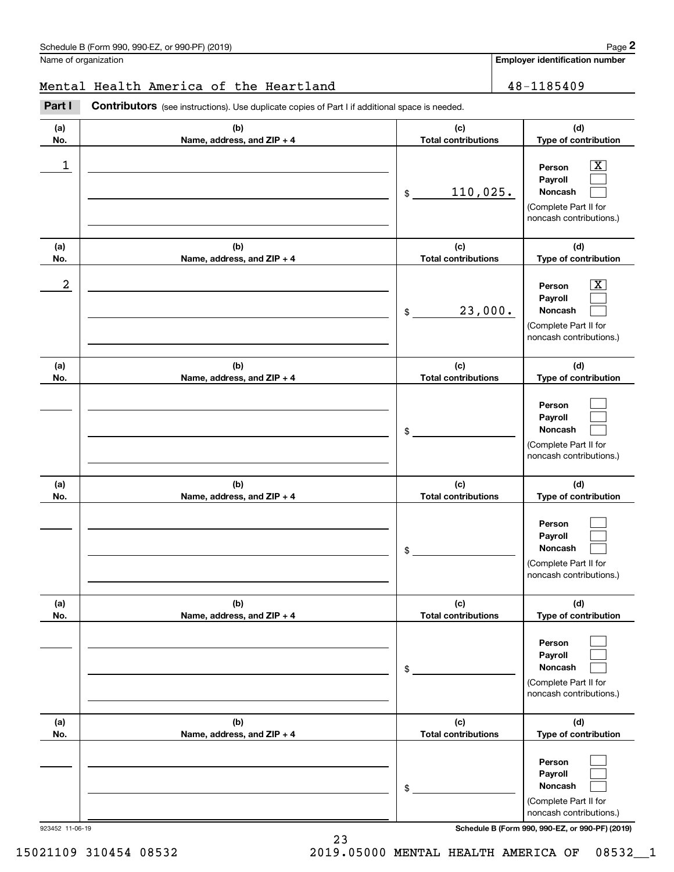#### Mental Health America of the Heartland 48-1185409

|                      | Schedule B (Form 990, 990-EZ, or 990-PF) (2019)                                                       |                                   | Page 2                                                                                                                              |
|----------------------|-------------------------------------------------------------------------------------------------------|-----------------------------------|-------------------------------------------------------------------------------------------------------------------------------------|
| Name of organization |                                                                                                       |                                   | <b>Employer identification number</b>                                                                                               |
|                      | Mental Health America of the Heartland                                                                |                                   | 48-1185409                                                                                                                          |
| Part I               | <b>Contributors</b> (see instructions). Use duplicate copies of Part I if additional space is needed. |                                   |                                                                                                                                     |
| (a)<br>No.           | (b)<br>Name, address, and ZIP + 4                                                                     | (c)<br><b>Total contributions</b> | (d)<br>Type of contribution                                                                                                         |
| 1                    |                                                                                                       | 110,025.<br>\$                    | $\overline{\mathbf{X}}$<br>Person<br>Payroll<br>Noncash<br>(Complete Part II for<br>noncash contributions.)                         |
| (a)<br>No.           | (b)<br>Name, address, and ZIP + 4                                                                     | (c)<br><b>Total contributions</b> | (d)<br>Type of contribution                                                                                                         |
| $\boldsymbol{2}$     |                                                                                                       | 23,000.<br>\$                     | $\overline{\mathbf{X}}$<br>Person<br>Payroll<br>Noncash<br>(Complete Part II for<br>noncash contributions.)                         |
| (a)<br>No.           | (b)<br>Name, address, and ZIP + 4                                                                     | (c)<br><b>Total contributions</b> | (d)<br>Type of contribution                                                                                                         |
|                      |                                                                                                       | \$                                | Person<br>Payroll<br>Noncash<br>(Complete Part II for<br>noncash contributions.)                                                    |
| (a)<br>No.           | (b)<br>Name, address, and ZIP + 4                                                                     | (c)<br><b>Total contributions</b> | (d)<br>Type of contribution                                                                                                         |
|                      |                                                                                                       | \$                                | Person<br>Payroll<br>Noncash<br>(Complete Part II for<br>noncash contributions.)                                                    |
| (a)<br>No.           | (b)<br>Name, address, and ZIP + 4                                                                     | (c)<br><b>Total contributions</b> | (d)<br>Type of contribution                                                                                                         |
|                      |                                                                                                       | \$                                | Person<br>Payroll<br>Noncash<br>(Complete Part II for<br>noncash contributions.)                                                    |
| (a)<br>No.           | (b)<br>Name, address, and ZIP + 4                                                                     | (c)<br><b>Total contributions</b> | (d)<br>Type of contribution                                                                                                         |
| 923452 11-06-19      |                                                                                                       | \$                                | Person<br>Payroll<br>Noncash<br>(Complete Part II for<br>noncash contributions.)<br>Schedule B (Form 990, 990-EZ, or 990-PF) (2019) |

23 15021109 310454 08532 2019.05000 MENTAL HEALTH AMERICA OF 08532\_\_1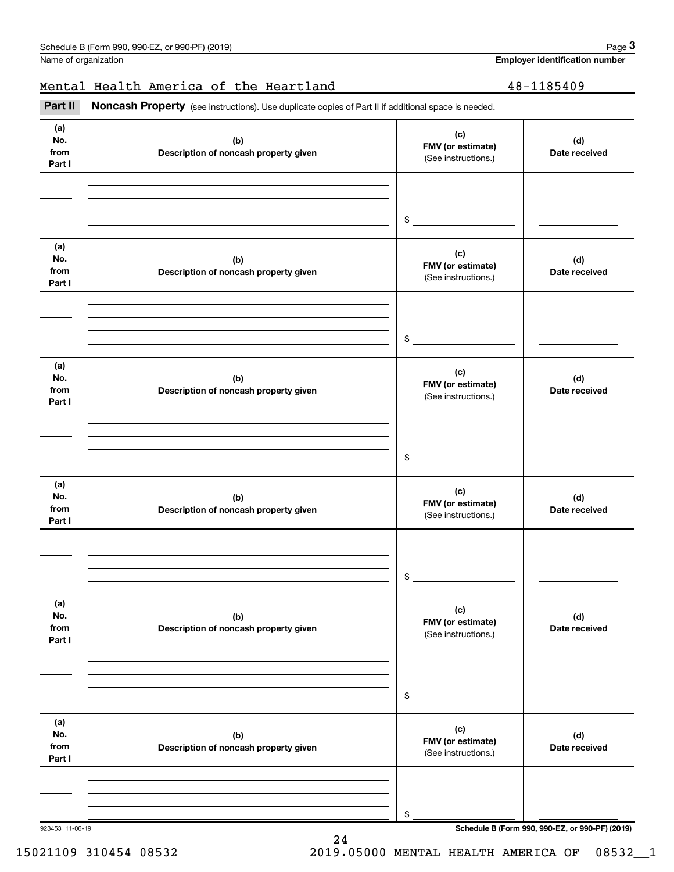|                              | Schedule B (Form 990, 990-EZ, or 990-PF) (2019)                                                     |                                                 | Page 3                                |
|------------------------------|-----------------------------------------------------------------------------------------------------|-------------------------------------------------|---------------------------------------|
| Name of organization         |                                                                                                     |                                                 | <b>Employer identification number</b> |
|                              | Mental Health America of the Heartland                                                              |                                                 | 48-1185409                            |
| Part II                      | Noncash Property (see instructions). Use duplicate copies of Part II if additional space is needed. |                                                 |                                       |
| (a)<br>No.<br>from<br>Part I | (b)<br>Description of noncash property given                                                        | (c)<br>FMV (or estimate)<br>(See instructions.) | (d)<br>Date received                  |
|                              |                                                                                                     | \$                                              |                                       |
| (a)<br>No.<br>from<br>Part I | (b)<br>Description of noncash property given                                                        | (c)<br>FMV (or estimate)<br>(See instructions.) | (d)<br>Date received                  |
|                              |                                                                                                     | \$                                              |                                       |
| (a)<br>No.<br>from<br>Part I | (b)<br>Description of noncash property given                                                        | (c)<br>FMV (or estimate)<br>(See instructions.) | (d)<br>Date received                  |
|                              |                                                                                                     | \$                                              |                                       |
| (a)<br>No.<br>from<br>Part I | (b)<br>Description of noncash property given                                                        | (c)<br>FMV (or estimate)<br>(See instructions.) | (d)<br>Date received                  |
|                              |                                                                                                     | \$                                              |                                       |
| (a)<br>No.<br>from<br>Part I | (b)<br>Description of noncash property given                                                        | (c)<br>FMV (or estimate)<br>(See instructions.) | (d)<br>Date received                  |
|                              |                                                                                                     | \$                                              |                                       |
| (a)<br>No.<br>from<br>Part I | (b)<br>Description of noncash property given                                                        | (c)<br>FMV (or estimate)<br>(See instructions.) | (d)<br>Date received                  |
|                              |                                                                                                     |                                                 |                                       |

#### 923453 11-06-19 **Schedule B (Form 990, 990-EZ, or 990-PF) (2019)**

24

15021109 310454 08532 2019.05000 MENTAL HEALTH AMERICA OF 08532\_\_1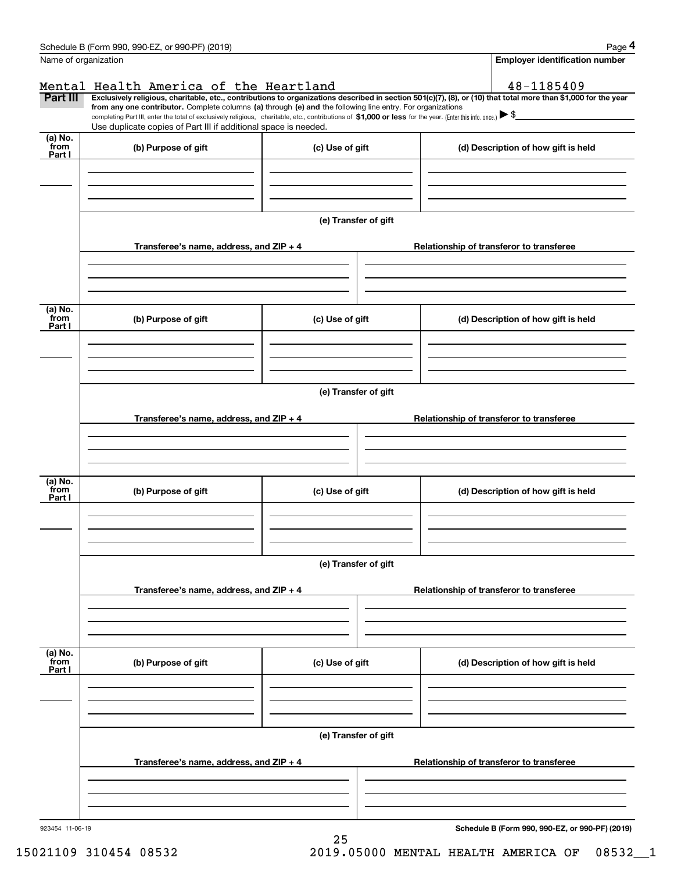|                           | Schedule B (Form 990, 990-EZ, or 990-PF) (2019)                                                                                                                                                                                                                                             |                      | Page 4                                                                                                                                                         |
|---------------------------|---------------------------------------------------------------------------------------------------------------------------------------------------------------------------------------------------------------------------------------------------------------------------------------------|----------------------|----------------------------------------------------------------------------------------------------------------------------------------------------------------|
| Name of organization      |                                                                                                                                                                                                                                                                                             |                      | <b>Employer identification number</b>                                                                                                                          |
|                           | Mental Health America of the Heartland                                                                                                                                                                                                                                                      |                      | 48-1185409                                                                                                                                                     |
| Part III                  |                                                                                                                                                                                                                                                                                             |                      | Exclusively religious, charitable, etc., contributions to organizations described in section 501(c)(7), (8), or (10) that total more than \$1,000 for the year |
|                           | from any one contributor. Complete columns (a) through (e) and the following line entry. For organizations<br>completing Part III, enter the total of exclusively religious, charitable, etc., contributions of $$1,000$ or less for the year. (Enter this info. once.) $\triangleright$ \$ |                      |                                                                                                                                                                |
|                           | Use duplicate copies of Part III if additional space is needed.                                                                                                                                                                                                                             |                      |                                                                                                                                                                |
| (a) No.<br>from<br>Part I | (b) Purpose of gift                                                                                                                                                                                                                                                                         | (c) Use of gift      | (d) Description of how gift is held                                                                                                                            |
|                           |                                                                                                                                                                                                                                                                                             |                      |                                                                                                                                                                |
|                           |                                                                                                                                                                                                                                                                                             |                      |                                                                                                                                                                |
|                           |                                                                                                                                                                                                                                                                                             | (e) Transfer of gift |                                                                                                                                                                |
|                           | Transferee's name, address, and ZIP + 4                                                                                                                                                                                                                                                     |                      | Relationship of transferor to transferee                                                                                                                       |
|                           |                                                                                                                                                                                                                                                                                             |                      |                                                                                                                                                                |
| (a) No.<br>from<br>Part I | (b) Purpose of gift                                                                                                                                                                                                                                                                         | (c) Use of gift      | (d) Description of how gift is held                                                                                                                            |
|                           |                                                                                                                                                                                                                                                                                             |                      |                                                                                                                                                                |
|                           |                                                                                                                                                                                                                                                                                             | (e) Transfer of gift |                                                                                                                                                                |
|                           | Transferee's name, address, and ZIP + 4                                                                                                                                                                                                                                                     |                      | Relationship of transferor to transferee                                                                                                                       |
|                           |                                                                                                                                                                                                                                                                                             |                      |                                                                                                                                                                |
| (a) No.<br>from<br>Part I | (b) Purpose of gift                                                                                                                                                                                                                                                                         | (c) Use of gift      | (d) Description of how gift is held                                                                                                                            |
|                           |                                                                                                                                                                                                                                                                                             |                      |                                                                                                                                                                |
|                           |                                                                                                                                                                                                                                                                                             |                      |                                                                                                                                                                |
|                           |                                                                                                                                                                                                                                                                                             | (e) Transfer of gift |                                                                                                                                                                |
|                           | Transferee's name, address, and $ZIP + 4$                                                                                                                                                                                                                                                   |                      | Relationship of transferor to transferee                                                                                                                       |
|                           |                                                                                                                                                                                                                                                                                             |                      |                                                                                                                                                                |
| (a) No.<br>from<br>Part I | (b) Purpose of gift                                                                                                                                                                                                                                                                         | (c) Use of gift      | (d) Description of how gift is held                                                                                                                            |
|                           |                                                                                                                                                                                                                                                                                             |                      |                                                                                                                                                                |
|                           |                                                                                                                                                                                                                                                                                             | (e) Transfer of gift |                                                                                                                                                                |
|                           | Transferee's name, address, and ZIP + 4                                                                                                                                                                                                                                                     |                      | Relationship of transferor to transferee                                                                                                                       |
|                           |                                                                                                                                                                                                                                                                                             |                      |                                                                                                                                                                |
|                           |                                                                                                                                                                                                                                                                                             |                      |                                                                                                                                                                |

25

923454 11-06-19

**Schedule B (Form 990, 990-EZ, or 990-PF) (2019)**

15021109 310454 08532 2019.05000 MENTAL HEALTH AMERICA OF 08532\_\_1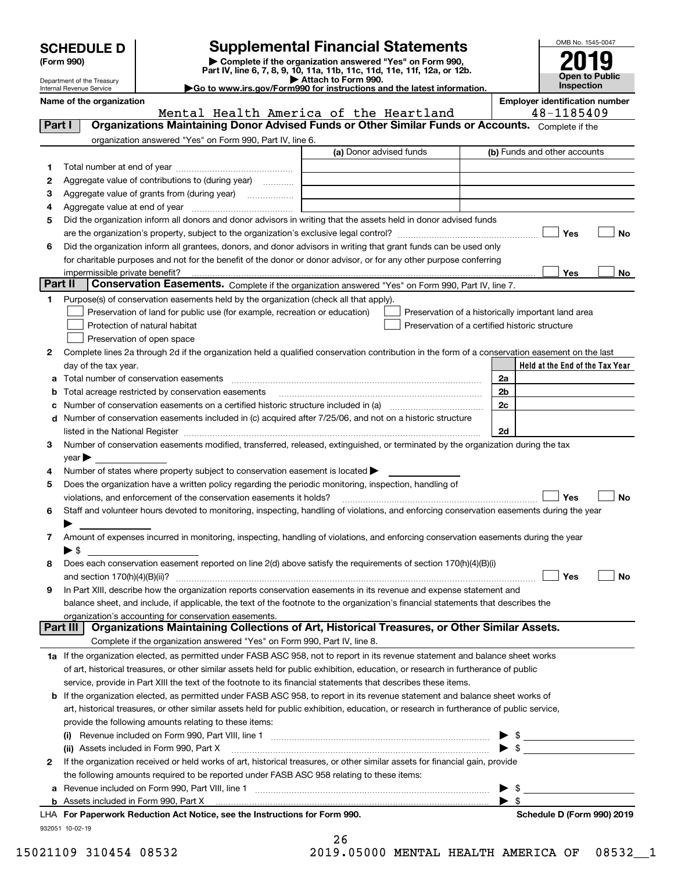| <b>SCHEDULE D</b> |  |
|-------------------|--|
|-------------------|--|

Department of the Treasury Internal Revenue Service

| (Form 990) |  |  |
|------------|--|--|
|------------|--|--|

# **SCHEDULE D Supplemental Financial Statements**

(Form 990)<br>
Pepartment of the Treasury<br>
Department of the Treasury<br>
Department of the Treasury<br>
Department of the Treasury<br> **Co to www.irs.gov/Form990 for instructions and the latest information.**<br> **Co to www.irs.gov/Form9** 

|  | Go to www.irs.gov/Form990 for instructions and the latest informati- |  |  |  |
|--|----------------------------------------------------------------------|--|--|--|
|  |                                                                      |  |  |  |



|  |  |  |  | Name of the organization |  |  |  |
|--|--|--|--|--------------------------|--|--|--|
|--|--|--|--|--------------------------|--|--|--|

**Name of the oriental conducts of the oriental conducts of the oriental conducts of the oriental conducts of the oriental conducts of the oriental conducts of the oriental conducts of the oriental conducts of the oriental** 

|         | Mental Health America of the Heartland                                                                                                                            | 48-1185409                                         |
|---------|-------------------------------------------------------------------------------------------------------------------------------------------------------------------|----------------------------------------------------|
| Part I  | Organizations Maintaining Donor Advised Funds or Other Similar Funds or Accounts. Complete if the                                                                 |                                                    |
|         | organization answered "Yes" on Form 990, Part IV, line 6.                                                                                                         |                                                    |
|         | (a) Donor advised funds                                                                                                                                           | (b) Funds and other accounts                       |
| 1       |                                                                                                                                                                   |                                                    |
| 2       | Aggregate value of contributions to (during year)                                                                                                                 |                                                    |
| з       | Aggregate value of grants from (during year)                                                                                                                      |                                                    |
| 4       |                                                                                                                                                                   |                                                    |
| 5       | Did the organization inform all donors and donor advisors in writing that the assets held in donor advised funds                                                  |                                                    |
|         |                                                                                                                                                                   | Yes<br>No                                          |
| 6       | Did the organization inform all grantees, donors, and donor advisors in writing that grant funds can be used only                                                 |                                                    |
|         | for charitable purposes and not for the benefit of the donor or donor advisor, or for any other purpose conferring                                                |                                                    |
|         | impermissible private benefit?                                                                                                                                    | Yes<br>No                                          |
| Part II | Conservation Easements. Complete if the organization answered "Yes" on Form 990, Part IV, line 7.                                                                 |                                                    |
| 1.      | Purpose(s) of conservation easements held by the organization (check all that apply).                                                                             |                                                    |
|         | Preservation of land for public use (for example, recreation or education)                                                                                        | Preservation of a historically important land area |
|         | Protection of natural habitat                                                                                                                                     | Preservation of a certified historic structure     |
|         | Preservation of open space                                                                                                                                        |                                                    |
| 2       | Complete lines 2a through 2d if the organization held a qualified conservation contribution in the form of a conservation easement on the last                    |                                                    |
|         | day of the tax year.                                                                                                                                              | Held at the End of the Tax Year                    |
|         |                                                                                                                                                                   | 2a                                                 |
|         | Total acreage restricted by conservation easements                                                                                                                | 2 <sub>b</sub>                                     |
|         | Number of conservation easements on a certified historic structure included in (a) <i>manumumumumum</i>                                                           | 2c                                                 |
|         | d Number of conservation easements included in (c) acquired after 7/25/06, and not on a historic structure                                                        |                                                    |
|         |                                                                                                                                                                   | 2d                                                 |
| 3       | Number of conservation easements modified, transferred, released, extinguished, or terminated by the organization during the tax                                  |                                                    |
|         | year                                                                                                                                                              |                                                    |
| 4       | Number of states where property subject to conservation easement is located >                                                                                     |                                                    |
| 5       | Does the organization have a written policy regarding the periodic monitoring, inspection, handling of                                                            |                                                    |
|         | violations, and enforcement of the conservation easements it holds?                                                                                               | Yes<br>No                                          |
| 6       | Staff and volunteer hours devoted to monitoring, inspecting, handling of violations, and enforcing conservation easements during the year                         |                                                    |
|         |                                                                                                                                                                   |                                                    |
| 7       | Amount of expenses incurred in monitoring, inspecting, handling of violations, and enforcing conservation easements during the year                               |                                                    |
|         | ► \$                                                                                                                                                              |                                                    |
| 8       | Does each conservation easement reported on line 2(d) above satisfy the requirements of section 170(h)(4)(B)(i)                                                   |                                                    |
|         |                                                                                                                                                                   | Yes<br>No                                          |
| 9       | In Part XIII, describe how the organization reports conservation easements in its revenue and expense statement and                                               |                                                    |
|         | balance sheet, and include, if applicable, the text of the footnote to the organization's financial statements that describes the                                 |                                                    |
|         | organization's accounting for conservation easements.<br>Organizations Maintaining Collections of Art, Historical Treasures, or Other Similar Assets.<br>Part III |                                                    |
|         | Complete if the organization answered "Yes" on Form 990, Part IV, line 8.                                                                                         |                                                    |
|         | 1a If the organization elected, as permitted under FASB ASC 958, not to report in its revenue statement and balance sheet works                                   |                                                    |
|         | of art, historical treasures, or other similar assets held for public exhibition, education, or research in furtherance of public                                 |                                                    |
|         | service, provide in Part XIII the text of the footnote to its financial statements that describes these items.                                                    |                                                    |
|         | <b>b</b> If the organization elected, as permitted under FASB ASC 958, to report in its revenue statement and balance sheet works of                              |                                                    |
|         | art, historical treasures, or other similar assets held for public exhibition, education, or research in furtherance of public service,                           |                                                    |
|         | provide the following amounts relating to these items:                                                                                                            |                                                    |
|         |                                                                                                                                                                   | \$                                                 |
|         | (ii) Assets included in Form 990, Part X                                                                                                                          | - \$                                               |
| 2       | If the organization received or held works of art, historical treasures, or other similar assets for financial gain, provide                                      |                                                    |
|         | the following amounts required to be reported under FASB ASC 958 relating to these items:                                                                         |                                                    |
|         |                                                                                                                                                                   | \$                                                 |
|         | <b>b</b> Assets included in Form 990, Part X                                                                                                                      | - \$                                               |
|         | LHA For Paperwork Reduction Act Notice, see the Instructions for Form 990.                                                                                        | Schedule D (Form 990) 2019                         |

932051 10-02-19

|   | 26 |        |               |  |
|---|----|--------|---------------|--|
| л | ⌒  | ^<br>- | $\sim$ $\sim$ |  |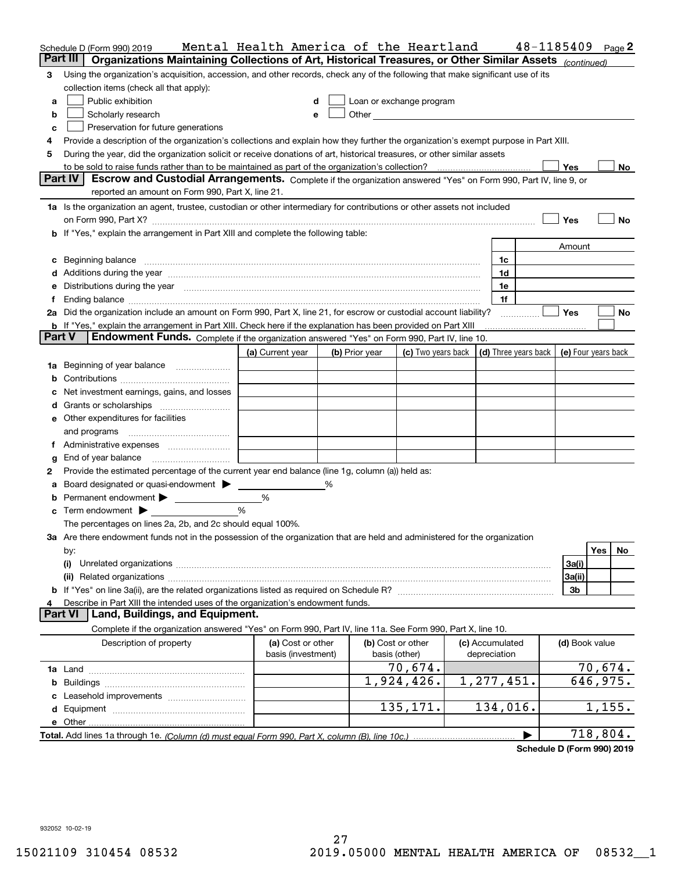|    | Schedule D (Form 990) 2019                                                                                                                                                                                                     | Mental Health America of the Heartland  |                |                                                                                                                                                                                                                               |                                 | 48-1185409 |                |          | Page 2 |
|----|--------------------------------------------------------------------------------------------------------------------------------------------------------------------------------------------------------------------------------|-----------------------------------------|----------------|-------------------------------------------------------------------------------------------------------------------------------------------------------------------------------------------------------------------------------|---------------------------------|------------|----------------|----------|--------|
|    | Organizations Maintaining Collections of Art, Historical Treasures, or Other Similar Assets (continued)<br>Part III                                                                                                            |                                         |                |                                                                                                                                                                                                                               |                                 |            |                |          |        |
| 3  | Using the organization's acquisition, accession, and other records, check any of the following that make significant use of its                                                                                                |                                         |                |                                                                                                                                                                                                                               |                                 |            |                |          |        |
|    | collection items (check all that apply):                                                                                                                                                                                       |                                         |                |                                                                                                                                                                                                                               |                                 |            |                |          |        |
| а  | Public exhibition                                                                                                                                                                                                              | d                                       |                | Loan or exchange program                                                                                                                                                                                                      |                                 |            |                |          |        |
| b  | Scholarly research                                                                                                                                                                                                             | e                                       |                | Other and the contract of the contract of the contract of the contract of the contract of the contract of the contract of the contract of the contract of the contract of the contract of the contract of the contract of the |                                 |            |                |          |        |
| c  | Preservation for future generations                                                                                                                                                                                            |                                         |                |                                                                                                                                                                                                                               |                                 |            |                |          |        |
| 4  | Provide a description of the organization's collections and explain how they further the organization's exempt purpose in Part XIII.                                                                                           |                                         |                |                                                                                                                                                                                                                               |                                 |            |                |          |        |
| 5  | During the year, did the organization solicit or receive donations of art, historical treasures, or other similar assets                                                                                                       |                                         |                |                                                                                                                                                                                                                               |                                 |            |                |          |        |
|    |                                                                                                                                                                                                                                |                                         |                |                                                                                                                                                                                                                               |                                 |            | Yes            |          | No     |
|    | Part IV<br>Escrow and Custodial Arrangements. Complete if the organization answered "Yes" on Form 990, Part IV, line 9, or<br>reported an amount on Form 990, Part X, line 21.                                                 |                                         |                |                                                                                                                                                                                                                               |                                 |            |                |          |        |
|    | 1a Is the organization an agent, trustee, custodian or other intermediary for contributions or other assets not included                                                                                                       |                                         |                |                                                                                                                                                                                                                               |                                 |            |                |          |        |
|    | on Form 990, Part X? [11] matter contracts and contracts and contracts are contracted to the contract of the contract of the contract of the contract of the contract of the contract of the contract of the contract of the c |                                         |                |                                                                                                                                                                                                                               |                                 |            | Yes            |          | No     |
|    | b If "Yes," explain the arrangement in Part XIII and complete the following table:                                                                                                                                             |                                         |                |                                                                                                                                                                                                                               |                                 |            |                |          |        |
|    |                                                                                                                                                                                                                                |                                         |                |                                                                                                                                                                                                                               |                                 |            | Amount         |          |        |
| c  | Beginning balance <b>contract to the contract of the contract of the contract of the contract of the contract of t</b>                                                                                                         |                                         |                |                                                                                                                                                                                                                               | 1c                              |            |                |          |        |
|    | d Additions during the year measurement contains and a container container and a container container and a container container and a container and a container container and a container container and a container container a |                                         |                |                                                                                                                                                                                                                               | 1d                              |            |                |          |        |
| е  | Distributions during the year measurement contains and all the state of the state of the state of the state of                                                                                                                 |                                         |                |                                                                                                                                                                                                                               | 1e                              |            |                |          |        |
| Ť. |                                                                                                                                                                                                                                |                                         |                |                                                                                                                                                                                                                               | 1f                              |            |                |          |        |
|    | 2a Did the organization include an amount on Form 990, Part X, line 21, for escrow or custodial account liability?                                                                                                             |                                         |                |                                                                                                                                                                                                                               |                                 |            | Yes            |          | No     |
|    | <b>b</b> If "Yes," explain the arrangement in Part XIII. Check here if the explanation has been provided on Part XIII                                                                                                          |                                         |                |                                                                                                                                                                                                                               |                                 |            |                |          |        |
|    | <b>Part V</b><br>Endowment Funds. Complete if the organization answered "Yes" on Form 990, Part IV, line 10.                                                                                                                   |                                         |                |                                                                                                                                                                                                                               |                                 |            |                |          |        |
|    |                                                                                                                                                                                                                                | (a) Current year                        | (b) Prior year | (c) Two years back $\vert$ (d) Three years back $\vert$ (e) Four years back                                                                                                                                                   |                                 |            |                |          |        |
|    | 1a Beginning of year balance                                                                                                                                                                                                   |                                         |                |                                                                                                                                                                                                                               |                                 |            |                |          |        |
| b  |                                                                                                                                                                                                                                |                                         |                |                                                                                                                                                                                                                               |                                 |            |                |          |        |
|    | Net investment earnings, gains, and losses                                                                                                                                                                                     |                                         |                |                                                                                                                                                                                                                               |                                 |            |                |          |        |
| d  |                                                                                                                                                                                                                                |                                         |                |                                                                                                                                                                                                                               |                                 |            |                |          |        |
|    | <b>e</b> Other expenditures for facilities                                                                                                                                                                                     |                                         |                |                                                                                                                                                                                                                               |                                 |            |                |          |        |
|    | and programs                                                                                                                                                                                                                   |                                         |                |                                                                                                                                                                                                                               |                                 |            |                |          |        |
|    |                                                                                                                                                                                                                                |                                         |                |                                                                                                                                                                                                                               |                                 |            |                |          |        |
| g  | End of year balance                                                                                                                                                                                                            |                                         |                |                                                                                                                                                                                                                               |                                 |            |                |          |        |
| 2  | Provide the estimated percentage of the current year end balance (line 1g, column (a)) held as:                                                                                                                                |                                         |                |                                                                                                                                                                                                                               |                                 |            |                |          |        |
| а  | Board designated or quasi-endowment >                                                                                                                                                                                          |                                         |                |                                                                                                                                                                                                                               |                                 |            |                |          |        |
| b  | Permanent endowment                                                                                                                                                                                                            | %                                       |                |                                                                                                                                                                                                                               |                                 |            |                |          |        |
|    | $\mathbf c$ Term endowment $\blacktriangleright$                                                                                                                                                                               | %                                       |                |                                                                                                                                                                                                                               |                                 |            |                |          |        |
|    | The percentages on lines 2a, 2b, and 2c should equal 100%.                                                                                                                                                                     |                                         |                |                                                                                                                                                                                                                               |                                 |            |                |          |        |
|    | 3a Are there endowment funds not in the possession of the organization that are held and administered for the organization                                                                                                     |                                         |                |                                                                                                                                                                                                                               |                                 |            |                |          |        |
|    | by:                                                                                                                                                                                                                            |                                         |                |                                                                                                                                                                                                                               |                                 |            |                | Yes      | No     |
|    | (i)                                                                                                                                                                                                                            |                                         |                |                                                                                                                                                                                                                               |                                 |            | 3a(i)          |          |        |
|    |                                                                                                                                                                                                                                |                                         |                |                                                                                                                                                                                                                               |                                 |            | 3a(ii)         |          |        |
|    |                                                                                                                                                                                                                                |                                         |                |                                                                                                                                                                                                                               |                                 |            | 3b             |          |        |
| 4  | Describe in Part XIII the intended uses of the organization's endowment funds.<br>Land, Buildings, and Equipment.                                                                                                              |                                         |                |                                                                                                                                                                                                                               |                                 |            |                |          |        |
|    | <b>Part VI</b>                                                                                                                                                                                                                 |                                         |                |                                                                                                                                                                                                                               |                                 |            |                |          |        |
|    | Complete if the organization answered "Yes" on Form 990, Part IV, line 11a. See Form 990, Part X, line 10.                                                                                                                     |                                         |                |                                                                                                                                                                                                                               |                                 |            |                |          |        |
|    | Description of property                                                                                                                                                                                                        | (a) Cost or other<br>basis (investment) |                | (b) Cost or other<br>basis (other)                                                                                                                                                                                            | (c) Accumulated<br>depreciation |            | (d) Book value |          |        |
|    |                                                                                                                                                                                                                                |                                         |                | 70,674.                                                                                                                                                                                                                       |                                 |            |                | 70,674.  |        |
|    |                                                                                                                                                                                                                                |                                         |                | 1,924,426.                                                                                                                                                                                                                    | 1,277,451.                      |            |                | 646,975. |        |
| c  |                                                                                                                                                                                                                                |                                         |                |                                                                                                                                                                                                                               |                                 |            |                |          |        |
|    |                                                                                                                                                                                                                                |                                         |                | 135,171.                                                                                                                                                                                                                      | 134,016.                        |            |                | 1,155.   |        |
|    |                                                                                                                                                                                                                                |                                         |                |                                                                                                                                                                                                                               |                                 |            |                |          |        |
|    |                                                                                                                                                                                                                                |                                         |                |                                                                                                                                                                                                                               |                                 | ▶          |                | 718,804. |        |

**Schedule D (Form 990) 2019**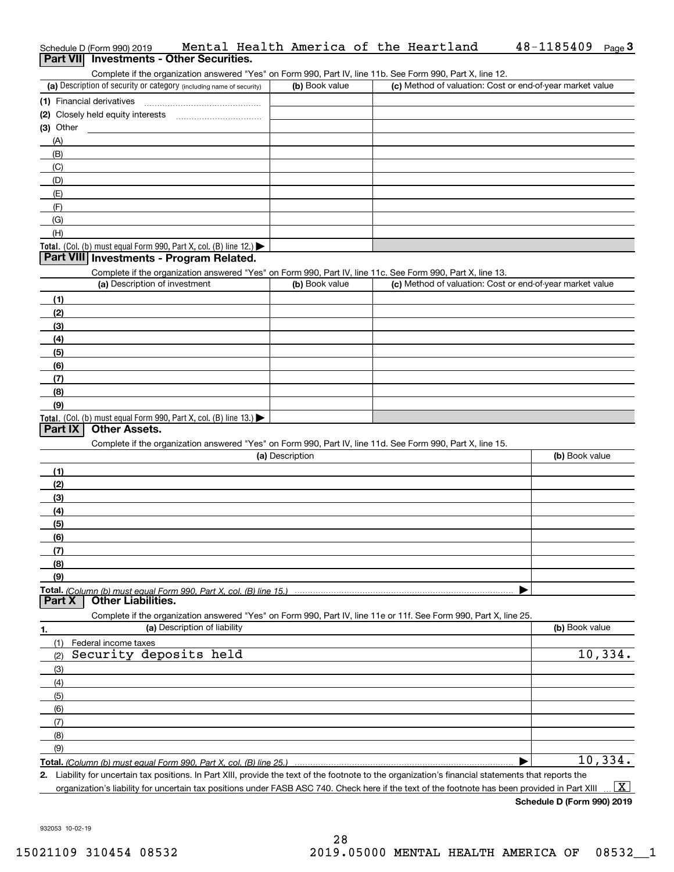| Complete if the organization answered "Yes" on Form 990, Part IV, line 11b. See Form 990, Part X, line 12.        |                 |                                                           |
|-------------------------------------------------------------------------------------------------------------------|-----------------|-----------------------------------------------------------|
| (a) Description of security or category (including name of security)                                              | (b) Book value  | (c) Method of valuation: Cost or end-of-year market value |
| (1) Financial derivatives                                                                                         |                 |                                                           |
| (2) Closely held equity interests                                                                                 |                 |                                                           |
| (3) Other                                                                                                         |                 |                                                           |
| (A)                                                                                                               |                 |                                                           |
| (B)                                                                                                               |                 |                                                           |
| (C)                                                                                                               |                 |                                                           |
| (D)                                                                                                               |                 |                                                           |
| (E)                                                                                                               |                 |                                                           |
| (F)                                                                                                               |                 |                                                           |
| (G)                                                                                                               |                 |                                                           |
| (H)                                                                                                               |                 |                                                           |
| Total. (Col. (b) must equal Form 990, Part X, col. (B) line 12.)                                                  |                 |                                                           |
| Part VIII Investments - Program Related.                                                                          |                 |                                                           |
| Complete if the organization answered "Yes" on Form 990, Part IV, line 11c. See Form 990, Part X, line 13.        |                 |                                                           |
| (a) Description of investment                                                                                     | (b) Book value  | (c) Method of valuation: Cost or end-of-year market value |
| (1)                                                                                                               |                 |                                                           |
| (2)                                                                                                               |                 |                                                           |
| (3)                                                                                                               |                 |                                                           |
| (4)                                                                                                               |                 |                                                           |
| (5)                                                                                                               |                 |                                                           |
| (6)                                                                                                               |                 |                                                           |
| (7)                                                                                                               |                 |                                                           |
| (8)                                                                                                               |                 |                                                           |
| (9)                                                                                                               |                 |                                                           |
| Total. (Col. (b) must equal Form 990, Part X, col. (B) line 13.)<br><b>Other Assets.</b><br>Part IX               |                 |                                                           |
|                                                                                                                   |                 |                                                           |
| Complete if the organization answered "Yes" on Form 990, Part IV, line 11d. See Form 990, Part X, line 15.        | (a) Description | (b) Book value                                            |
|                                                                                                                   |                 |                                                           |
| (1)                                                                                                               |                 |                                                           |
| (2)                                                                                                               |                 |                                                           |
| (3)                                                                                                               |                 |                                                           |
| (4)                                                                                                               |                 |                                                           |
| (5)                                                                                                               |                 |                                                           |
| (6)                                                                                                               |                 |                                                           |
| (7)                                                                                                               |                 |                                                           |
| (8)                                                                                                               |                 |                                                           |
| (9)                                                                                                               |                 |                                                           |
| Total. (Column (b) must equal Form 990. Part X, col. (B) line 15.)<br><b>Other Liabilities.</b><br>Part X         |                 |                                                           |
|                                                                                                                   |                 |                                                           |
|                                                                                                                   |                 |                                                           |
| Complete if the organization answered "Yes" on Form 990, Part IV, line 11e or 11f. See Form 990, Part X, line 25. |                 |                                                           |
| (a) Description of liability<br>1.                                                                                |                 | (b) Book value                                            |
| (1)<br>Federal income taxes                                                                                       |                 |                                                           |
| Security deposits held<br>(2)                                                                                     |                 | 10,334.                                                   |
| (3)                                                                                                               |                 |                                                           |
| (4)                                                                                                               |                 |                                                           |
| (5)                                                                                                               |                 |                                                           |
| (6)                                                                                                               |                 |                                                           |
| (7)                                                                                                               |                 |                                                           |
| (8)                                                                                                               |                 |                                                           |
| (9)<br>Total. (Column (b) must equal Form 990, Part X, col. (B) line 25.)                                         |                 | 10,334.                                                   |

organization's liability for uncertain tax positions under FASB ASC 740. Check here if the text of the footnote has been provided in Part XIII  $\,$  ...  $\overline{\rm X}$ 

# Schedule D (Form 990) 2019 – Mental Health America of the Heartland – 48-1185409 <sub>Page</sub> 3<br>| **Part VII** | Investments - Other Securities.

**Schedule D (Form 990) 2019**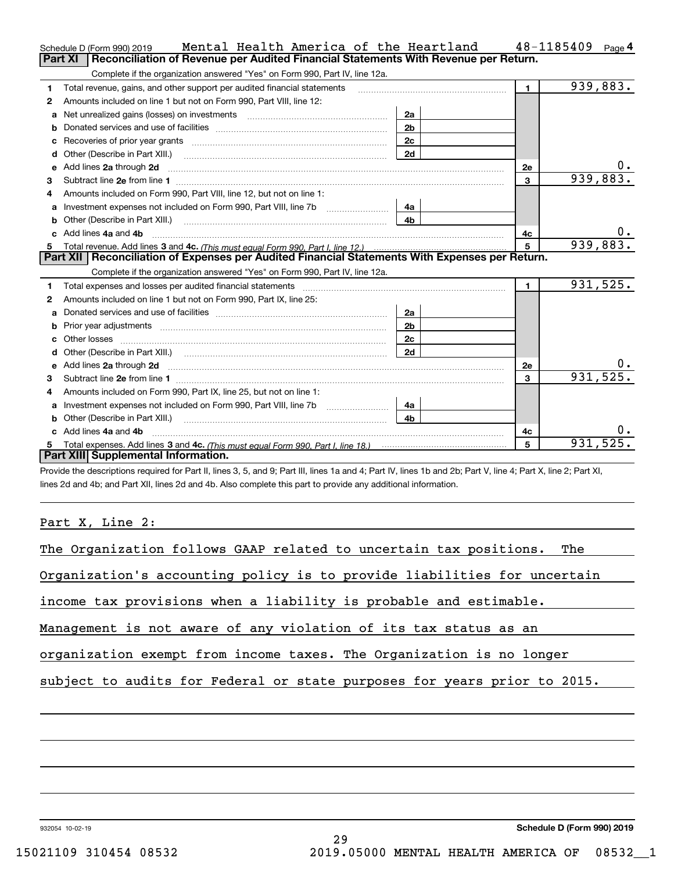|    | Mental Health America of the Heartland<br>Schedule D (Form 990) 2019                                                                                                                                                                |                |                 | $48 - 1185409$ Page 4 |
|----|-------------------------------------------------------------------------------------------------------------------------------------------------------------------------------------------------------------------------------------|----------------|-----------------|-----------------------|
|    | Reconciliation of Revenue per Audited Financial Statements With Revenue per Return.<br>Part XI                                                                                                                                      |                |                 |                       |
|    | Complete if the organization answered "Yes" on Form 990, Part IV, line 12a.                                                                                                                                                         |                |                 |                       |
| 1  | Total revenue, gains, and other support per audited financial statements                                                                                                                                                            |                | $\blacksquare$  | 939,883.              |
| 2  | Amounts included on line 1 but not on Form 990, Part VIII, line 12:                                                                                                                                                                 |                |                 |                       |
| a  | Net unrealized gains (losses) on investments [11] matter contracts and the unrealized gains (losses) on investments                                                                                                                 | 2a             |                 |                       |
|    |                                                                                                                                                                                                                                     | 2 <sub>b</sub> |                 |                       |
| с  |                                                                                                                                                                                                                                     | 2c             |                 |                       |
| d  | Other (Describe in Part XIII.) <b>Construction Construction</b> Chern Construction Chern Chern Chern Chern Chern Chern                                                                                                              | 2d             |                 |                       |
| е  | Add lines 2a through 2d <b>contained a contained a contained a contained a</b> contained a contained a contact the set                                                                                                              |                | <b>2e</b>       | 0.                    |
| 3  |                                                                                                                                                                                                                                     |                | $\mathbf{3}$    | 939,883.              |
| 4  | Amounts included on Form 990, Part VIII, line 12, but not on line 1:                                                                                                                                                                |                |                 |                       |
|    | Investment expenses not included on Form 990, Part VIII, line 7b [1000000000000000000000000000000000                                                                                                                                | 4a             |                 |                       |
| b  |                                                                                                                                                                                                                                     | 4 <sub>b</sub> |                 |                       |
| c. | Add lines 4a and 4b                                                                                                                                                                                                                 |                | 4с              | 0.                    |
| 5  |                                                                                                                                                                                                                                     |                | $5\overline{5}$ | 939,883.              |
|    | Part XII   Reconciliation of Expenses per Audited Financial Statements With Expenses per Return.                                                                                                                                    |                |                 |                       |
|    | Complete if the organization answered "Yes" on Form 990, Part IV, line 12a.                                                                                                                                                         |                |                 |                       |
| 1  | Total expenses and losses per audited financial statements [11] [11] Total expenses and losses per audited financial statements [11] [11] Total expenses and losses per audited financial statements                                |                | $\blacksquare$  | 931,525.              |
| 2  | Amounts included on line 1 but not on Form 990, Part IX, line 25:                                                                                                                                                                   |                |                 |                       |
| a  |                                                                                                                                                                                                                                     | 2a             |                 |                       |
| b  |                                                                                                                                                                                                                                     | 2 <sub>b</sub> |                 |                       |
| c. |                                                                                                                                                                                                                                     | 2c             |                 |                       |
|    |                                                                                                                                                                                                                                     | 2d             |                 |                       |
|    |                                                                                                                                                                                                                                     |                | <b>2e</b>       | 0.                    |
| 3  |                                                                                                                                                                                                                                     |                | 3               | 931,525.              |
| 4  | Amounts included on Form 990, Part IX, line 25, but not on line 1:                                                                                                                                                                  |                |                 |                       |
| a  | Investment expenses not included on Form 990, Part VIII, line 7b [100] [100] [100] [100] [100] [100] [100] [10                                                                                                                      | 4a             |                 |                       |
| b. | Other (Describe in Part XIII.) <b>Construction Contract Construction</b> Chemical Construction Chemical Chemical Chemical Chemical Chemical Chemical Chemical Chemical Chemical Chemical Chemical Chemical Chemical Chemical Chemic | 4b             |                 |                       |
|    | c Add lines 4a and 4b                                                                                                                                                                                                               |                | 4c              | Ο.                    |
|    |                                                                                                                                                                                                                                     |                | 5               | 931,525.              |
|    | Part XIII Supplemental Information.                                                                                                                                                                                                 |                |                 |                       |

Provide the descriptions required for Part II, lines 3, 5, and 9; Part III, lines 1a and 4; Part IV, lines 1b and 2b; Part V, line 4; Part X, line 2; Part XI, lines 2d and 4b; and Part XII, lines 2d and 4b. Also complete this part to provide any additional information.

## Part X, Line 2:

| The Organization follows GAAP related to uncertain tax positions. The    |
|--------------------------------------------------------------------------|
| Organization's accounting policy is to provide liabilities for uncertain |
| income tax provisions when a liability is probable and estimable.        |
| Management is not aware of any violation of its tax status as an         |
| organization exempt from income taxes. The Organization is no longer     |
| subject to audits for Federal or state purposes for years prior to 2015. |
|                                                                          |
|                                                                          |
|                                                                          |
|                                                                          |

29

**Schedule D (Form 990) 2019**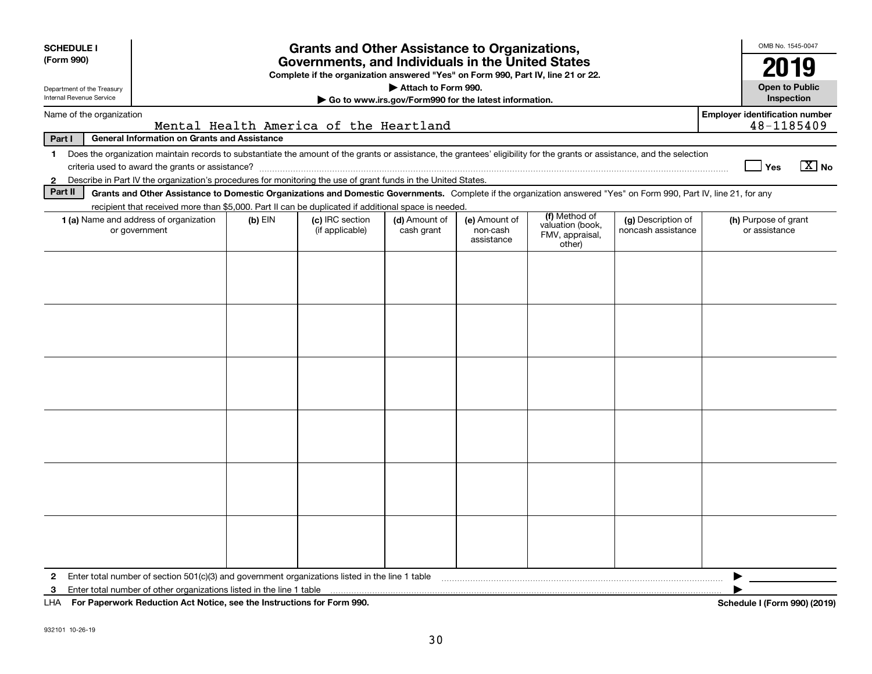| <b>SCHEDULE I</b><br>(Form 990)<br>Department of the Treasury<br>Internal Revenue Service                                                                                               | OMB No. 1545-0047<br>2019<br><b>Open to Public</b><br>Inspection |                                        |                                                       |                                         |                                               |                                          |                                       |
|-----------------------------------------------------------------------------------------------------------------------------------------------------------------------------------------|------------------------------------------------------------------|----------------------------------------|-------------------------------------------------------|-----------------------------------------|-----------------------------------------------|------------------------------------------|---------------------------------------|
| Name of the organization                                                                                                                                                                |                                                                  |                                        | Go to www.irs.gov/Form990 for the latest information. |                                         |                                               |                                          | <b>Employer identification number</b> |
|                                                                                                                                                                                         |                                                                  | Mental Health America of the Heartland |                                                       |                                         |                                               |                                          | 48-1185409                            |
| Part I<br><b>General Information on Grants and Assistance</b>                                                                                                                           |                                                                  |                                        |                                                       |                                         |                                               |                                          |                                       |
| Does the organization maintain records to substantiate the amount of the grants or assistance, the grantees' eligibility for the grants or assistance, and the selection<br>$\mathbf 1$ |                                                                  |                                        |                                                       |                                         |                                               |                                          | $\boxed{\text{X}}$ No<br>Yes          |
| Describe in Part IV the organization's procedures for monitoring the use of grant funds in the United States.<br>$\mathbf{2}$                                                           |                                                                  |                                        |                                                       |                                         |                                               |                                          |                                       |
| Part II<br>Grants and Other Assistance to Domestic Organizations and Domestic Governments. Complete if the organization answered "Yes" on Form 990, Part IV, line 21, for any           |                                                                  |                                        |                                                       |                                         |                                               |                                          |                                       |
| recipient that received more than \$5,000. Part II can be duplicated if additional space is needed.                                                                                     |                                                                  |                                        |                                                       |                                         | (f) Method of                                 |                                          |                                       |
| <b>1 (a)</b> Name and address of organization<br>or government                                                                                                                          | $(b)$ EIN                                                        | (c) IRC section<br>(if applicable)     | (d) Amount of<br>cash grant                           | (e) Amount of<br>non-cash<br>assistance | valuation (book,<br>FMV, appraisal,<br>other) | (g) Description of<br>noncash assistance | (h) Purpose of grant<br>or assistance |
|                                                                                                                                                                                         |                                                                  |                                        |                                                       |                                         |                                               |                                          |                                       |
|                                                                                                                                                                                         |                                                                  |                                        |                                                       |                                         |                                               |                                          |                                       |
|                                                                                                                                                                                         |                                                                  |                                        |                                                       |                                         |                                               |                                          |                                       |
|                                                                                                                                                                                         |                                                                  |                                        |                                                       |                                         |                                               |                                          |                                       |
|                                                                                                                                                                                         |                                                                  |                                        |                                                       |                                         |                                               |                                          |                                       |
|                                                                                                                                                                                         |                                                                  |                                        |                                                       |                                         |                                               |                                          |                                       |
| Enter total number of section $501(c)(3)$ and government organizations listed in the line 1 table<br>$\mathbf{2}$                                                                       |                                                                  |                                        |                                                       |                                         |                                               |                                          |                                       |
| Enter total number of other organizations listed in the line 1 table<br>3<br>LHA For Paperwork Reduction Act Notice, see the Instructions for Form 990.                                 |                                                                  |                                        |                                                       |                                         |                                               |                                          | Schedule I (Form 990) (2019)          |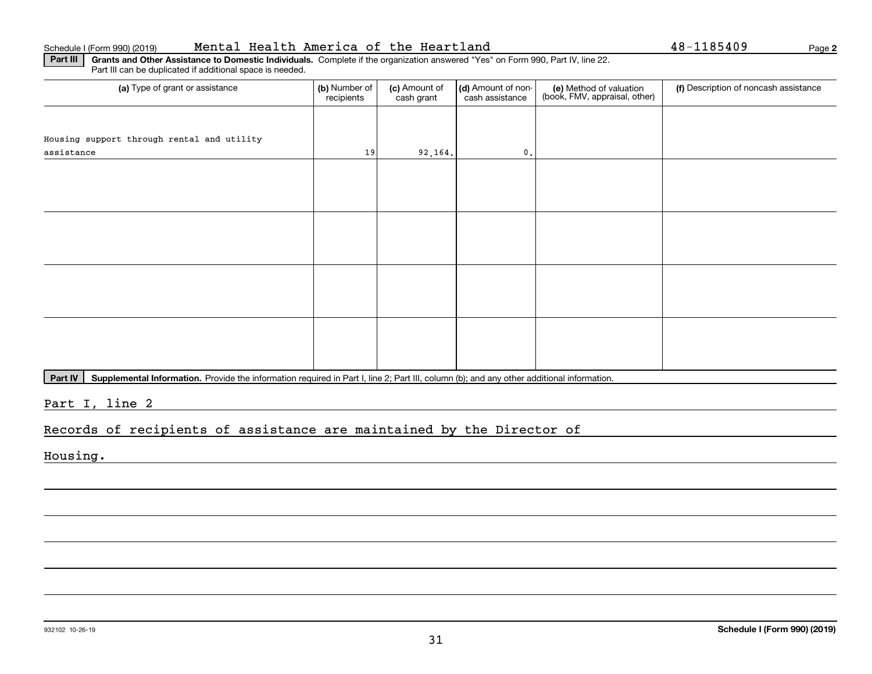#### Schedule I(Form 990)(2019) **Mental Health America of the Heartland 48-1185409** Page

**2**

**Part III | Grants and Other Assistance to Domestic Individuals. Complete if the organization answered "Yes" on Form 990, Part IV, line 22.** Part III can be duplicated if additional space is needed.

| (a) Type of grant or assistance            | (b) Number of<br>recipients | (c) Amount of<br>cash grant | (d) Amount of non-<br>cash assistance | (e) Method of valuation<br>(book, FMV, appraisal, other) | (f) Description of noncash assistance |
|--------------------------------------------|-----------------------------|-----------------------------|---------------------------------------|----------------------------------------------------------|---------------------------------------|
|                                            |                             |                             |                                       |                                                          |                                       |
| Housing support through rental and utility |                             |                             |                                       |                                                          |                                       |
| assistance                                 | 19                          | 92, 164.                    | $\mathbf{0}$ .                        |                                                          |                                       |
|                                            |                             |                             |                                       |                                                          |                                       |
|                                            |                             |                             |                                       |                                                          |                                       |
|                                            |                             |                             |                                       |                                                          |                                       |
|                                            |                             |                             |                                       |                                                          |                                       |
|                                            |                             |                             |                                       |                                                          |                                       |
|                                            |                             |                             |                                       |                                                          |                                       |
|                                            |                             |                             |                                       |                                                          |                                       |
|                                            |                             |                             |                                       |                                                          |                                       |
|                                            |                             |                             |                                       |                                                          |                                       |
|                                            |                             |                             |                                       |                                                          |                                       |
|                                            |                             |                             |                                       |                                                          |                                       |
|                                            |                             |                             |                                       |                                                          |                                       |
|                                            |                             |                             |                                       |                                                          |                                       |

Part IV | Supplemental Information. Provide the information required in Part I, line 2; Part III, column (b); and any other additional information.

Part I, line 2

Records of recipients of assistance are maintained by the Director of

Housing.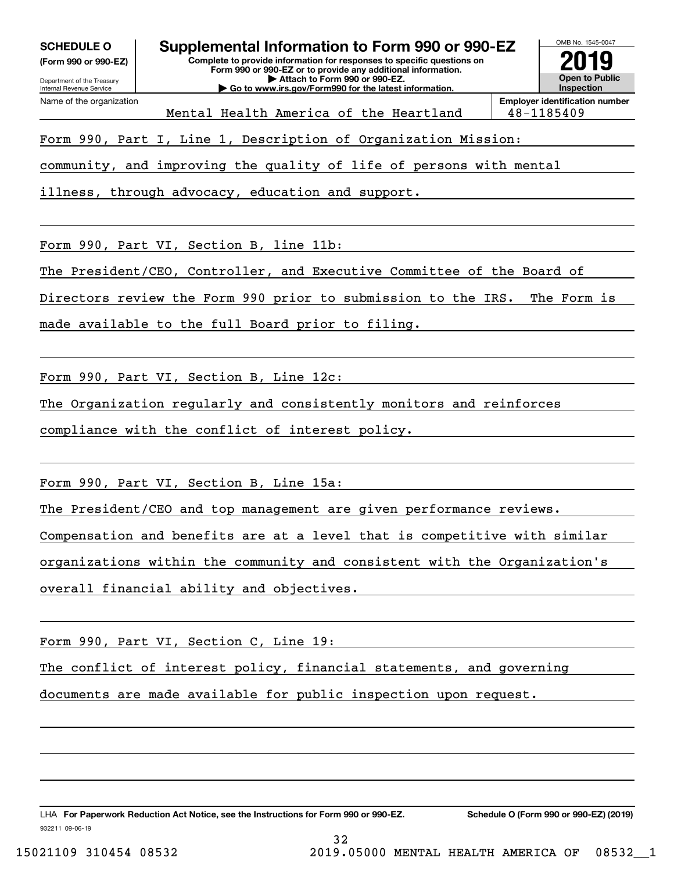**(Form 990 or 990-EZ)**



Mental Health America of the Heartland | 48-1185409

Form 990, Part I, Line 1, Description of Organization Mission:

community, and improving the quality of life of persons with mental

illness, through advocacy, education and support.

Form 990, Part VI, Section B, line 11b:

The President/CEO, Controller, and Executive Committee of the Board of

Directors review the Form 990 prior to submission to the IRS. The Form is

made available to the full Board prior to filing.

Form 990, Part VI, Section B, Line 12c:

The Organization regularly and consistently monitors and reinforces

compliance with the conflict of interest policy.

Form 990, Part VI, Section B, Line 15a:

The President/CEO and top management are given performance reviews.

Compensation and benefits are at a level that is competitive with similar

organizations within the community and consistent with the Organization's

32

overall financial ability and objectives.

Form 990, Part VI, Section C, Line 19:

The conflict of interest policy, financial statements, and governing

documents are made available for public inspection upon request.

932211 09-06-19 LHA For Paperwork Reduction Act Notice, see the Instructions for Form 990 or 990-EZ. Schedule O (Form 990 or 990-EZ) (2019)

15021109 310454 08532 2019.05000 MENTAL HEALTH AMERICA OF 08532\_\_1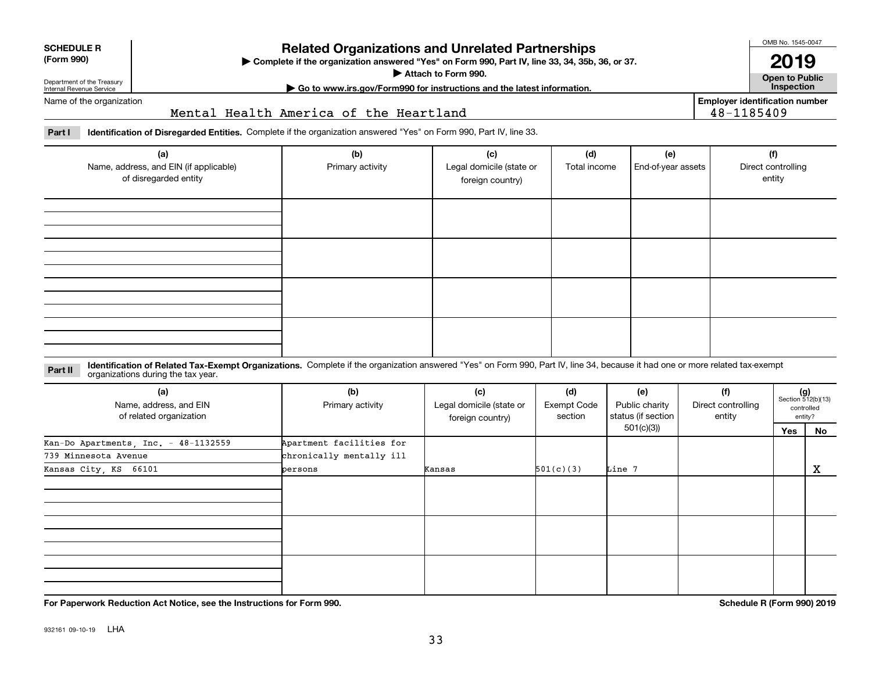**For Paperwork Reduction Act Notice, see the Instructions for Form 990. Schedule R (Form 990) 2019**

# **Related Organizations and Unrelated Partnerships**

**Complete if the organization answered "Yes" on Form 990, Part IV, line 33, 34, 35b, 36, or 37.** |

**Attach to Form 990.**  |

#### **| Go to www.irs.gov/Form990 for instructions and the latest information. Inspection**

Name of the organization

Department of the Treasury Internal Revenue Service

**SCHEDULE R (Form 990)**

#### Mental Health America of the Heartland

**Part I Identification of Disregarded Entities.**  Complete if the organization answered "Yes" on Form 990, Part IV, line 33.

| (a)<br>Name, address, and EIN (if applicable)<br>of disregarded entity | (b)<br>Primary activity | (c)<br>Legal domicile (state or<br>foreign country) | (d)<br>Total income | (e)<br>End-of-year assets | (f)<br>Direct controlling<br>entity |
|------------------------------------------------------------------------|-------------------------|-----------------------------------------------------|---------------------|---------------------------|-------------------------------------|
|                                                                        |                         |                                                     |                     |                           |                                     |
|                                                                        |                         |                                                     |                     |                           |                                     |
|                                                                        |                         |                                                     |                     |                           |                                     |
|                                                                        |                         |                                                     |                     |                           |                                     |

| Part II | <b>Identification of Related Tax-Exempt Organizations.</b> Complete if the organization answered "Yes" on Form 990, Part IV, line 34, because it had one or more related tax-exempt |  |  |
|---------|-------------------------------------------------------------------------------------------------------------------------------------------------------------------------------------|--|--|
|         | organizations during the tax year.                                                                                                                                                  |  |  |

| (a)<br>Name, address, and EIN<br>of related organization | (b)<br>Primary activity  | (c)<br>Legal domicile (state or<br>foreign country) | (d)<br>Exempt Code<br>section | (e)<br>Public charity<br>status (if section | (f)<br>Direct controlling<br>entity |     | $(g)$<br>Section 512(b)(13)<br>controlled<br>entity? |
|----------------------------------------------------------|--------------------------|-----------------------------------------------------|-------------------------------|---------------------------------------------|-------------------------------------|-----|------------------------------------------------------|
|                                                          |                          |                                                     |                               | 501(c)(3))                                  |                                     | Yes | No                                                   |
| Kan-Do Apartments, Inc. - 48-1132559                     | Apartment facilities for |                                                     |                               |                                             |                                     |     |                                                      |
| 739 Minnesota Avenue                                     | chronically mentally ill |                                                     |                               |                                             |                                     |     |                                                      |
| Kansas City, KS 66101                                    | persons                  | Kansas                                              | 501(c)(3)                     | Line 7                                      |                                     |     | x                                                    |
|                                                          |                          |                                                     |                               |                                             |                                     |     |                                                      |
|                                                          |                          |                                                     |                               |                                             |                                     |     |                                                      |
|                                                          |                          |                                                     |                               |                                             |                                     |     |                                                      |

**Employer identification number** 48-1185409

OMB No. 1545-0047



**Open to Public**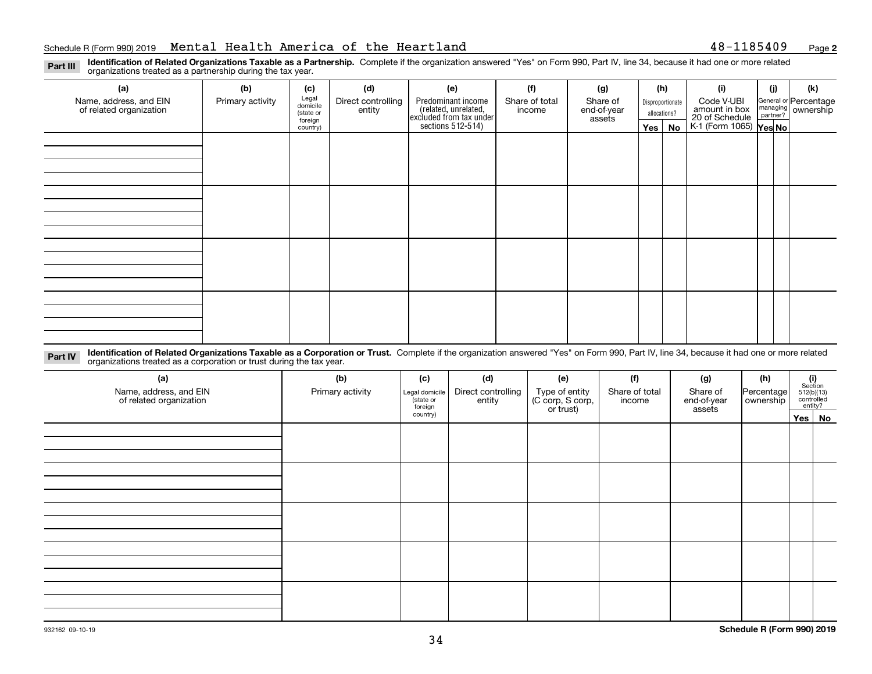**2**

**Identification of Related Organizations Taxable as a Partnership.** Complete if the organization answered "Yes" on Form 990, Part IV, line 34, because it had one or more related **Part III** organizations treated as a partnership during the tax year.

| (a)                                               | (b)              | (c)                  | (d)                | (e)                                                                                       | (f)                      | (g)                               |  | (h)              | (i)                                      | (i) | (k)                                                     |
|---------------------------------------------------|------------------|----------------------|--------------------|-------------------------------------------------------------------------------------------|--------------------------|-----------------------------------|--|------------------|------------------------------------------|-----|---------------------------------------------------------|
| Name, address, and EIN<br>of related organization | Primary activity | Legal<br>domicile    | Direct controlling | Predominant income<br>related, unrelated,<br>excluded from tax under<br>sections 512-514) | Share of total<br>income | Share of<br>end-of-year<br>assets |  | Disproportionate | Code V-UBI<br>amount in box              |     | General or Percentage<br>managing ownership<br>partner? |
|                                                   |                  | (state or<br>foreign | entity             |                                                                                           |                          |                                   |  | allocations?     |                                          |     |                                                         |
|                                                   |                  | country)             |                    |                                                                                           |                          |                                   |  | Yes   No         | 20 of Schedule<br>K-1 (Form 1065) Yes No |     |                                                         |
|                                                   |                  |                      |                    |                                                                                           |                          |                                   |  |                  |                                          |     |                                                         |
|                                                   |                  |                      |                    |                                                                                           |                          |                                   |  |                  |                                          |     |                                                         |
|                                                   |                  |                      |                    |                                                                                           |                          |                                   |  |                  |                                          |     |                                                         |
|                                                   |                  |                      |                    |                                                                                           |                          |                                   |  |                  |                                          |     |                                                         |
|                                                   |                  |                      |                    |                                                                                           |                          |                                   |  |                  |                                          |     |                                                         |
|                                                   |                  |                      |                    |                                                                                           |                          |                                   |  |                  |                                          |     |                                                         |
|                                                   |                  |                      |                    |                                                                                           |                          |                                   |  |                  |                                          |     |                                                         |
|                                                   |                  |                      |                    |                                                                                           |                          |                                   |  |                  |                                          |     |                                                         |
|                                                   |                  |                      |                    |                                                                                           |                          |                                   |  |                  |                                          |     |                                                         |
|                                                   |                  |                      |                    |                                                                                           |                          |                                   |  |                  |                                          |     |                                                         |
|                                                   |                  |                      |                    |                                                                                           |                          |                                   |  |                  |                                          |     |                                                         |
|                                                   |                  |                      |                    |                                                                                           |                          |                                   |  |                  |                                          |     |                                                         |
|                                                   |                  |                      |                    |                                                                                           |                          |                                   |  |                  |                                          |     |                                                         |
|                                                   |                  |                      |                    |                                                                                           |                          |                                   |  |                  |                                          |     |                                                         |
|                                                   |                  |                      |                    |                                                                                           |                          |                                   |  |                  |                                          |     |                                                         |
|                                                   |                  |                      |                    |                                                                                           |                          |                                   |  |                  |                                          |     |                                                         |
|                                                   |                  |                      |                    |                                                                                           |                          |                                   |  |                  |                                          |     |                                                         |

**Identification of Related Organizations Taxable as a Corporation or Trust.** Complete if the organization answered "Yes" on Form 990, Part IV, line 34, because it had one or more related **Part IV** organizations treated as a corporation or trust during the tax year.

| (a)<br>Name, address, and EIN<br>of related organization | (b)<br>Primary activity | (c)<br>Legal domicile<br>(state or<br>foreign | (d)<br>Direct controlling<br>entity | (e)<br>Type of entity<br>(C corp, S corp,<br>or trust) | (f)<br>Share of total<br>income | (g)<br>Share of<br>end-of-year<br>assets | (h)<br>Percentage<br>ownership | $\begin{array}{c} \textbf{(i)}\\ \text{Section}\\ 512 \text{(b)} \text{(13)}\\ \text{controlled} \\ \text{entity?} \end{array}$ |
|----------------------------------------------------------|-------------------------|-----------------------------------------------|-------------------------------------|--------------------------------------------------------|---------------------------------|------------------------------------------|--------------------------------|---------------------------------------------------------------------------------------------------------------------------------|
|                                                          |                         | country)                                      |                                     |                                                        |                                 |                                          |                                | Yes No                                                                                                                          |
|                                                          |                         |                                               |                                     |                                                        |                                 |                                          |                                |                                                                                                                                 |
|                                                          |                         |                                               |                                     |                                                        |                                 |                                          |                                |                                                                                                                                 |
|                                                          |                         |                                               |                                     |                                                        |                                 |                                          |                                |                                                                                                                                 |
|                                                          |                         |                                               |                                     |                                                        |                                 |                                          |                                |                                                                                                                                 |
|                                                          |                         |                                               |                                     |                                                        |                                 |                                          |                                |                                                                                                                                 |
|                                                          |                         |                                               |                                     |                                                        |                                 |                                          |                                |                                                                                                                                 |
|                                                          |                         |                                               |                                     |                                                        |                                 |                                          |                                |                                                                                                                                 |
|                                                          |                         |                                               |                                     |                                                        |                                 |                                          |                                |                                                                                                                                 |
|                                                          |                         |                                               |                                     |                                                        |                                 |                                          |                                |                                                                                                                                 |
|                                                          |                         |                                               |                                     |                                                        |                                 |                                          |                                |                                                                                                                                 |
|                                                          |                         |                                               |                                     |                                                        |                                 |                                          |                                |                                                                                                                                 |
|                                                          |                         |                                               |                                     |                                                        |                                 |                                          |                                |                                                                                                                                 |
|                                                          |                         |                                               |                                     |                                                        |                                 |                                          |                                |                                                                                                                                 |
|                                                          |                         |                                               |                                     |                                                        |                                 |                                          |                                |                                                                                                                                 |
|                                                          |                         |                                               |                                     |                                                        |                                 |                                          |                                |                                                                                                                                 |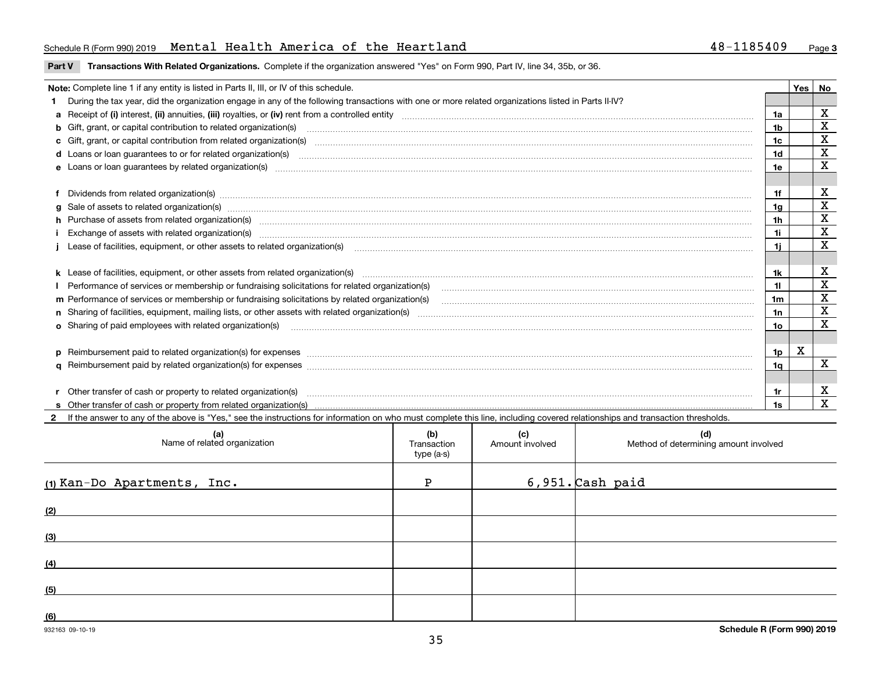#### Schedule R(Form 990) 2019 **Mental Health America of the Heartland 48-1185409** Page

**Part V** T**ransactions With Related Organizations.** Complete if the organization answered "Yes" on Form 990, Part IV, line 34, 35b, or 36.

| Note: Complete line 1 if any entity is listed in Parts II, III, or IV of this schedule.                                                                                                                                        |                | Yes | No           |
|--------------------------------------------------------------------------------------------------------------------------------------------------------------------------------------------------------------------------------|----------------|-----|--------------|
| During the tax year, did the organization engage in any of the following transactions with one or more related organizations listed in Parts II-IV?                                                                            |                |     |              |
|                                                                                                                                                                                                                                | 1a             |     | X            |
| <b>b</b> Gift, grant, or capital contribution to related organization(s)                                                                                                                                                       | 1b             |     | X            |
| c Gift, grant, or capital contribution from related organization(s) material contracts and contribution from related organization(s) material contents and contribution from related organization(s) material contents and con | 1c             |     | $\mathbf X$  |
|                                                                                                                                                                                                                                | 1d             |     | X            |
|                                                                                                                                                                                                                                | 1e             |     | X            |
|                                                                                                                                                                                                                                |                |     |              |
| Dividends from related organization(s) manufactured and contract and contract or produced and contract and contract and contract and contract and contract and contract and contract and contract and contract and contract an | 1f             |     | х            |
| g Sale of assets to related organization(s) www.assettion.com/www.assettion.com/www.assettion.com/www.assettion.com/www.assettion.com/www.assettion.com/www.assettion.com/www.assettion.com/www.assettion.com/www.assettion.co | 1g             |     | X            |
| h Purchase of assets from related organization(s) manufactured content to content the content of the content of the content of the content of the content of the content of the content of the content of the content of the c | 1 <sub>h</sub> |     | X            |
| Exchange of assets with related organization(s) Encourance and account of the contract of the contract of the contract of the contract of the contract of the contract of the contract of the contract of the contract of the  | 1i.            |     | $\mathbf X$  |
| Lease of facilities, equipment, or other assets to related organization(s) [11] manufactured content and the state of facilities, equipment, or other assets to related organization(s) [11] manufactured content and the stat | 1i.            |     | X            |
|                                                                                                                                                                                                                                |                |     |              |
| k Lease of facilities, equipment, or other assets from related organization(s) manufaction content and content to the assets from related organization(s) manufaction content and content and content and content and content  | 1k             |     | х            |
|                                                                                                                                                                                                                                | 11.            |     | X            |
| m Performance of services or membership or fundraising solicitations by related organization(s)                                                                                                                                | 1 <sub>m</sub> |     | $\mathbf X$  |
|                                                                                                                                                                                                                                | 1n             |     | $\mathbf x$  |
| <b>o</b> Sharing of paid employees with related organization(s)                                                                                                                                                                | 10             |     | $\mathbf x$  |
|                                                                                                                                                                                                                                |                |     |              |
|                                                                                                                                                                                                                                | 1p             | X   |              |
|                                                                                                                                                                                                                                | 1q             |     | $\mathbf X$  |
|                                                                                                                                                                                                                                |                |     |              |
| Other transfer of cash or property to related organization(s)                                                                                                                                                                  | 1r             |     | X            |
|                                                                                                                                                                                                                                | 1s             |     | $\mathbf{x}$ |
| 2 If the answer to any of the above is "Yes," see the instructions for information on who must complete this line, including covered relationships and transaction thresholds.                                                 |                |     |              |

| (a)<br>Name of related organization | (b)<br>Transaction<br>type (a-s) | (c)<br>Amount involved | (d)<br>Method of determining amount involved |
|-------------------------------------|----------------------------------|------------------------|----------------------------------------------|
| (1) Kan-Do Apartments, Inc.         | P                                |                        | 6,951. Cash paid                             |
| (2)                                 |                                  |                        |                                              |
| (3)                                 |                                  |                        |                                              |
| (4)                                 |                                  |                        |                                              |
| (5)                                 |                                  |                        |                                              |
| (6)                                 |                                  |                        |                                              |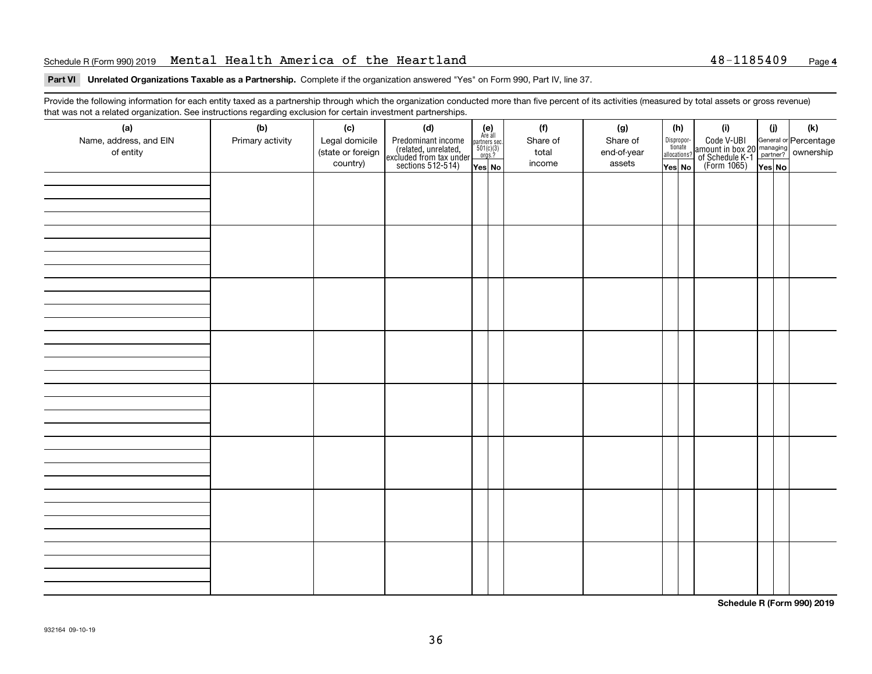#### Schedule R(Form 990) 2019 **Mental Health America of the Heartland 48-1185409** Page

## **Part VI Unrelated Organizations Taxable as a Partnership. Complete if the organization answered "Yes" on Form 990, Part IV, line 37.**

Provide the following information for each entity taxed as a partnership through which the organization conducted more than five percent of its activities (measured by total assets or gross revenue) that was not a related organization. See instructions regarding exclusion for certain investment partnerships.

| that was not a related organization. Occ instructions regarding exclusion for certain investment partnerships.<br>(a) | (b)              | (c)                                             | (d)                                                                                        |                                                                                                                            | (f)                         | (g)                               |        | (h)                                   | (i)                                                                                                                                  | (j)   | (k) |
|-----------------------------------------------------------------------------------------------------------------------|------------------|-------------------------------------------------|--------------------------------------------------------------------------------------------|----------------------------------------------------------------------------------------------------------------------------|-----------------------------|-----------------------------------|--------|---------------------------------------|--------------------------------------------------------------------------------------------------------------------------------------|-------|-----|
| Name, address, and EIN<br>of entity                                                                                   | Primary activity | Legal domicile<br>(state or foreign<br>country) | Predominant income<br>(related, unrelated,<br>excluded from tax under<br>sections 512-514) | $\begin{array}{c} \textbf{(e)}\\ \text{Are all} \\ \text{partners sec.}\\ 501(c)(3)\\ \text{orgs.?} \end{array}$<br>Yes No | Share of<br>total<br>income | Share of<br>end-of-year<br>assets | Yes No | Dispropor-<br>tionate<br>allocations? | Code V-UBI<br> amount in box 20 managing<br>  of Schedule K-1 partner? ownership<br>  of Schedule K-1 partner? ownership<br>  Yes No | YesNO |     |
|                                                                                                                       |                  |                                                 |                                                                                            |                                                                                                                            |                             |                                   |        |                                       |                                                                                                                                      |       |     |
|                                                                                                                       |                  |                                                 |                                                                                            |                                                                                                                            |                             |                                   |        |                                       |                                                                                                                                      |       |     |
|                                                                                                                       |                  |                                                 |                                                                                            |                                                                                                                            |                             |                                   |        |                                       |                                                                                                                                      |       |     |
|                                                                                                                       |                  |                                                 |                                                                                            |                                                                                                                            |                             |                                   |        |                                       |                                                                                                                                      |       |     |
|                                                                                                                       |                  |                                                 |                                                                                            |                                                                                                                            |                             |                                   |        |                                       |                                                                                                                                      |       |     |
|                                                                                                                       |                  |                                                 |                                                                                            |                                                                                                                            |                             |                                   |        |                                       |                                                                                                                                      |       |     |
|                                                                                                                       |                  |                                                 |                                                                                            |                                                                                                                            |                             |                                   |        |                                       |                                                                                                                                      |       |     |
|                                                                                                                       |                  |                                                 |                                                                                            |                                                                                                                            |                             |                                   |        |                                       |                                                                                                                                      |       |     |
|                                                                                                                       |                  |                                                 |                                                                                            |                                                                                                                            |                             |                                   |        |                                       |                                                                                                                                      |       |     |
|                                                                                                                       |                  |                                                 |                                                                                            |                                                                                                                            |                             |                                   |        |                                       |                                                                                                                                      |       |     |
|                                                                                                                       |                  |                                                 |                                                                                            |                                                                                                                            |                             |                                   |        |                                       |                                                                                                                                      |       |     |
|                                                                                                                       |                  |                                                 |                                                                                            |                                                                                                                            |                             |                                   |        |                                       |                                                                                                                                      |       |     |
|                                                                                                                       |                  |                                                 |                                                                                            |                                                                                                                            |                             |                                   |        |                                       |                                                                                                                                      |       |     |
|                                                                                                                       |                  |                                                 |                                                                                            |                                                                                                                            |                             |                                   |        |                                       |                                                                                                                                      |       |     |
|                                                                                                                       |                  |                                                 |                                                                                            |                                                                                                                            |                             |                                   |        |                                       |                                                                                                                                      |       |     |
|                                                                                                                       |                  |                                                 |                                                                                            |                                                                                                                            |                             |                                   |        |                                       |                                                                                                                                      |       |     |
|                                                                                                                       |                  |                                                 |                                                                                            |                                                                                                                            |                             |                                   |        |                                       |                                                                                                                                      |       |     |
|                                                                                                                       |                  |                                                 |                                                                                            |                                                                                                                            |                             |                                   |        |                                       |                                                                                                                                      |       |     |
|                                                                                                                       |                  |                                                 |                                                                                            |                                                                                                                            |                             |                                   |        |                                       |                                                                                                                                      |       |     |

**Schedule R (Form 990) 2019**